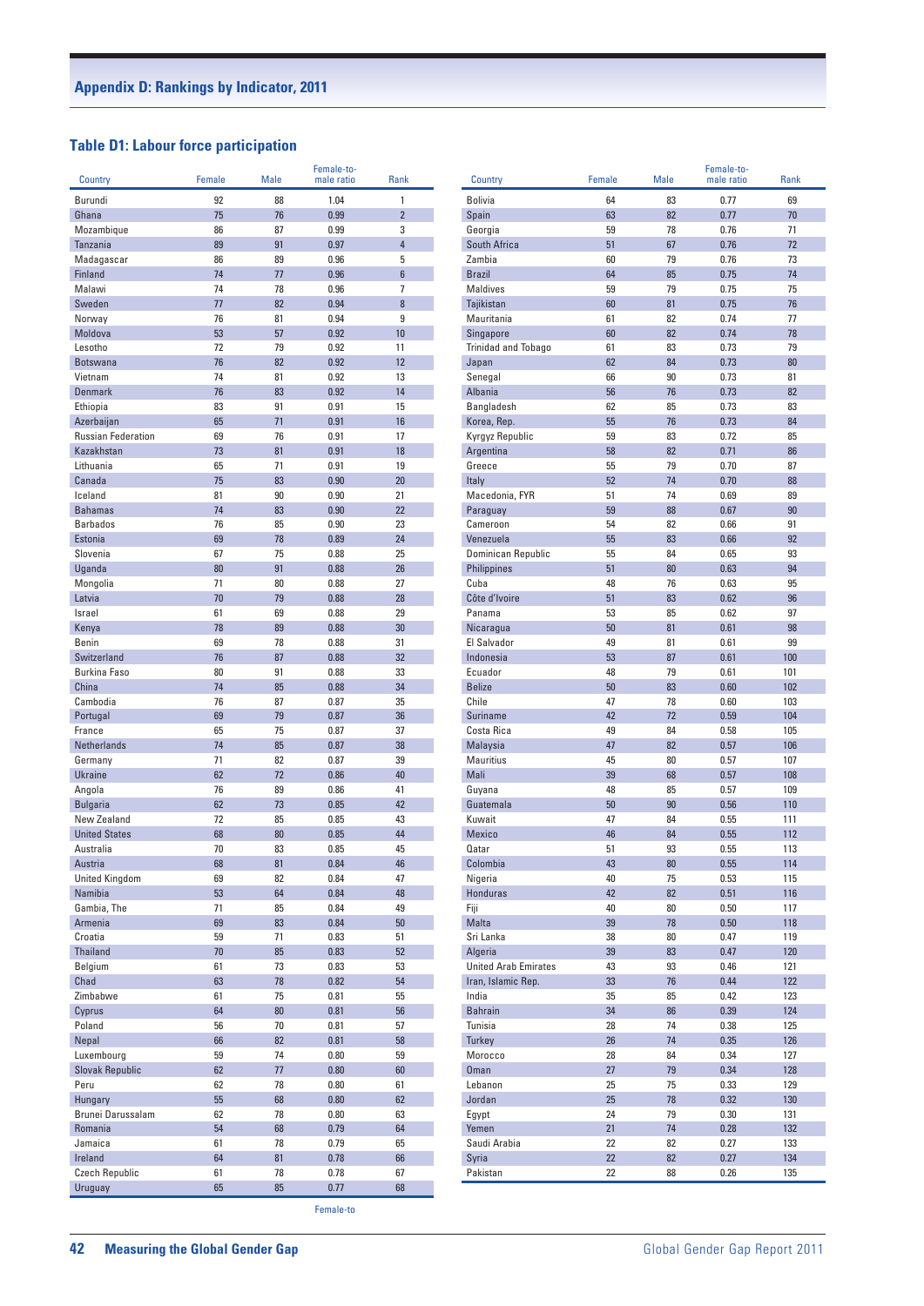## **Table D1: Labour force participation**

| <b>Country</b>                    | Female   | Male     | Female-to-<br>male ratio | <b>Rank</b>    |
|-----------------------------------|----------|----------|--------------------------|----------------|
| Burundi                           | 92       | 88       | 1.04                     | 1              |
| Ghana                             | 75       | 76       | 0.99                     | $\overline{2}$ |
| Mozambique                        | 86       | 87       | 0.99                     | 3              |
| Tanzania                          | 89       | 91       | 0.97                     | 4              |
| Madagascar                        | 86       | 89       | 0.96                     | 5              |
| Finland<br>Malawi                 | 74<br>74 | 77<br>78 | 0.96<br>0.96             | 6<br>7         |
| Sweden                            | 77       | 82       | 0.94                     | 8              |
| Norway                            | 76       | 81       | 0.94                     | 9              |
| Moldova                           | 53       | 57       | 0.92                     | 10             |
| Lesotho                           | 72       | 79       | 0.92                     | 11             |
| <b>Botswana</b>                   | 76       | 82       | 0.92                     | 12             |
| Vietnam                           | 74       | 81       | 0.92                     | 13             |
| <b>Denmark</b><br>Ethiopia        | 76<br>83 | 83<br>91 | 0.92<br>0.91             | 14<br>15       |
| Azerbaijan                        | 65       | 71       | 0.91                     | 16             |
| <b>Russian Federation</b>         | 69       | 76       | 0.91                     | 17             |
| Kazakhstan                        | 73       | 81       | 0.91                     | 18             |
| Lithuania                         | 65       | 71       | 0.91                     | 19             |
| Canada                            | 75       | 83       | 0.90                     | 20             |
| Iceland                           | 81       | 90       | 0.90                     | 21             |
| <b>Bahamas</b><br><b>Barbados</b> | 74<br>76 | 83<br>85 | 0.90<br>0.90             | 22<br>23       |
| Estonia                           | 69       | 78       | 0.89                     | 24             |
| Slovenia                          | 67       | 75       | 0.88                     | 25             |
| Uganda                            | 80       | 91       | 0.88                     | 26             |
| Mongolia                          | 71       | 80       | 0.88                     | 27             |
| Latvia                            | 70       | 79       | 0.88                     | 28             |
| Israel                            | 61       | 69       | 0.88                     | 29             |
| Kenya                             | 78       | 89       | 0.88                     | 30             |
| <b>Benin</b><br>Switzerland       | 69<br>76 | 78<br>87 | 0.88<br>0.88             | 31<br>32       |
| Burkina Faso                      | 80       | 91       | 0.88                     | 33             |
| China                             | 74       | 85       | 0.88                     | 34             |
| Cambodia                          | 76       | 87       | 0.87                     | 35             |
| Portugal                          | 69       | 79       | 0.87                     | 36             |
| France                            | 65       | 75       | 0.87                     | 37             |
| Netherlands                       | 74       | 85       | 0.87                     | 38             |
| Germany<br><b>Ukraine</b>         | 71<br>62 | 82<br>72 | 0.87<br>0.86             | 39<br>40       |
| Angola                            | 76       | 89       | 0.86                     | 41             |
| <b>Bulgaria</b>                   | 62       | 73       | 0.85                     | 42             |
| New Zealand                       | 72       | 85       | 0.85                     | 43             |
| <b>United States</b>              | 68       | 80       | 0.85                     | 44             |
| Australia                         | 70       | 83       | 0.85                     | 45             |
| Austria                           | 68       | 81       | 0.84                     | 46             |
| <b>United Kingdom</b>             | 69       | 82       | 0.84                     | 47             |
| Namibia<br>Gambia, The            | 53<br>71 | 64<br>85 | 0.84<br>0.84             | 48<br>49       |
| Armenia                           | 69       | 83       | 0.84                     | 50             |
| Croatia                           | 59       | 71       | 0.83                     | 51             |
| Thailand                          | 70       | 85       | 0.83                     | 52             |
| Belgium                           | 61       | 73       | 0.83                     | 53             |
| Chad                              | 63       | 78       | 0.82                     | 54             |
| Zimbabwe                          | 61       | 75       | 0.81                     | 55             |
| Cyprus                            | 64       | 80       | 0.81                     | 56             |
| Poland<br>Nepal                   | 56<br>66 | 70<br>82 | 0.81<br>0.81             | 57<br>58       |
| Luxembourg                        | 59       | 74       | 0.80                     | 59             |
| <b>Slovak Republic</b>            | 62       | 77       | 0.80                     | 60             |
| Peru                              | 62       | 78       | 0.80                     | 61             |
| Hungary                           | 55       | 68       | 0.80                     | 62             |
| Brunei Darussalam                 | 62       | 78       | 0.80                     | 63             |
| Romania                           | 54       | 68       | 0.79                     | 64             |
| Jamaica                           | 61       | 78       | 0.79                     | 65             |
| Ireland<br>Czech Republic         | 64<br>61 | 81<br>78 | 0.78<br>0.78             | 66<br>67       |
| Uruguay                           | 65       | 85       | 0.77                     | 68             |
|                                   |          |          | Female-to                |                |

| Country                      | Female   | <b>Male</b> | Female-to-<br>male ratio | Rank       |
|------------------------------|----------|-------------|--------------------------|------------|
| <b>Bolivia</b>               | 64       | 83          | 0.77                     | 69         |
| Spain                        | 63       | 82          | 0.77                     | 70         |
| Georgia                      | 59       | 78          | 0.76                     | 71         |
| South Africa                 | 51       | 67          | 0.76                     | 72         |
| Zambia                       | 60       | 79          | 0.76                     | 73         |
| <b>Brazil</b>                | 64       | 85          | 0.75                     | 74         |
| <b>Maldives</b>              | 59       | 79          | 0.75                     | 75         |
| Tajikistan                   | 60       | 81          | 0.75                     | 76         |
| Mauritania                   | 61       | 82          | 0.74                     | 77         |
| Singapore                    | 60       | 82          | 0.74                     | 78         |
| Trinidad and Tobago          | 61       | 83          | 0.73                     | 79         |
| Japan                        | 62       | 84          | 0.73                     | 80         |
| Senegal                      | 66       | 90          | 0.73                     | 81<br>82   |
| <b>Albania</b><br>Bangladesh | 56<br>62 | 76<br>85    | 0.73<br>0.73             | 83         |
| Korea, Rep.                  | 55       | 76          | 0.73                     | 84         |
| Kyrgyz Republic              | 59       | 83          | 0.72                     | 85         |
| Argentina                    | 58       | 82          | 0.71                     | 86         |
| Greece                       | 55       | 79          | 0.70                     | 87         |
| Italy                        | 52       | 74          | 0.70                     | 88         |
| Macedonia, FYR               | 51       | 74          | 0.69                     | 89         |
| Paraguay                     | 59       | 88          | 0.67                     | 90         |
| Cameroon                     | 54       | 82          | 0.66                     | 91         |
| Venezuela                    | 55       | 83          | 0.66                     | 92         |
| Dominican Republic           | 55       | 84          | 0.65                     | 93         |
| <b>Philippines</b>           | 51       | 80          | 0.63                     | 94         |
| Cuba                         | 48       | 76          | 0.63                     | 95         |
| Côte d'Ivoire                | 51       | 83          | 0.62                     | 96         |
| Panama                       | 53       | 85          | 0.62                     | 97         |
| Nicaragua                    | 50       | 81          | 0.61                     | 98         |
| El Salvador                  | 49       | 81          | 0.61                     | 99         |
| Indonesia                    | 53       | 87          | 0.61                     | 100        |
| Ecuador                      | 48       | 79          | 0.61                     | 101        |
| <b>Belize</b>                | 50       | 83          | 0.60                     | 102        |
| Chile<br><b>Suriname</b>     | 47<br>42 | 78<br>72    | 0.60<br>0.59             | 103<br>104 |
| Costa Rica                   | 49       | 84          | 0.58                     | 105        |
| Malaysia                     | 47       | 82          | 0.57                     | 106        |
| <b>Mauritius</b>             | 45       | 80          | 0.57                     | 107        |
| Mali                         | 39       | 68          | 0.57                     | 108        |
| Guyana                       | 48       | 85          | 0.57                     | 109        |
| Guatemala                    | 50       | 90          | 0.56                     | 110        |
| Kuwait                       | 47       | 84          | 0.55                     | 111        |
| <b>Mexico</b>                | 46       | 84          | 0.55                     | 112        |
| Qatar                        | 51       | 93          | 0.55                     | 113        |
| Colombia                     | 43       | 80          | 0.55                     | 114        |
| Nigeria                      | 40       | 75          | 0.53                     | 115        |
| <b>Honduras</b>              | 42       | 82          | 0.51                     | 116        |
| Fiji                         | 40       | 80          | 0.50                     | 117        |
| Malta                        | 39       | 78          | 0.50                     | 118        |
| Sri Lanka                    | 38       | 80          | 0.47                     | 119        |
| Algeria                      | 39       | 83          | 0.47                     | 120        |
| <b>United Arab Emirates</b>  | 43       | 93          | 0.46                     | 121        |
| Iran, Islamic Rep.           | 33       | 76          | 0.44<br>0.42             | 122        |
| India<br><b>Bahrain</b>      | 35<br>34 | 85<br>86    | 0.39                     | 123<br>124 |
| Tunisia                      | 28       | 74          | 0.38                     | 125        |
| <b>Turkey</b>                | 26       | 74          | 0.35                     | 126        |
| Morocco                      | 28       | 84          | 0.34                     | 127        |
| Oman                         | 27       | 79          | 0.34                     | 128        |
| Lebanon                      | 25       | 75          | 0.33                     | 129        |
| Jordan                       | 25       | 78          | 0.32                     | 130        |
| Egypt                        | 24       | 79          | 0.30                     | 131        |
| Yemen                        | 21       | 74          | 0.28                     | 132        |
| Saudi Arabia                 | 22       | 82          | 0.27                     | 133        |
| Syria                        | 22       | 82          | 0.27                     | 134        |
| Pakistan                     | 22       | 88          | 0.26                     | 135        |
|                              |          |             |                          |            |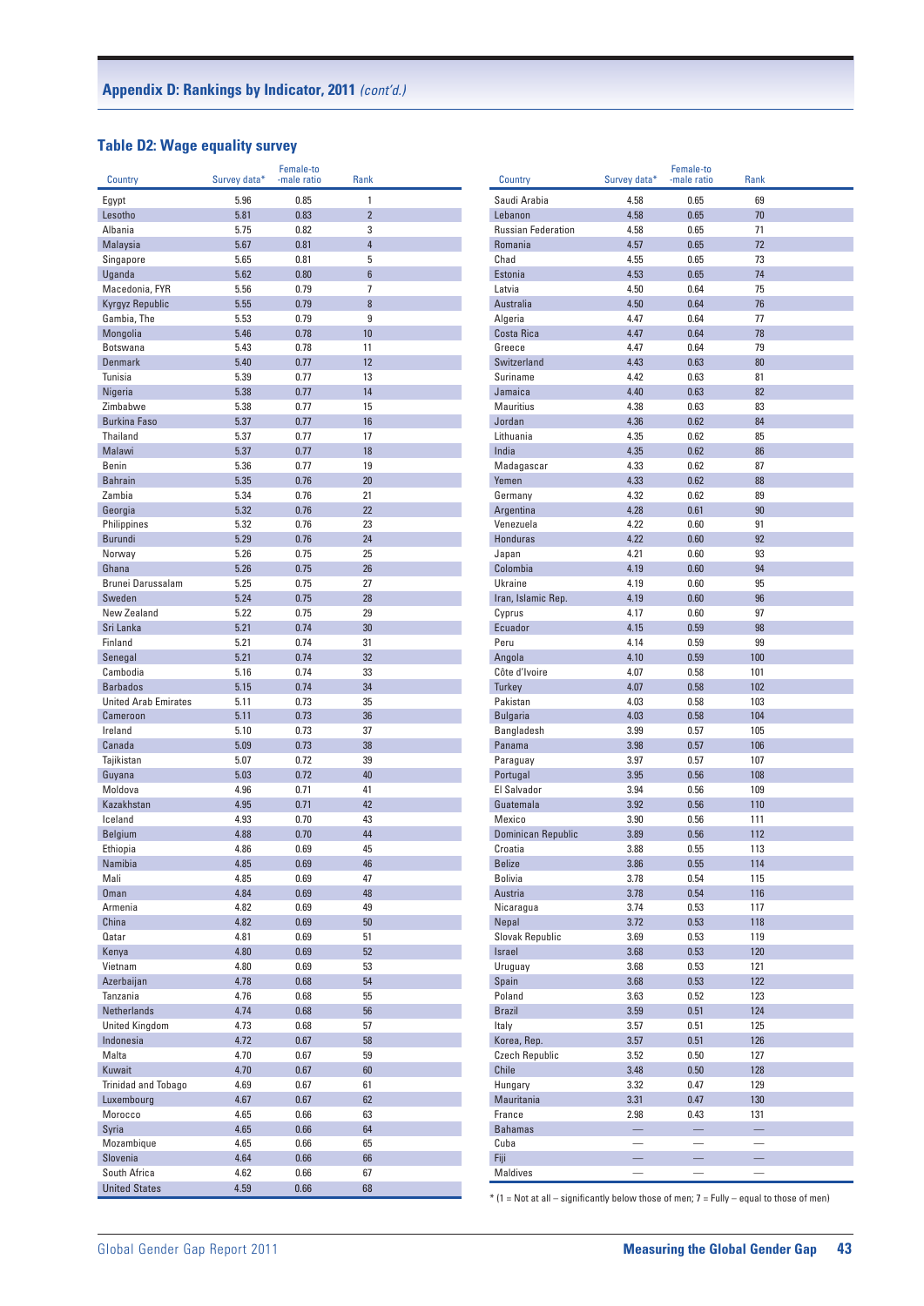## **Table D2: Wage equality survey**

|                                         |              | Female-to    |                     |  |
|-----------------------------------------|--------------|--------------|---------------------|--|
| Country                                 | Survey data* | -male ratio  | Rank                |  |
| Egypt                                   | 5.96         | 0.85         | 1                   |  |
| Lesotho<br>Albania                      | 5.81<br>5.75 | 0.83<br>0.82 | $\overline{2}$<br>3 |  |
| Malaysia                                | 5.67         | 0.81         | $\overline{4}$      |  |
| Singapore                               | 5.65         | 0.81         | 5                   |  |
| Uganda                                  | 5.62         | 0.80         | $6\phantom{1}$      |  |
| Macedonia, FYR                          | 5.56         | 0.79         | 7                   |  |
| Kyrgyz Republic                         | 5.55         | 0.79         | 8                   |  |
| Gambia, The                             | 5.53         | 0.79         | 9                   |  |
| Mongolia                                | 5.46         | 0.78         | 10                  |  |
| <b>Botswana</b>                         | 5.43         | 0.78         | 11                  |  |
| <b>Denmark</b>                          | 5.40         | 0.77         | 12                  |  |
| Tunisia                                 | 5.39         | 0.77         | 13                  |  |
| Nigeria                                 | 5.38         | 0.77         | 14                  |  |
| Zimbabwe                                | 5.38         | 0.77         | 15                  |  |
| <b>Burkina Faso</b>                     | 5.37         | 0.77         | 16                  |  |
| <b>Thailand</b>                         | 5.37         | 0.77         | 17                  |  |
| Malawi<br><b>Benin</b>                  | 5.37<br>5.36 | 0.77<br>0.77 | 18<br>19            |  |
| <b>Bahrain</b>                          | 5.35         | 0.76         | 20                  |  |
| Zambia                                  | 5.34         | 0.76         | 21                  |  |
| Georgia                                 | 5.32         | 0.76         | 22                  |  |
| Philippines                             | 5.32         | 0.76         | 23                  |  |
| <b>Burundi</b>                          | 5.29         | 0.76         | 24                  |  |
| Norway                                  | 5.26         | 0.75         | 25                  |  |
| Ghana                                   | 5.26         | 0.75         | 26                  |  |
| Brunei Darussalam                       | 5.25         | 0.75         | 27                  |  |
| Sweden                                  | 5.24         | 0.75         | 28                  |  |
| New Zealand                             | 5.22         | 0.75         | 29                  |  |
| Sri Lanka                               | 5.21         | 0.74         | 30                  |  |
| Finland                                 | 5.21         | 0.74         | 31                  |  |
| Senegal                                 | 5.21         | 0.74         | 32                  |  |
| Cambodia                                | 5.16         | 0.74         | 33                  |  |
| <b>Barbados</b>                         | 5.15         | 0.74         | 34                  |  |
| <b>United Arab Emirates</b><br>Cameroon | 5.11<br>5.11 | 0.73<br>0.73 | 35<br>36            |  |
| Ireland                                 | 5.10         | 0.73         | 37                  |  |
| Canada                                  | 5.09         | 0.73         | 38                  |  |
| Tajikistan                              | 5.07         | 0.72         | 39                  |  |
| Guyana                                  | 5.03         | 0.72         | 40                  |  |
| Moldova                                 | 4.96         | 0.71         | 41                  |  |
| Kazakhstan                              | 4.95         | 0.71         | 42                  |  |
| Iceland                                 | 4.93         | 0.70         | 43                  |  |
| <b>Belgium</b>                          | 4.88         | 0.70         | 44                  |  |
| Ethiopia                                | 4.86         | 0.69         | 45                  |  |
| Namibia                                 | 4.85         | 0.69         | 46                  |  |
| Mali                                    | 4.85         | 0.69         | 47                  |  |
| <b>Oman</b>                             | 4.84         | 0.69         | 48                  |  |
| Armenia                                 | 4.82         | 0.69         | 49                  |  |
| China                                   | 4.82         | 0.69         | 50                  |  |
| Qatar                                   | 4.81         | 0.69         | 51                  |  |
| Kenya<br>Vietnam                        | 4.80<br>4.80 | 0.69<br>0.69 | 52<br>53            |  |
| Azerbaijan                              | 4.78         | 0.68         | 54                  |  |
| Tanzania                                | 4.76         | 0.68         | 55                  |  |
| <b>Netherlands</b>                      | 4.74         | 0.68         | 56                  |  |
| <b>United Kingdom</b>                   | 4.73         | 0.68         | 57                  |  |
| Indonesia                               | 4.72         | 0.67         | 58                  |  |
| Malta                                   | 4.70         | 0.67         | 59                  |  |
| Kuwait                                  | 4.70         | 0.67         | 60                  |  |
| Trinidad and Tobago                     | 4.69         | 0.67         | 61                  |  |
| Luxembourg                              | 4.67         | 0.67         | 62                  |  |
| Morocco                                 | 4.65         | 0.66         | 63                  |  |
| Syria                                   | 4.65         | 0.66         | 64                  |  |
| Mozambique                              | 4.65         | 0.66         | 65                  |  |
| Slovenia                                | 4.64         | 0.66         | 66                  |  |
| South Africa                            | 4.62         | 0.66         | 67                  |  |
| <b>United States</b>                    | 4.59         | 0.66         | 68                  |  |

|                           |                          | Female-to                |          |  |
|---------------------------|--------------------------|--------------------------|----------|--|
| Country                   | Survey data*             | -male ratio              | Rank     |  |
| Saudi Arabia              | 4.58                     | 0.65                     | 69       |  |
| Lebanon                   | 4.58                     | 0.65                     | 70       |  |
| <b>Russian Federation</b> | 4.58                     | 0.65                     | 71       |  |
| Romania                   | 4.57                     | 0.65                     | 72       |  |
| Chad                      | 4.55                     | 0.65                     | 73       |  |
| Estonia                   | 4.53                     | 0.65                     | 74       |  |
| Latvia                    | 4.50                     | 0.64                     | 75       |  |
| Australia                 | 4.50                     | 0.64                     | 76       |  |
| Algeria                   | 4.47                     | 0.64                     | 77       |  |
| Costa Rica                | 4.47                     | 0.64                     | 78       |  |
| Greece                    | 4.47                     | 0.64                     | 79       |  |
| Switzerland               | 4.43                     | 0.63                     | 80       |  |
| Suriname                  | 4.42                     | 0.63                     | 81       |  |
| Jamaica                   | 4.40                     | 0.63                     | 82       |  |
| <b>Mauritius</b>          | 4.38                     | 0.63                     | 83       |  |
| Jordan                    | 4.36                     | 0.62                     | 84       |  |
|                           |                          |                          |          |  |
| Lithuania                 | 4.35                     | 0.62                     | 85       |  |
| India                     | 4.35                     | 0.62                     | 86       |  |
| Madagascar                | 4.33                     | 0.62                     | 87       |  |
| Yemen                     | 4.33                     | 0.62                     | 88       |  |
| Germany                   | 4.32                     | 0.62                     | 89       |  |
| Argentina                 | 4.28                     | 0.61                     | 90       |  |
| Venezuela                 | 4.22                     | 0.60                     | 91       |  |
| <b>Honduras</b>           | 4.22                     | 0.60                     | 92       |  |
| Japan                     | 4.21                     | 0.60                     | 93       |  |
| Colombia                  | 4.19                     | 0.60                     | 94       |  |
| <b>Ukraine</b>            | 4.19                     | 0.60                     | 95       |  |
| Iran, Islamic Rep.        | 4.19                     | 0.60                     | 96       |  |
| Cyprus                    | 4.17                     | 0.60                     | 97       |  |
| Ecuador                   | 4.15                     | 0.59                     | 98       |  |
| Peru                      | 4.14                     | 0.59                     | 99       |  |
| Angola                    | 4.10                     | 0.59                     | 100      |  |
| Côte d'Ivoire             | 4.07                     | 0.58                     | 101      |  |
| <b>Turkey</b>             | 4.07                     | 0.58                     | 102      |  |
| Pakistan                  | 4.03                     | 0.58                     | 103      |  |
| <b>Bulgaria</b>           | 4.03                     | 0.58                     | 104      |  |
| Bangladesh                | 3.99                     | 0.57                     | 105      |  |
| Panama                    | 3.98                     | 0.57                     | 106      |  |
|                           | 3.97                     | 0.57                     | 107      |  |
| Paraguay                  |                          |                          |          |  |
| Portugal                  | 3.95                     | 0.56                     | 108      |  |
| El Salvador               | 3.94                     | 0.56                     | 109      |  |
| Guatemala                 | 3.92                     | 0.56                     | 110      |  |
| Mexico                    | 3.90                     | 0.56                     | 111      |  |
| Dominican Republic        | 3.89                     | 0.56                     | 112      |  |
| Croatia                   | 3.88                     | 0.55                     | 113      |  |
| <b>Belize</b>             | 3.86                     | 0.55                     | 114      |  |
| <b>Bolivia</b>            | 3.78                     | 0.54                     | 115      |  |
| Austria                   | 3.78                     | 0.54                     | 116      |  |
| Nicaragua                 | 3.74                     | 0.53                     | 117      |  |
| Nepal                     | 3.72                     | 0.53                     | 118      |  |
| <b>Slovak Republic</b>    | 3.69                     | 0.53                     | 119      |  |
| Israel                    | 3.68                     | 0.53                     | 120      |  |
| Uruguay                   | 3.68                     | 0.53                     | 121      |  |
| Spain                     | 3.68                     | 0.53                     | 122      |  |
| Poland                    | 3.63                     | 0.52                     | 123      |  |
| <b>Brazil</b>             | 3.59                     | 0.51                     | 124      |  |
| Italy                     | 3.57                     | 0.51                     | 125      |  |
| Korea, Rep.               | 3.57                     | 0.51                     | 126      |  |
| <b>Czech Republic</b>     | 3.52                     | 0.50                     | 127      |  |
|                           |                          |                          |          |  |
| <b>Chile</b>              | 3.48                     | 0.50                     | 128      |  |
| Hungary                   | 3.32                     | 0.47                     | 129      |  |
| Mauritania                | 3.31                     | 0.47                     | 130      |  |
| France                    | 2.98                     | 0.43                     | 131      |  |
| <b>Bahamas</b>            | -                        | ÷                        | -        |  |
| Cuba                      |                          | $\overline{\phantom{0}}$ |          |  |
| Fiji                      | $\overline{\phantom{0}}$ | -                        | $\equiv$ |  |
| Maldives                  |                          | $\overline{\phantom{0}}$ |          |  |
|                           |                          |                          |          |  |

 $*$  (1 = Not at all – significantly below those of men; 7 = Fully – equal to those of men)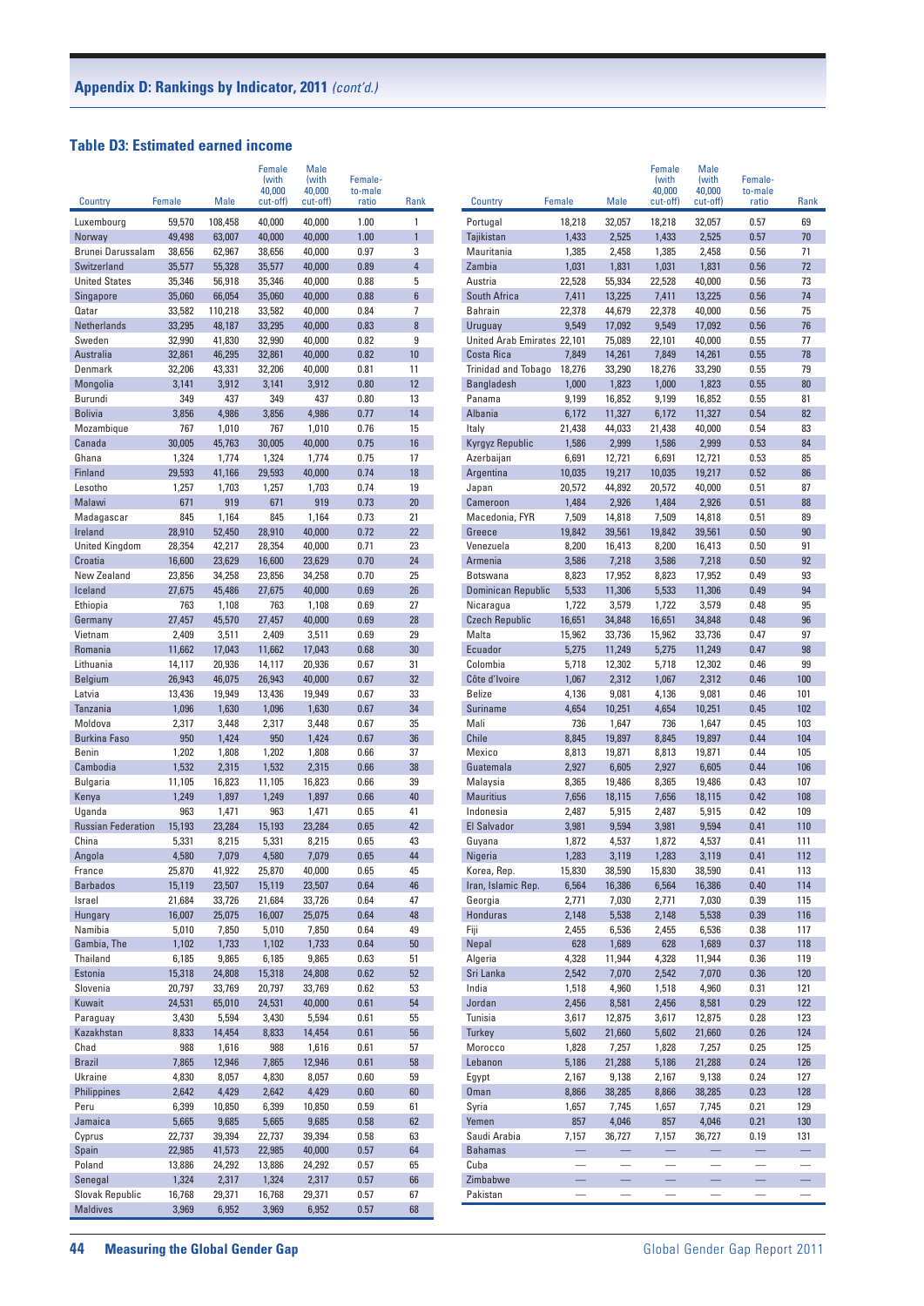#### **Table D3: Estimated earned income**

| Country                   | Female           | Male              | Female<br>(with<br>40,000<br>cut-off) | Male<br>(with<br>40,000<br>cut-off) | Female-<br>to-male<br>ratio | Rank                | Country                     | Female                   | Male                            | Female<br>(with<br>40,000<br>cut-off) | Male<br>(with<br>40,000<br>cut-off) | Female-<br>to-male<br>ratio | Rank                            |
|---------------------------|------------------|-------------------|---------------------------------------|-------------------------------------|-----------------------------|---------------------|-----------------------------|--------------------------|---------------------------------|---------------------------------------|-------------------------------------|-----------------------------|---------------------------------|
| Luxembourg                | 59,570           | 108,458           | 40,000                                | 40,000                              | 1.00                        | 1                   | Portugal                    | 18,218                   | 32,057                          | 18,218                                | 32,057                              | 0.57                        | 69                              |
| Norway                    | 49,498           | 63,007            | 40,000                                | 40,000                              | 1.00                        | $\mathbf{1}$        | Tajikistan                  | 1,433                    | 2,525                           | 1,433                                 | 2,525                               | 0.57                        | $70$                            |
| Brunei Darussalam         | 38,656           | 62,967            | 38,656                                | 40,000                              | 0.97                        | 3                   | Mauritania                  | 1,385                    | 2,458                           | 1,385                                 | 2,458                               | 0.56                        | 71                              |
| Switzerland               | 35,577           | 55,328            | 35,577                                | 40,000                              | 0.89                        | $\overline{4}$      | Zambia                      | 1,031                    | 1,831                           | 1,031                                 | 1,831                               | 0.56                        | 72                              |
| <b>United States</b>      | 35,346           | 56,918            | 35,346                                | 40,000                              | 0.88                        | 5                   | Austria                     | 22,528                   | 55,934                          | 22,528                                | 40,000                              | 0.56                        | 73                              |
| Singapore                 | 35,060           | 66,054            | 35,060                                | 40,000                              | 0.88                        | $6\phantom{1}$      | South Africa                | 7,411                    | 13,225                          | 7,411                                 | 13,225                              | 0.56                        | 74                              |
| Qatar<br>Netherlands      | 33,582<br>33,295 | 110,218<br>48,187 | 33,582<br>33,295                      | 40,000<br>40,000                    | 0.84<br>0.83                | $\overline{7}$<br>8 | <b>Bahrain</b><br>Uruguay   | 22,378<br>9,549          | 44,679<br>17,092                | 22,378<br>9,549                       | 40,000<br>17,092                    | 0.56<br>0.56                | 75<br>76                        |
| Sweden                    | 32,990           | 41,830            | 32,990                                | 40,000                              | 0.82                        | 9                   | United Arab Emirates 22,101 |                          | 75,089                          | 22,101                                | 40,000                              | 0.55                        | 77                              |
| Australia                 | 32,861           | 46,295            | 32,861                                | 40,000                              | 0.82                        | 10                  | Costa Rica                  | 7,849                    | 14,261                          | 7,849                                 | 14,261                              | 0.55                        | 78                              |
| Denmark                   | 32,206           | 43,331            | 32,206                                | 40,000                              | 0.81                        | 11                  | <b>Trinidad and Tobago</b>  | 18,276                   | 33,290                          | 18,276                                | 33,290                              | 0.55                        | 79                              |
| Mongolia                  | 3,141            | 3,912             | 3,141                                 | 3,912                               | 0.80                        | 12                  | <b>Bangladesh</b>           | 1,000                    | 1,823                           | 1,000                                 | 1,823                               | 0.55                        | 80                              |
| Burundi                   | 349              | 437               | 349                                   | 437                                 | 0.80                        | 13                  | Panama                      | 9,199                    | 16,852                          | 9,199                                 | 16,852                              | 0.55                        | 81                              |
| <b>Bolivia</b>            | 3,856            | 4,986             | 3,856                                 | 4,986                               | 0.77                        | 14                  | Albania                     | 6,172                    | 11,327                          | 6,172                                 | 11,327                              | 0.54                        | 82                              |
| Mozambique                | 767              | 1,010             | 767                                   | 1,010                               | 0.76                        | 15                  | Italy                       | 21,438                   | 44,033                          | 21,438                                | 40,000                              | 0.54                        | 83                              |
| Canada                    | 30,005           | 45,763            | 30,005                                | 40,000                              | 0.75                        | 16                  | Kyrgyz Republic             | 1,586                    | 2,999                           | 1,586                                 | 2,999                               | 0.53                        | 84                              |
| Ghana                     | 1,324            | 1,774             | 1,324                                 | 1,774                               | 0.75                        | 17                  | Azerbaijan                  | 6,691                    | 12,721                          | 6,691                                 | 12,721                              | 0.53                        | 85                              |
| Finland                   | 29,593           | 41,166            | 29,593                                | 40,000                              | 0.74                        | 18                  | Argentina                   | 10,035                   | 19,217                          | 10,035                                | 19,217                              | 0.52                        | 86                              |
| Lesotho                   | 1,257            | 1,703             | 1,257                                 | 1,703                               | 0.74                        | 19                  | Japan                       | 20,572                   | 44,892                          | 20,572                                | 40,000                              | 0.51                        | 87                              |
| Malawi                    | 671<br>845       | 919               | 671<br>845                            | 919                                 | 0.73<br>0.73                | 20<br>21            | Cameroon                    | 1,484                    | 2,926                           | 1,484                                 | 2,926                               | 0.51<br>0.51                | 88                              |
| Madagascar<br>Ireland     | 28,910           | 1,164<br>52,450   | 28,910                                | 1,164<br>40,000                     | 0.72                        | 22                  | Macedonia, FYR<br>Greece    | 7,509<br>19,842          | 14,818<br>39,561                | 7,509<br>19,842                       | 14,818<br>39,561                    | 0.50                        | 89<br>90                        |
| <b>United Kingdom</b>     | 28,354           | 42,217            | 28,354                                | 40,000                              | 0.71                        | 23                  | Venezuela                   | 8,200                    | 16,413                          | 8,200                                 | 16,413                              | 0.50                        | 91                              |
| Croatia                   | 16,600           | 23,629            | 16,600                                | 23,629                              | 0.70                        | 24                  | Armenia                     | 3,586                    | 7,218                           | 3,586                                 | 7,218                               | 0.50                        | 92                              |
| New Zealand               | 23,856           | 34,258            | 23,856                                | 34,258                              | 0.70                        | 25                  | <b>Botswana</b>             | 8,823                    | 17,952                          | 8,823                                 | 17,952                              | 0.49                        | 93                              |
| Iceland                   | 27,675           | 45,486            | 27,675                                | 40,000                              | 0.69                        | 26                  | Dominican Republic          | 5,533                    | 11,306                          | 5,533                                 | 11,306                              | 0.49                        | 94                              |
| Ethiopia                  | 763              | 1,108             | 763                                   | 1,108                               | 0.69                        | 27                  | Nicaragua                   | 1,722                    | 3,579                           | 1,722                                 | 3,579                               | 0.48                        | 95                              |
| Germany                   | 27,457           | 45,570            | 27,457                                | 40,000                              | 0.69                        | 28                  | <b>Czech Republic</b>       | 16,651                   | 34,848                          | 16,651                                | 34,848                              | 0.48                        | 96                              |
| Vietnam                   | 2,409            | 3,511             | 2,409                                 | 3,511                               | 0.69                        | 29                  | Malta                       | 15,962                   | 33,736                          | 15,962                                | 33,736                              | 0.47                        | 97                              |
| Romania                   | 11,662           | 17,043            | 11,662                                | 17,043                              | 0.68                        | 30                  | Ecuador                     | 5,275                    | 11,249                          | 5,275                                 | 11,249                              | 0.47                        | 98                              |
| Lithuania                 | 14,117           | 20,936            | 14,117                                | 20,936                              | 0.67                        | 31                  | Colombia                    | 5,718                    | 12,302                          | 5,718                                 | 12,302                              | 0.46                        | 99                              |
| <b>Belgium</b>            | 26,943           | 46,075            | 26,943                                | 40,000                              | 0.67                        | 32                  | Côte d'Ivoire               | 1,067                    | 2,312                           | 1,067                                 | 2,312                               | 0.46                        | 100                             |
| Latvia                    | 13,436           | 19,949            | 13,436                                | 19,949                              | 0.67                        | 33                  | <b>Belize</b>               | 4,136                    | 9,081                           | 4,136                                 | 9,081                               | 0.46                        | 101                             |
| Tanzania<br>Moldova       | 1,096<br>2,317   | 1,630<br>3,448    | 1,096<br>2,317                        | 1,630<br>3,448                      | 0.67<br>0.67                | 34<br>35            | Suriname<br>Mali            | 4,654<br>736             | 10,251<br>1,647                 | 4,654<br>736                          | 10,251<br>1,647                     | 0.45<br>0.45                | 102<br>103                      |
| <b>Burkina Faso</b>       | 950              | 1,424             | 950                                   | 1,424                               | 0.67                        | 36                  | <b>Chile</b>                | 8,845                    | 19,897                          | 8,845                                 | 19,897                              | 0.44                        | 104                             |
| <b>Benin</b>              | 1,202            | 1,808             | 1,202                                 | 1,808                               | 0.66                        | 37                  | Mexico                      | 8,813                    | 19,871                          | 8,813                                 | 19,871                              | 0.44                        | 105                             |
| Cambodia                  | 1,532            | 2,315             | 1,532                                 | 2,315                               | 0.66                        | 38                  | Guatemala                   | 2,927                    | 6,605                           | 2,927                                 | 6,605                               | 0.44                        | 106                             |
| <b>Bulgaria</b>           | 11,105           | 16,823            | 11,105                                | 16,823                              | 0.66                        | 39                  | Malaysia                    | 8,365                    | 19,486                          | 8,365                                 | 19,486                              | 0.43                        | 107                             |
| Kenya                     | 1,249            | 1,897             | 1,249                                 | 1,897                               | 0.66                        | 40                  | <b>Mauritius</b>            | 7,656                    | 18,115                          | 7,656                                 | 18,115                              | 0.42                        | 108                             |
| Uganda                    | 963              | 1,471             | 963                                   | 1,471                               | 0.65                        | 41                  | Indonesia                   | 2,487                    | 5,915                           | 2,487                                 | 5,915                               | 0.42                        | 109                             |
| <b>Russian Federation</b> | 15,193           | 23,284            | 15,193                                | 23,284                              | 0.65                        | 42                  | El Salvador                 | 3,981                    | 9,594                           | 3,981                                 | 9,594                               | 0.41                        | 110                             |
| China                     | 5,331            | 8,215             | 5,331                                 | 8,215                               | 0.65                        | 43                  | Guyana                      | 1,872                    | 4,537                           | 1,872                                 | 4,537                               | 0.41                        | 111                             |
| Angola                    | 4,580            | 7,079             | 4,580                                 | 7,079                               | 0.65                        | 44                  | Nigeria                     | 1,283                    | 3,119                           | 1,283                                 | 3,119                               | 0.41                        | 112                             |
| France                    | 25,870           | 41,922            | 25,870                                | 40,000                              | 0.65                        | 45                  | Korea, Rep.                 | 15,830                   | 38,590                          | 15,830                                | 38,590                              | 0.41                        | 113                             |
| <b>Barbados</b>           | 15,119           | 23,507            | 15,119                                | 23,507                              | 0.64                        | 46                  | Iran, Islamic Rep.          | 6,564                    | 16,386                          | 6,564                                 | 16,386                              | 0.40                        | 114                             |
| Israel<br>Hungary         | 21,684<br>16,007 | 33,726<br>25,075  | 21,684<br>16,007                      | 33,726<br>25,075                    | 0.64<br>0.64                | 47<br>48            | Georgia<br>Honduras         | 2,771<br>2,148           | 7,030<br>5,538                  | 2,771<br>2,148                        | 7,030<br>5,538                      | 0.39<br>0.39                | 115<br>116                      |
| Namibia                   | 5,010            | 7,850             | 5,010                                 | 7,850                               | 0.64                        | 49                  | Fiji                        | 2,455                    | 6,536                           | 2,455                                 | 6,536                               | 0.38                        | 117                             |
| Gambia, The               | 1,102            | 1,733             | 1,102                                 | 1,733                               | 0.64                        | 50                  | Nepal                       | 628                      | 1,689                           | 628                                   | 1,689                               | 0.37                        | 118                             |
| Thailand                  | 6,185            | 9,865             | 6,185                                 | 9,865                               | 0.63                        | 51                  | Algeria                     | 4,328                    | 11,944                          | 4,328                                 | 11,944                              | 0.36                        | 119                             |
| Estonia                   | 15,318           | 24,808            | 15,318                                | 24,808                              | 0.62                        | 52                  | Sri Lanka                   | 2,542                    | 7,070                           | 2,542                                 | 7,070                               | 0.36                        | 120                             |
| Slovenia                  | 20,797           | 33,769            | 20,797                                | 33,769                              | 0.62                        | 53                  | India                       | 1,518                    | 4,960                           | 1,518                                 | 4,960                               | 0.31                        | 121                             |
| Kuwait                    | 24,531           | 65,010            | 24,531                                | 40,000                              | 0.61                        | 54                  | Jordan                      | 2,456                    | 8,581                           | 2,456                                 | 8,581                               | 0.29                        | 122                             |
| Paraguay                  | 3,430            | 5,594             | 3,430                                 | 5,594                               | 0.61                        | 55                  | Tunisia                     | 3,617                    | 12,875                          | 3,617                                 | 12,875                              | 0.28                        | 123                             |
| Kazakhstan                | 8,833            | 14,454            | 8,833                                 | 14,454                              | 0.61                        | 56                  | Turkey                      | 5,602                    | 21,660                          | 5,602                                 | 21,660                              | 0.26                        | 124                             |
| Chad                      | 988              | 1,616             | 988                                   | 1,616                               | 0.61                        | 57                  | Morocco                     | 1,828                    | 7,257                           | 1,828                                 | 7,257                               | 0.25                        | 125                             |
| <b>Brazil</b>             | 7,865            | 12,946            | 7,865                                 | 12,946                              | 0.61                        | 58                  | Lebanon                     | 5,186                    | 21,288                          | 5,186                                 | 21,288                              | 0.24                        | 126                             |
| Ukraine                   | 4,830            | 8,057             | 4,830                                 | 8,057                               | 0.60                        | 59                  | Egypt                       | 2,167                    | 9,138                           | 2,167                                 | 9,138                               | 0.24                        | 127                             |
| Philippines<br>Peru       | 2,642<br>6,399   | 4,429<br>10,850   | 2,642<br>6,399                        | 4,429<br>10,850                     | 0.60                        | 60<br>61            | <b>Oman</b><br>Syria        | 8,866                    | 38,285<br>7,745                 | 8,866                                 | 38,285                              | 0.23<br>0.21                | 128                             |
| Jamaica                   | 5,665            | 9,685             | 5,665                                 | 9,685                               | 0.59<br>0.58                | 62                  | Yemen                       | 1,657<br>857             | 4,046                           | 1,657<br>857                          | 7,745<br>4,046                      | 0.21                        | 129<br>130                      |
| Cyprus                    | 22,737           | 39,394            | 22,737                                | 39,394                              | 0.58                        | 63                  | Saudi Arabia                | 7,157                    | 36,727                          | 7,157                                 | 36,727                              | 0.19                        | 131                             |
| Spain                     | 22,985           | 41,573            | 22,985                                | 40,000                              | 0.57                        | 64                  | <b>Bahamas</b>              | $\overline{\phantom{0}}$ | -                               | —                                     | -                                   | —                           | -                               |
| Poland                    | 13,886           | 24,292            | 13,886                                | 24,292                              | 0.57                        | 65                  | Cuba                        |                          |                                 |                                       | $\overline{\phantom{0}}$            |                             | $\hspace{0.1mm}-\hspace{0.1mm}$ |
| Senegal                   | 1,324            | 2,317             | 1,324                                 | 2,317                               | 0.57                        | 66                  | Zimbabwe                    | -                        | $\qquad \qquad - \qquad \qquad$ | $\qquad \qquad -$                     |                                     | -                           | $\qquad \qquad -$               |
| Slovak Republic           | 16,768           | 29,371            | 16,768                                | 29,371                              | 0.57                        | 67                  | Pakistan                    |                          |                                 |                                       |                                     |                             |                                 |
| <b>Maldives</b>           | 3,969            | 6,952             | 3,969                                 | 6,952                               | 0.57                        | 68                  |                             |                          |                                 |                                       |                                     |                             |                                 |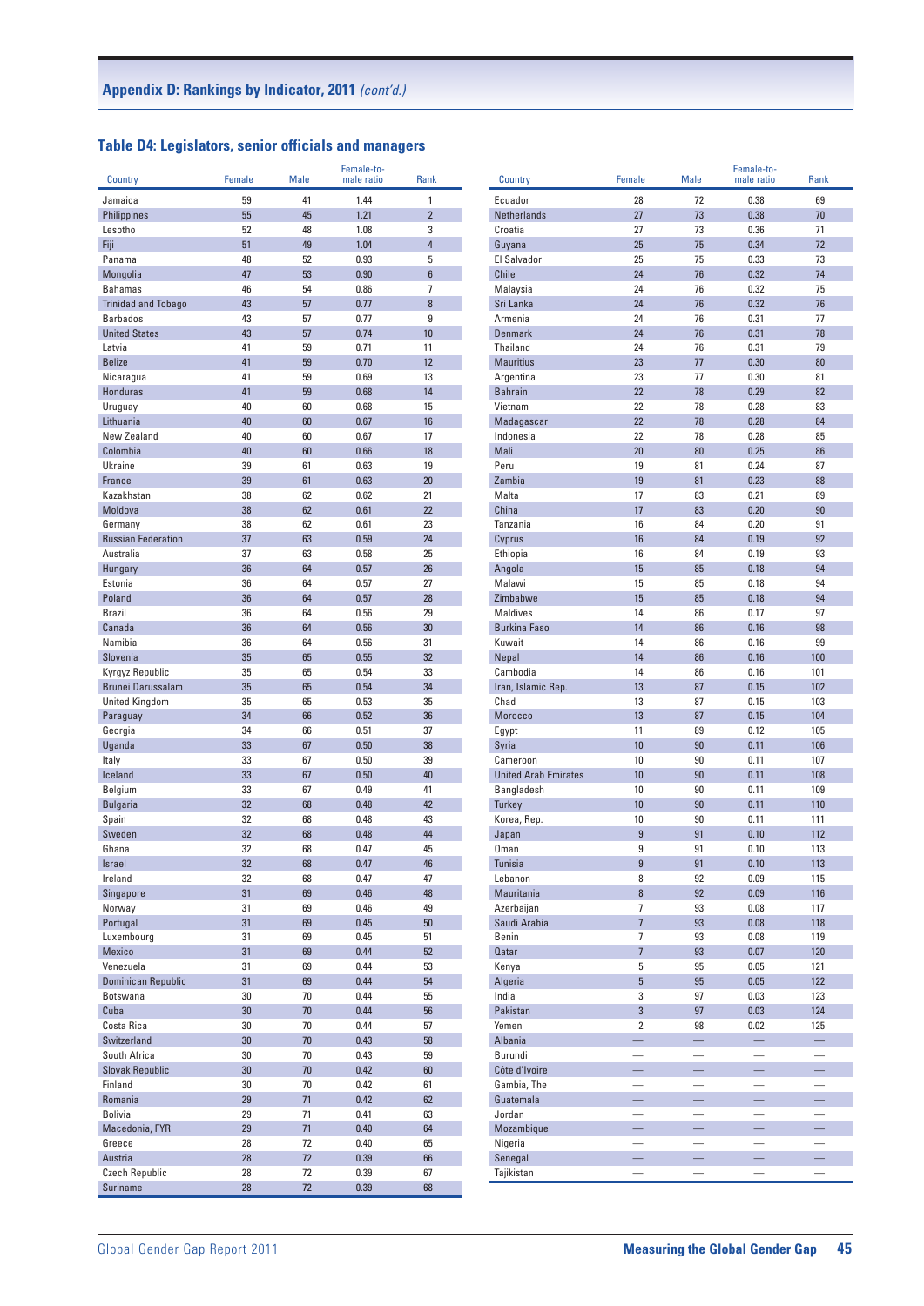## **Table D4: Legislators, senior officials and managers**

| Country                       | Female   | Male     | Female-to-<br>male ratio | Rank                           | Country                       | Female                   | Male                          | Female-to-<br>male ratio | Rank                     |
|-------------------------------|----------|----------|--------------------------|--------------------------------|-------------------------------|--------------------------|-------------------------------|--------------------------|--------------------------|
|                               |          |          |                          |                                |                               |                          |                               |                          |                          |
| Jamaica                       | 59       | 41       | 1.44                     | $\mathbf{1}$<br>$\overline{2}$ | Ecuador                       | 28<br>27                 | 72                            | 0.38                     | 69<br>70                 |
| <b>Philippines</b><br>Lesotho | 55<br>52 | 45<br>48 | 1.21<br>1.08             | 3                              | <b>Netherlands</b><br>Croatia | 27                       | 73<br>73                      | 0.38<br>0.36             | 71                       |
| Fiji                          | 51       | 49       | 1.04                     | $\overline{4}$                 | Guyana                        | 25                       | 75                            | 0.34                     | 72                       |
| Panama                        | 48       | 52       | 0.93                     | 5                              | El Salvador                   | 25                       | 75                            | 0.33                     | 73                       |
| Mongolia                      | 47       | 53       | 0.90                     | $6\phantom{1}$                 | Chile                         | 24                       | 76                            | 0.32                     | 74                       |
| <b>Bahamas</b>                | 46       | 54       | 0.86                     | $\overline{7}$                 | Malaysia                      | 24                       | 76                            | 0.32                     | 75                       |
| <b>Trinidad and Tobago</b>    | 43       | 57       | 0.77                     | $\bf 8$                        | Sri Lanka                     | 24                       | 76                            | 0.32                     | 76                       |
| <b>Barbados</b>               | 43       | 57       | 0.77                     | $\boldsymbol{9}$               | Armenia                       | 24                       | 76                            | 0.31                     | 77                       |
| <b>United States</b>          | 43       | 57       | 0.74                     | 10                             | <b>Denmark</b>                | 24                       | 76                            | 0.31                     | 78                       |
| Latvia                        | 41       | 59       | 0.71                     | 11                             | Thailand                      | 24                       | 76                            | 0.31                     | 79                       |
| <b>Belize</b>                 | 41       | 59       | 0.70                     | 12                             | <b>Mauritius</b>              | 23                       | 77                            | 0.30                     | 80                       |
| Nicaragua                     | 41       | 59       | 0.69                     | 13                             | Argentina                     | 23                       | 77                            | 0.30                     | 81                       |
| Honduras                      | 41       | 59       | 0.68                     | 14                             | <b>Bahrain</b>                | 22                       | 78                            | 0.29                     | 82                       |
| Uruguay                       | 40       | 60       | 0.68                     | 15                             | Vietnam                       | 22                       | 78                            | 0.28                     | 83                       |
| Lithuania                     | 40       | 60       | 0.67                     | 16                             | Madagascar                    | 22                       | 78                            | 0.28                     | 84                       |
| New Zealand                   | 40       | 60       | 0.67                     | 17                             | Indonesia                     | 22                       | 78                            | 0.28                     | 85                       |
| Colombia                      | 40       | 60       | 0.66                     | 18                             | Mali                          | 20                       | 80                            | 0.25                     | 86                       |
| Ukraine                       | 39       | 61       | 0.63                     | 19                             | Peru                          | 19                       | 81                            | 0.24                     | 87                       |
| France                        | 39       | 61       | 0.63                     | 20                             | Zambia                        | 19                       | 81                            | 0.23                     | 88                       |
| Kazakhstan                    | 38       | 62       | 0.62                     | 21                             | Malta                         | 17                       | 83                            | 0.21                     | 89                       |
| Moldova                       | 38       | 62       | 0.61                     | 22                             | China                         | 17                       | 83                            | 0.20                     | 90                       |
| Germany                       | 38       | 62       | 0.61                     | 23                             | Tanzania                      | 16                       | 84                            | 0.20                     | 91                       |
| <b>Russian Federation</b>     | 37       | 63       | 0.59                     | 24                             | Cyprus                        | 16                       | 84                            | 0.19                     | 92                       |
| Australia                     | 37       | 63       | 0.58                     | 25                             | Ethiopia                      | 16                       | 84                            | 0.19                     | 93                       |
| Hungary                       | 36       | 64       | 0.57                     | 26                             | Angola                        | 15                       | 85                            | 0.18                     | 94                       |
| Estonia                       | 36       | 64       | 0.57                     | 27                             | Malawi                        | 15                       | 85                            | 0.18                     | 94                       |
| Poland                        | 36       | 64       | 0.57                     | 28                             | Zimbabwe                      | 15                       | 85                            | 0.18                     | 94                       |
| <b>Brazil</b>                 | 36       | 64       | 0.56                     | 29                             | <b>Maldives</b>               | 14                       | 86                            | 0.17                     | 97                       |
| Canada                        | 36       | 64       | 0.56                     | 30                             | <b>Burkina Faso</b>           | 14                       | 86                            | 0.16                     | 98                       |
| Namibia                       | 36       | 64       | 0.56                     | 31                             | Kuwait                        | 14                       | 86                            | 0.16                     | 99                       |
| Slovenia                      | 35       | 65       | 0.55                     | 32                             | Nepal                         | 14                       | 86                            | 0.16                     | 100                      |
| Kyrgyz Republic               | 35       | 65       | 0.54                     | 33                             | Cambodia                      | 14                       | 86                            | 0.16                     | 101                      |
| Brunei Darussalam             | 35       | 65       | 0.54                     | 34                             | Iran, Islamic Rep.            | 13                       | 87                            | 0.15                     | 102                      |
| <b>United Kingdom</b>         | 35       | 65       | 0.53                     | 35                             | Chad                          | 13                       | 87                            | 0.15                     | 103                      |
| Paraguay                      | 34       | 66       | 0.52                     | 36                             | Morocco                       | 13                       | 87                            | 0.15                     | 104                      |
| Georgia                       | 34       | 66       | 0.51                     | 37                             | Egypt                         | 11                       | 89                            | 0.12                     | 105                      |
| Uganda                        | 33       | 67       | 0.50                     | 38                             | Syria                         | 10                       | 90                            | 0.11                     | 106                      |
| Italy                         | 33       | 67       | 0.50                     | 39                             | Cameroon                      | 10                       | 90                            | 0.11                     | 107                      |
| Iceland                       | 33       | 67       | 0.50                     | 40                             | <b>United Arab Emirates</b>   | 10                       | 90                            | 0.11                     | 108                      |
| Belgium                       | 33       | 67       | 0.49                     | 41                             | Bangladesh                    | 10                       | 90                            | 0.11                     | 109                      |
| <b>Bulgaria</b>               | 32       | 68       | 0.48                     | 42                             | <b>Turkey</b>                 | 10                       | 90                            | 0.11                     | 110                      |
| Spain                         | 32       | 68       | 0.48                     | 43                             | Korea, Rep.                   | 10                       | 90                            | 0.11                     | 111                      |
| Sweden                        | 32       | 68       | 0.48                     | 44                             | Japan                         | $\overline{9}$           | 91                            | 0.10                     | 112                      |
| Ghana                         | 32       | 68       | 0.47                     | 45                             | <b>Oman</b>                   | 9                        | 91                            | 0.10                     | 113                      |
| Israel                        | 32       | 68       | 0.41                     | 46                             | <b>Tunisia</b>                | y                        | 91                            | 0.10                     | 113                      |
| Ireland                       | 32       | 68       | 0.47                     | 47                             | Lebanon                       | 8                        | 92                            | 0.09                     | 115                      |
| Singapore                     | 31       | 69       | 0.46                     | 48                             | Mauritania                    | 8                        | 92                            | 0.09                     | 116                      |
| Norway                        | 31       | 69       | 0.46                     | 49                             | Azerbaijan                    | $\overline{7}$           | 93                            | 0.08                     | 117                      |
| Portugal                      | 31       | 69       | 0.45                     | $50\,$                         | Saudi Arabia                  | $\overline{7}$           | 93                            | 0.08                     | 118                      |
| Luxembourg                    | 31       | 69       | 0.45                     | 51                             | Benin                         | $\overline{7}$           | 93                            | 0.08                     | 119                      |
| Mexico                        | 31       | 69       | 0.44                     | 52                             | <b>Qatar</b>                  | $\overline{7}$           | 93                            | 0.07                     | 120                      |
| Venezuela                     | 31       | 69       | 0.44                     | 53                             | Kenya                         | 5                        | 95                            | 0.05                     | 121                      |
| <b>Dominican Republic</b>     | 31       | 69       | 0.44                     | 54                             | Algeria                       | 5                        | 95                            | 0.05                     | 122                      |
| Botswana                      | 30       | 70       | 0.44                     | 55                             | India                         | 3                        | 97                            | 0.03                     | 123                      |
| Cuba                          | 30       | 70       | 0.44                     | 56                             | Pakistan                      | 3                        | 97                            | 0.03                     | 124                      |
| Costa Rica                    | 30       | 70       | 0.44                     | 57                             | Yemen                         | $\overline{2}$           | 98                            | 0.02                     | 125                      |
| Switzerland                   | 30       | $70$     | 0.43                     | 58                             | Albania                       |                          |                               |                          |                          |
| South Africa                  | 30       | 70       | 0.43                     | 59                             | Burundi                       | $\overline{\phantom{0}}$ | $\overline{\phantom{0}}$      |                          |                          |
| <b>Slovak Republic</b>        | 30       | $70$     | 0.42                     | 60                             | Côte d'Ivoire                 |                          |                               |                          |                          |
| Finland                       | 30       | 70       | 0.42                     | 61                             | Gambia, The                   | $\overline{\phantom{0}}$ | $\overline{\phantom{0}}$      | $\overline{\phantom{0}}$ |                          |
| Romania                       | 29       | 71       | 0.42                     | 62                             | Guatemala                     |                          | —                             |                          |                          |
| <b>Bolivia</b>                | 29       | 71       | 0.41                     | 63                             | Jordan                        |                          | -                             | -                        |                          |
| Macedonia, FYR                | 29       | 71       | 0.40                     | 64                             | Mozambique                    | -                        | $\overline{\phantom{0}}$      | -                        |                          |
| Greece                        | 28       | 72       | 0.40                     | 65                             | Nigeria                       | $\overline{\phantom{0}}$ | $\overbrace{\phantom{12333}}$ | $\overline{\phantom{0}}$ | -                        |
| Austria                       | 28       | 72       | 0.39                     | 66                             | Senegal                       |                          |                               |                          |                          |
| <b>Czech Republic</b>         | 28       | 72       | 0.39                     | 67                             | Tajikistan                    | $\overline{\phantom{0}}$ | $\overline{\phantom{0}}$      | —                        | $\overline{\phantom{0}}$ |
| Suriname                      | 28       | 72       | 0.39                     | 68                             |                               |                          |                               |                          |                          |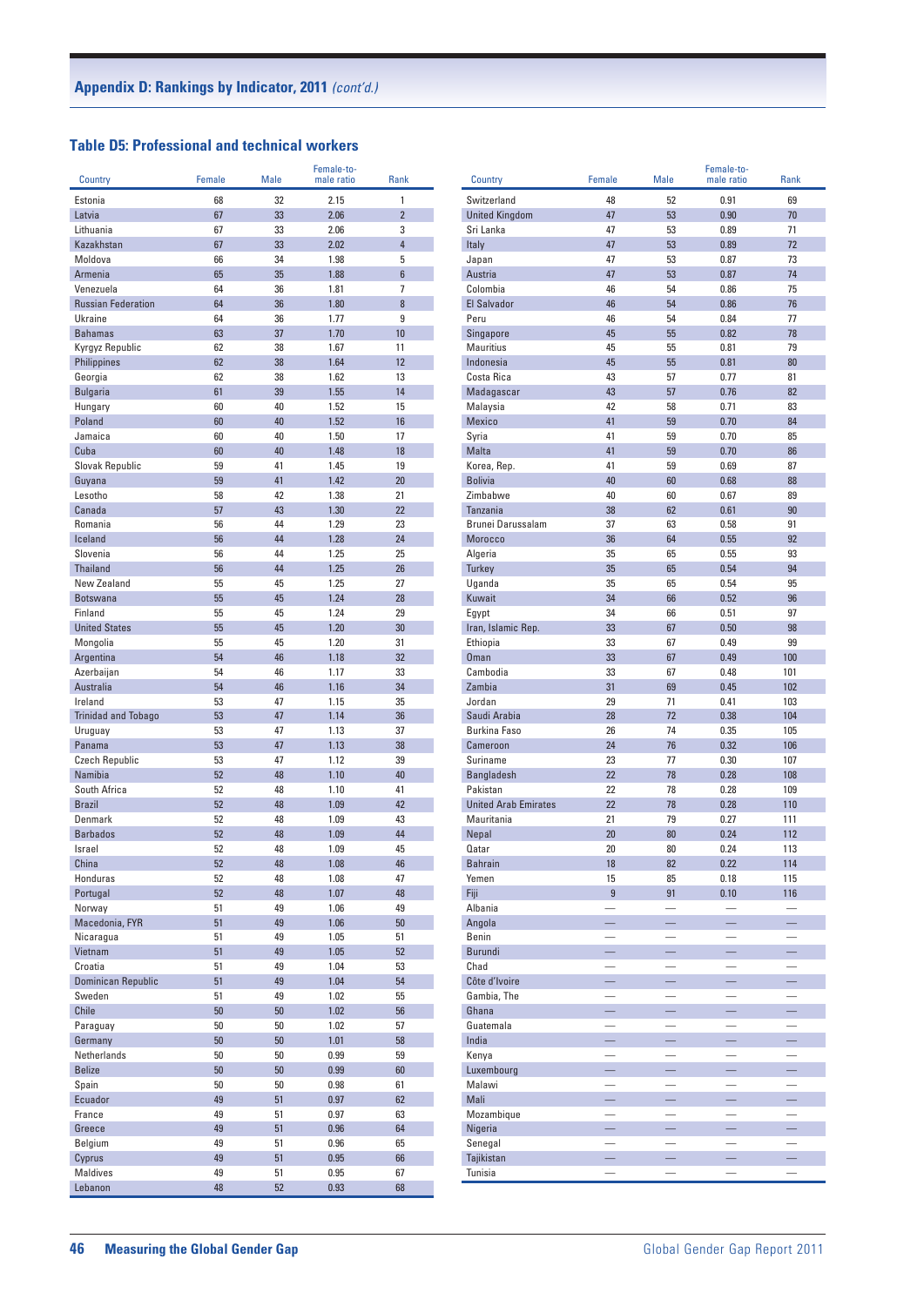# **Table D5: Professional and technical workers**

| Country                         | Female   | <b>Male</b> | Female-to-<br>male ratio | <b>Rank</b>         |
|---------------------------------|----------|-------------|--------------------------|---------------------|
|                                 |          |             |                          |                     |
| Estonia                         | 68       | 32          | 2.15<br>2.06             | 1<br>$\overline{2}$ |
| Latvia<br>Lithuania             | 67<br>67 | 33<br>33    | 2.06                     | 3                   |
| Kazakhstan                      | 67       | 33          | 2.02                     | $\overline{4}$      |
| Moldova                         | 66       | 34          | 1.98                     | 5                   |
| Armenia                         | 65       | 35          | 1.88                     | 6                   |
| Venezuela                       | 64       | 36          | 1.81                     | 7                   |
| <b>Russian Federation</b>       | 64       | 36          | 1.80                     | 8                   |
| <b>Ukraine</b>                  | 64       | 36          | 1.77                     | 9                   |
| <b>Bahamas</b>                  | 63       | 37          | 1.70                     | 10                  |
| Kyrgyz Republic                 | 62       | 38          | 1.67                     | 11                  |
| <b>Philippines</b>              | 62       | 38          | 1.64                     | 12                  |
| Georgia                         | 62       | 38          | 1.62                     | 13                  |
| <b>Bulgaria</b>                 | 61       | 39          | 1.55                     | 14                  |
| Hungary<br>Poland               | 60<br>60 | 40<br>40    | 1.52<br>1.52             | 15<br>16            |
| Jamaica                         | 60       | 40          | 1.50                     | 17                  |
| Cuba                            | 60       | 40          | 1.48                     | 18                  |
| Slovak Republic                 | 59       | 41          | 1.45                     | 19                  |
| Guyana                          | 59       | 41          | 1.42                     | 20                  |
| Lesotho                         | 58       | 42          | 1.38                     | 21                  |
| Canada                          | 57       | 43          | 1.30                     | 22                  |
| Romania                         | 56       | 44          | 1.29                     | 23                  |
| Iceland                         | 56       | 44          | 1.28                     | 24                  |
| Slovenia                        | 56       | 44          | 1.25                     | 25                  |
| Thailand                        | 56       | 44          | 1.25                     | 26                  |
| New Zealand                     | 55       | 45          | 1.25                     | 27                  |
| <b>Botswana</b>                 | 55       | 45          | 1.24                     | 28                  |
| Finland<br><b>United States</b> | 55<br>55 | 45<br>45    | 1.24<br>1.20             | 29<br>30            |
| Mongolia                        | 55       | 45          | 1.20                     | 31                  |
| Argentina                       | 54       | 46          | 1.18                     | 32                  |
| Azerbaijan                      | 54       | 46          | 1.17                     | 33                  |
| Australia                       | 54       | 46          | 1.16                     | 34                  |
| Ireland                         | 53       | 47          | 1.15                     | 35                  |
| <b>Trinidad and Tobago</b>      | 53       | 47          | 1.14                     | 36                  |
| Uruguay                         | 53       | 47          | 1.13                     | 37                  |
| Panama                          | 53       | 47          | 1.13                     | 38                  |
| <b>Czech Republic</b>           | 53       | 47          | 1.12                     | 39                  |
| Namibia                         | 52       | 48          | 1.10                     | 40                  |
| South Africa<br><b>Brazil</b>   | 52<br>52 | 48<br>48    | 1.10<br>1.09             | 41<br>42            |
| Denmark                         | 52       | 48          | 1.09                     | 43                  |
| <b>Barbados</b>                 | 52       | 48          | 1.09                     | 44                  |
| Israel                          | 52       | 48          | 1.09                     | 45                  |
| China                           | 52       | 48          | 1.08                     | 46                  |
| Honduras                        | 52       | 48          | 1.08                     | 47                  |
| Portugal                        | 52       | 48          | 1.07                     | 48                  |
| Norway                          | 51       | 49          | 1.06                     | 49                  |
| Macedonia, FYR                  | 51       | 49          | 1.06                     | 50                  |
| Nicaragua                       | 51       | 49          | 1.05                     | 51                  |
| Vietnam                         | 51       | 49          | 1.05                     | 52                  |
| Croatia                         | 51       | 49          | 1.04                     | 53                  |
| Dominican Republic<br>Sweden    | 51<br>51 | 49<br>49    | 1.04<br>1.02             | 54<br>55            |
| Chile                           | 50       | 50          | 1.02                     | 56                  |
| Paraguay                        | 50       | 50          | 1.02                     | 57                  |
| Germany                         | 50       | 50          | 1.01                     | 58                  |
| Netherlands                     | 50       | 50          | 0.99                     | 59                  |
| <b>Belize</b>                   | 50       | 50          | 0.99                     | 60                  |
| Spain                           | 50       | 50          | 0.98                     | 61                  |
| Ecuador                         | 49       | 51          | 0.97                     | 62                  |
| France                          | 49       | 51          | 0.97                     | 63                  |
| Greece                          | 49       | 51          | 0.96                     | 64                  |
| Belgium                         | 49       | 51          | 0.96                     | 65                  |
| Cyprus                          | 49       | 51          | 0.95                     | 66                  |
| Maldives<br>Lebanon             | 49<br>48 | 51<br>52    | 0.95<br>0.93             | 67<br>68            |
|                                 |          |             |                          |                     |

|                             | Female                   | <b>Male</b>              | Female-to-<br>male ratio | <b>Rank</b>              |
|-----------------------------|--------------------------|--------------------------|--------------------------|--------------------------|
| Country                     |                          |                          |                          |                          |
| Switzerland                 | 48                       | 52                       | 0.91                     | 69                       |
| <b>United Kingdom</b>       | 47                       | 53                       | 0.90                     | 70                       |
| Sri Lanka                   | 47                       | 53                       | 0.89                     | 71                       |
| Italy                       | 47                       | 53                       | 0.89                     | 72                       |
| Japan                       | 47                       | 53                       | 0.87                     | 73                       |
| Austria                     | 47                       | 53                       | 0.87                     | 74                       |
| Colombia                    | 46                       | 54                       | 0.86                     | 75                       |
| <b>El Salvador</b>          | 46                       | 54                       | 0.86                     | 76                       |
| Peru                        | 46                       | 54                       | 0.84                     | 77                       |
| Singapore                   | 45                       | 55                       | 0.82                     | 78                       |
| <b>Mauritius</b>            | 45                       | 55                       | 0.81                     | 79                       |
| Indonesia                   | 45                       | 55                       | 0.81                     | 80                       |
| Costa Rica                  | 43                       | 57                       | 0.77                     | 81                       |
| Madagascar                  | 43                       | 57                       | 0.76                     | 82                       |
| Malaysia                    | 42                       | 58                       | 0.71                     | 83                       |
| Mexico                      | 41                       | 59                       | 0.70                     | 84                       |
| Syria                       | 41                       | 59                       | 0.70                     | 85                       |
| Malta                       | 41                       | 59                       | 0.70                     | 86                       |
| Korea, Rep.                 | 41                       | 59                       | 0.69                     | 87                       |
| <b>Bolivia</b>              | 40                       | 60                       | 0.68                     | 88                       |
| Zimbabwe                    | 40                       | 60                       | 0.67                     | 89                       |
| <b>Tanzania</b>             | 38                       | 62                       | 0.61                     | 90                       |
| Brunei Darussalam           | 37                       | 63                       | 0.58                     | 91                       |
| Morocco                     | 36                       | 64                       | 0.55                     | 92                       |
| Algeria                     | 35                       | 65                       | 0.55                     | 93                       |
| <b>Turkey</b>               | 35                       | 65                       | 0.54                     | 94                       |
| Uganda                      | 35                       | 65                       | 0.54                     | 95                       |
| Kuwait                      | 34                       | 66                       | 0.52                     | 96                       |
| Egypt                       | 34                       | 66                       | 0.51                     | 97                       |
| Iran, Islamic Rep.          | 33                       | 67                       | 0.50                     | 98                       |
| Ethiopia                    | 33                       | 67                       | 0.49                     | 99                       |
| Oman                        | 33                       | 67                       | 0.49                     | 100                      |
| Cambodia                    | 33                       | 67                       | 0.48                     | 101                      |
| Zambia                      | 31                       | 69                       | 0.45                     | 102                      |
| Jordan                      | 29                       | 71                       | 0.41                     | 103                      |
| Saudi Arabia                | 28                       | 72                       | 0.38                     | 104                      |
| <b>Burkina Faso</b>         | 26                       | 74                       | 0.35                     | 105                      |
| Cameroon                    | 24                       | 76                       | 0.32                     | 106                      |
| Suriname                    | 23                       | 77                       | 0.30                     | 107                      |
| <b>Bangladesh</b>           | 22                       | 78                       | 0.28                     | 108                      |
| Pakistan                    | 22                       | 78                       | 0.28                     | 109                      |
| <b>United Arab Emirates</b> | 22                       | 78                       | 0.28                     | 110                      |
| Mauritania                  | 21                       | 79                       | 0.27                     | 111                      |
| Nepal                       | 20                       | 80                       | 0.24                     | 112                      |
| Qatar                       | 20                       | 80                       | 0.24                     | 113                      |
| Bahrain                     | 18                       | 82                       | 0.22                     | 114                      |
| Yemen                       | 15                       | 85                       | 0.18                     | 115                      |
| Fiji                        | $\overline{9}$           | 91                       | 0.10                     | 116                      |
| Albania                     |                          | $\overline{\phantom{0}}$ |                          | $\overline{\phantom{0}}$ |
| Angola                      | $\equiv$                 | $\equiv$                 | $\equiv$                 | $\equiv$                 |
| Benin                       |                          | $\overline{\phantom{0}}$ | $\overline{\phantom{0}}$ |                          |
| <b>Burundi</b>              |                          |                          | ÷,                       |                          |
| Chad                        |                          |                          |                          |                          |
| Côte d'Ivoire               | -                        | $\overline{\phantom{0}}$ | —                        | $\overline{\phantom{0}}$ |
| Gambia, The                 | $\overline{\phantom{0}}$ |                          | $\overline{\phantom{0}}$ |                          |
| Ghana                       | $\equiv$                 | $\equiv$                 | $\equiv$                 | $\equiv$                 |
| Guatemala                   | $\overline{\phantom{0}}$ | $\equiv$                 | $\overline{\phantom{0}}$ | $\overline{\phantom{0}}$ |
| India                       |                          |                          |                          |                          |
| Kenya                       |                          | $\overline{a}$           | $\overline{\phantom{0}}$ |                          |
| Luxembourg                  | -                        | $\equiv$                 | ÷,                       | ÷,                       |
| Malawi                      |                          |                          |                          |                          |
| Mali                        | $\equiv$                 | $-$                      | L,                       | $\equiv$                 |
| Mozambique                  |                          |                          |                          |                          |
| Nigeria                     |                          |                          |                          |                          |
| Senegal                     |                          |                          |                          |                          |
| Tajikistan                  | 드                        |                          | -                        | $\equiv$                 |
| Tunisia                     | $\qquad \qquad -$        | $\qquad \qquad -$        | —                        |                          |
|                             |                          |                          |                          |                          |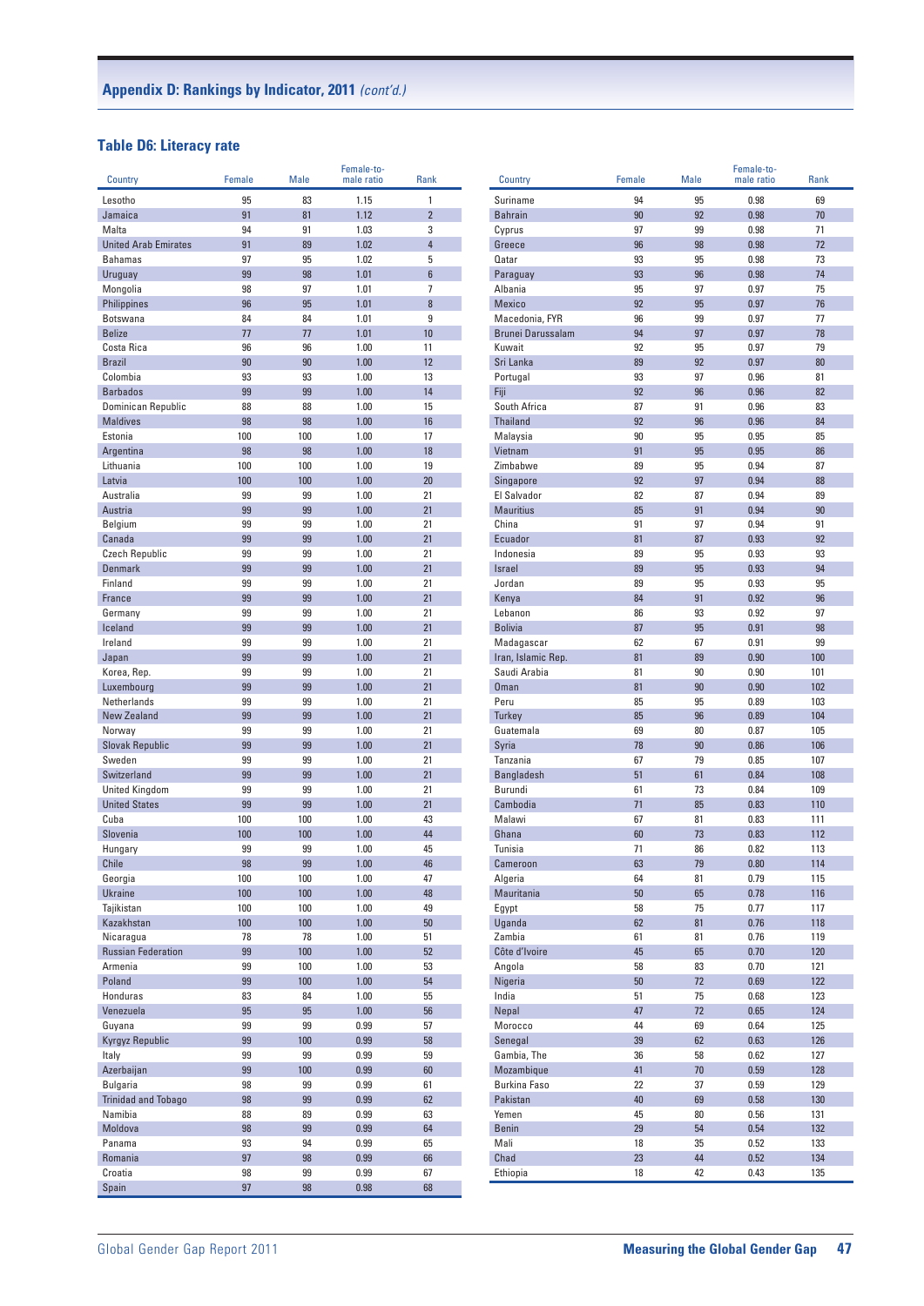#### **Table D6: Literacy rate**

| Country                              | Female   | <b>Male</b> | Female-to-<br>male ratio | Rank                | Country             | Female   | <b>Male</b> | Female-to-<br>male ratio | Rank     |
|--------------------------------------|----------|-------------|--------------------------|---------------------|---------------------|----------|-------------|--------------------------|----------|
|                                      |          |             |                          |                     |                     |          |             |                          |          |
| Lesotho                              | 95       | 83          | 1.15                     | 1                   | Suriname            | 94       | 95          | 0.98                     | 69       |
| Jamaica                              | 91       | 81          | 1.12                     | $\overline{2}$      | <b>Bahrain</b>      | 90<br>97 | 92<br>99    | 0.98                     | 70       |
| Malta<br><b>United Arab Emirates</b> | 94<br>91 | 91<br>89    | 1.03<br>1.02             | 3<br>$\overline{4}$ | Cyprus<br>Greece    | 96       | 98          | 0.98<br>0.98             | 71<br>72 |
| <b>Bahamas</b>                       | 97       | 95          | 1.02                     | 5                   | Qatar               | 93       | 95          | 0.98                     | 73       |
| Uruguay                              | 99       | 98          | 1.01                     | $6\phantom{a}$      | Paraguay            | 93       | 96          | 0.98                     | 74       |
| Mongolia                             | 98       | 97          | 1.01                     | 7                   | Albania             | 95       | 97          | 0.97                     | 75       |
| Philippines                          | 96       | 95          | 1.01                     | 8                   | <b>Mexico</b>       | 92       | 95          | 0.97                     | 76       |
| Botswana                             | 84       | 84          | 1.01                     | 9                   | Macedonia, FYR      | 96       | 99          | 0.97                     | 77       |
| <b>Belize</b>                        | 77       | 77          | 1.01                     | 10                  | Brunei Darussalam   | 94       | 97          | 0.97                     | 78       |
| Costa Rica                           | 96       | 96          | 1.00                     | 11                  | Kuwait              | 92       | 95          | 0.97                     | 79       |
| <b>Brazil</b>                        | 90       | 90          | 1.00                     | 12                  | Sri Lanka           | 89       | 92          | 0.97                     | 80       |
| Colombia                             | 93       | 93          | 1.00                     | 13                  | Portugal            | 93       | 97          | 0.96                     | 81       |
| <b>Barbados</b>                      | 99       | 99          | 1.00                     | 14                  | Fiji                | 92       | 96          | 0.96                     | 82       |
| Dominican Republic                   | 88       | 88          | 1.00                     | 15                  | South Africa        | 87       | 91          | 0.96                     | 83       |
| <b>Maldives</b>                      | 98       | 98          | 1.00                     | 16                  | Thailand            | 92       | 96          | 0.96                     | 84       |
| Estonia                              | 100      | 100         | 1.00                     | 17                  | Malaysia            | 90       | 95          | 0.95                     | 85       |
| Argentina                            | 98       | 98          | 1.00                     | 18                  | Vietnam             | 91       | 95          | 0.95                     | 86       |
| Lithuania                            | 100      | 100         | 1.00                     | 19                  | Zimbabwe            | 89       | 95          | 0.94                     | 87       |
| Latvia                               | 100      | 100         | 1.00                     | 20                  | Singapore           | 92       | 97          | 0.94                     | 88       |
| Australia                            | 99       | 99          | 1.00                     | 21                  | El Salvador         | 82       | 87          | 0.94                     | 89       |
| Austria                              | 99       | 99          | 1.00                     | 21                  | <b>Mauritius</b>    | 85       | 91          | 0.94                     | 90       |
| Belgium                              | 99       | 99          | 1.00                     | 21                  | China               | 91       | 97          | 0.94                     | 91       |
| Canada                               | 99       | 99          | 1.00                     | 21                  | Ecuador             | 81       | 87          | 0.93                     | 92       |
| <b>Czech Republic</b>                | 99       | 99          | 1.00                     | 21                  | Indonesia           | 89       | 95          | 0.93                     | 93       |
| <b>Denmark</b>                       | 99       | 99          | 1.00                     | 21                  | <b>Israel</b>       | 89       | 95          | 0.93                     | 94       |
| Finland                              | 99       | 99          | 1.00                     | 21                  | Jordan              | 89       | 95          | 0.93                     | 95       |
| France                               | 99       | 99          | 1.00                     | 21                  | Kenya               | 84       | 91          | 0.92                     | 96       |
| Germany                              | 99       | 99          | 1.00                     | 21                  | Lebanon             | 86       | 93          | 0.92                     | 97       |
| Iceland                              | 99       | 99          | 1.00                     | 21                  | <b>Bolivia</b>      | 87       | 95          | 0.91                     | 98       |
| Ireland                              | 99       | 99          | 1.00                     | 21                  | Madagascar          | 62       | 67          | 0.91                     | 99       |
| Japan                                | 99       | 99          | 1.00                     | 21                  | Iran, Islamic Rep.  | 81       | 89          | 0.90                     | 100      |
| Korea, Rep.                          | 99       | 99          | 1.00                     | 21                  | Saudi Arabia        | 81       | 90          | 0.90                     | 101      |
| Luxembourg                           | 99       | 99          | 1.00                     | 21                  | <b>Oman</b>         | 81       | 90          | 0.90                     | 102      |
| Netherlands                          | 99       | 99          | 1.00                     | 21                  | Peru                | 85       | 95          | 0.89                     | 103      |
| <b>New Zealand</b>                   | 99       | 99          | 1.00                     | 21                  | <b>Turkey</b>       | 85       | 96          | 0.89                     | 104      |
| Norway                               | 99       | 99          | 1.00                     | 21                  | Guatemala           | 69       | 80          | 0.87                     | 105      |
| <b>Slovak Republic</b>               | 99       | 99          | 1.00                     | 21                  | Syria               | 78       | 90          | 0.86                     | 106      |
| Sweden                               | 99       | 99          | 1.00                     | 21                  | Tanzania            | 67       | 79          | 0.85                     | 107      |
| Switzerland                          | 99       | 99          | 1.00                     | 21                  | <b>Bangladesh</b>   | 51       | 61          | 0.84                     | 108      |
| <b>United Kingdom</b>                | 99       | 99          | 1.00                     | 21                  | Burundi             | 61       | 73          | 0.84                     | 109      |
| <b>United States</b>                 | 99       | 99          | 1.00                     | 21                  | Cambodia            | 71       | 85          | 0.83                     | 110      |
| Cuba                                 | 100      | 100         | 1.00                     | 43                  | Malawi              | 67       | 81          | 0.83                     | 111      |
| Slovenia                             | 100      | 100         | 1.00                     | 44                  | Ghana               | 60       | 73          | 0.83                     | 112      |
| Hungary                              | 99       | 99          | 1.00                     | 45                  | Tunisia             | 71       | 86          | 0.82                     | 113      |
| Chile                                | 98       | 99          | 1.00                     | 46                  | Cameroon            | 63       | 19          | 0.80                     | 114      |
| Georgia                              | 100      | 100         | 1.00                     | 47                  | Algeria             | 64       | 81          | 0.79                     | 115      |
| <b>Ukraine</b>                       | 100      | 100         | 1.00                     | 48                  | Mauritania          | 50       | 65          | 0.78                     | 116      |
| Tajikistan                           | 100      | 100         | 1.00                     | 49                  | Egypt               | 58       | 75          | 0.77                     | 117      |
| Kazakhstan                           | 100      | 100         | 1.00                     | $50\,$              | Uganda              | 62       | 81          | 0.76                     | 118      |
| Nicaragua                            | 78       | 78          | 1.00                     | 51                  | Zambia              | 61       | 81          | 0.76                     | 119      |
| <b>Russian Federation</b>            | 99       | 100         | 1.00                     | 52                  | Côte d'Ivoire       | 45       | 65          | 0.70                     | 120      |
| Armenia                              | 99       | 100         | 1.00                     | 53                  | Angola              | 58       | 83          | 0.70                     | 121      |
| Poland                               | 99       | 100         | 1.00                     | 54                  | Nigeria             | 50       | 72          | 0.69                     | 122      |
| Honduras                             | 83       | 84          | 1.00                     | 55                  | India               | 51       | 75          | 0.68                     | 123      |
| Venezuela                            | 95       | 95          | 1.00                     | 56                  | Nepal               | 47       | 72          | 0.65                     | 124      |
| Guyana                               | 99       | 99          | 0.99                     | 57                  | Morocco             | 44       | 69          | 0.64                     | 125      |
| Kyrgyz Republic                      | 99       | 100         | 0.99                     | 58                  | Senegal             | 39       | 62          | 0.63                     | 126      |
| Italy                                | 99       | 99          | 0.99                     | 59                  | Gambia, The         | 36       | 58          | 0.62                     | 127      |
| Azerbaijan                           | 99       | 100         | 0.99                     | 60                  | Mozambique          | 41       | $70$        | 0.59                     | 128      |
| Bulgaria                             | 98       | 99          | 0.99                     | 61                  | <b>Burkina Faso</b> | 22       | 37          | 0.59                     | 129      |
| <b>Trinidad and Tobago</b>           | 98       | 99          | 0.99                     | 62                  | Pakistan            | 40       | 69          | 0.58                     | 130      |
| Namibia                              | 88       | 89          | 0.99                     | 63                  | Yemen               | 45       | $80\,$      | 0.56                     | 131      |
| Moldova                              | 98       | 99          | 0.99                     | 64                  | <b>Benin</b>        | 29       | 54          | 0.54                     | 132      |
| Panama                               | 93       | 94          | 0.99                     | 65                  | Mali                | 18       | $35\,$      | 0.52                     | 133      |
| Romania                              | 97       | 98          | 0.99                     | 66                  | Chad                | 23       | 44          | 0.52                     | 134      |
| Croatia                              | 98       | 99          | 0.99                     | 67                  | Ethiopia            | 18       | 42          | 0.43                     | 135      |
| Spain                                | 97       | 98          | 0.98                     | 68                  |                     |          |             |                          |          |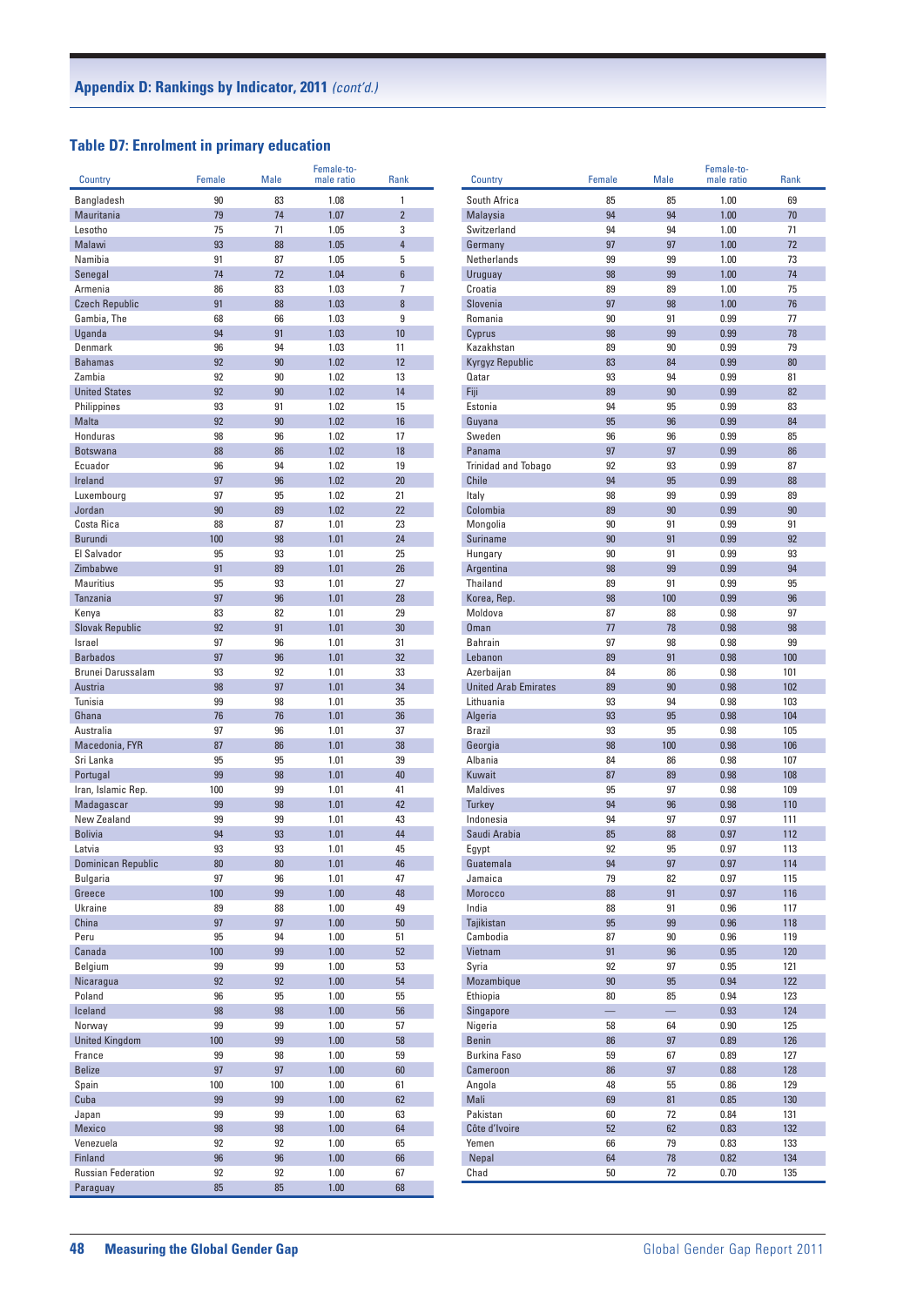## **Table D7: Enrolment in primary education**

| <b>Country</b>            | Female   | <b>Male</b> | Female-to-<br>male ratio | <b>Rank</b>    |
|---------------------------|----------|-------------|--------------------------|----------------|
|                           |          |             |                          |                |
| Bangladesh                | 90       | 83          | 1.08                     | 1              |
| Mauritania                | 79       | 74          | 1.07                     | $\overline{2}$ |
| Lesotho<br>Malawi         | 75<br>93 | 71<br>88    | 1.05<br>1.05             | 3<br>4         |
| Namibia                   | 91       | 87          | 1.05                     | 5              |
| Senegal                   | 74       | 72          | 1.04                     | 6              |
| Armenia                   | 86       | 83          | 1.03                     | 7              |
| <b>Czech Republic</b>     | 91       | 88          | 1.03                     | 8              |
| Gambia, The               | 68       | 66          | 1.03                     | 9              |
| Uganda                    | 94       | 91          | 1.03                     | 10             |
| Denmark                   | 96       | 94          | 1.03                     | 11             |
| <b>Bahamas</b>            | 92       | 90          | 1.02                     | 12             |
| Zambia                    | 92       | 90          | 1.02                     | 13             |
| <b>United States</b>      | 92       | 90          | 1.02                     | 14             |
| Philippines               | 93       | 91          | 1.02                     | 15             |
| <b>Malta</b>              | 92       | 90          | 1.02                     | 16             |
| <b>Honduras</b>           | 98       | 96          | 1.02                     | 17             |
| <b>Botswana</b>           | 88       | 86          | 1.02                     | 18             |
| Ecuador                   | 96       | 94          | 1.02                     | 19             |
| Ireland                   | 97       | 96          | 1.02                     | 20             |
| Luxembourg                | 97       | 95          | 1.02                     | 21             |
| Jordan                    | 90       | 89          | 1.02                     | 22             |
| Costa Rica                | 88       | 87          | 1.01                     | 23             |
| <b>Burundi</b>            | 100      | 98          | 1.01                     | 24             |
| El Salvador               | 95       | 93          | 1.01                     | 25             |
| Zimbabwe                  | 91       | 89          | 1.01                     | 26             |
| <b>Mauritius</b>          | 95       | 93          | 1.01                     | 27             |
| Tanzania                  | 97       | 96          | 1.01                     | 28             |
| Kenya                     | 83       | 82          | 1.01                     | 29             |
| <b>Slovak Republic</b>    | 92       | 91          | 1.01                     | 30             |
| Israel<br><b>Barbados</b> | 97<br>97 | 96<br>96    | 1.01                     | 31<br>32       |
| Brunei Darussalam         | 93       | 92          | 1.01<br>1.01             | 33             |
| Austria                   | 98       | 97          | 1.01                     | 34             |
| Tunisia                   | 99       | 98          | 1.01                     | 35             |
| Ghana                     | 76       | 76          | 1.01                     | 36             |
| Australia                 | 97       | 96          | 1.01                     | 37             |
| Macedonia, FYR            | 87       | 86          | 1.01                     | 38             |
| Sri Lanka                 | 95       | 95          | 1.01                     | 39             |
| Portugal                  | 99       | 98          | 1.01                     | 40             |
| Iran, Islamic Rep.        | 100      | 99          | 1.01                     | 41             |
| Madagascar                | 99       | 98          | 1.01                     | 42             |
| New Zealand               | 99       | 99          | 1.01                     | 43             |
| <b>Bolivia</b>            | 94       | 93          | 1.01                     | 44             |
| Latvia                    | 93       | 93          | 1.01                     | 45             |
| <b>Dominican Republic</b> | 80       | 80          | 1.01                     | 46             |
| Bulgaria                  | 97       | 96          | 1.01                     | 47             |
| Greece                    | 100      | 99          | 1.00                     | 48             |
| Ukraine                   | 89       | 88          | 1.00                     | 49             |
| China                     | 97       | 97          | 1.00                     | 50             |
| Peru                      | 95       | 94          | 1.00                     | 51             |
| Canada                    | 100      | 99          | 1.00                     | 52             |
| Belgium                   | 99       | 99          | 1.00                     | 53             |
| Nicaragua                 | 92       | 92          | 1.00                     | 54             |
| Poland                    | 96       | 95          | 1.00                     | 55<br>56       |
| Iceland<br>Norway         | 98<br>99 | 98<br>99    | 1.00<br>1.00             | 57             |
| <b>United Kingdom</b>     | 100      | 99          | 1.00                     | 58             |
| France                    | 99       | 98          | 1.00                     | 59             |
| <b>Belize</b>             | 97       | 97          | 1.00                     | 60             |
| Spain                     | 100      | 100         | 1.00                     | 61             |
| Cuba                      | 99       | 99          | 1.00                     | 62             |
| Japan                     | 99       | 99          | 1.00                     | 63             |
| Mexico                    | 98       | 98          | 1.00                     | 64             |
| Venezuela                 | 92       | 92          | 1.00                     | 65             |
| Finland                   | 96       | 96          | 1.00                     | 66             |
| <b>Russian Federation</b> | 92       | 92          | 1.00                     | 67             |
| Paraguay                  | 85       | 85          | 1.00                     | 68             |

| Country                     | Female   | <b>Male</b> | Female-to-<br>male ratio | <b>Rank</b> |
|-----------------------------|----------|-------------|--------------------------|-------------|
| South Africa                | 85       | 85          | 1.00                     | 69          |
| <b>Malavsia</b>             | 94       | 94          | 1.00                     | 70          |
| Switzerland                 | 94       | 94          | 1.00                     | 71          |
| Germany                     | 97       | 97          | 1.00                     | 72          |
| Netherlands                 | 99       | 99          | 1.00                     | 73          |
| Uruguay                     | 98       | 99          | 1.00                     | 74          |
| Croatia                     | 89       | 89          | 1.00                     | 75          |
| Slovenia<br>Romania         | 97<br>90 | 98<br>91    | 1.00<br>0.99             | 76<br>77    |
| Cyprus                      | 98       | 99          | 0.99                     | 78          |
| Kazakhstan                  | 89       | 90          | 0.99                     | 79          |
| Kyrgyz Republic             | 83       | 84          | 0.99                     | 80          |
| Qatar                       | 93       | 94          | 0.99                     | 81          |
| Fiji                        | 89       | 90          | 0.99                     | 82          |
| Estonia                     | 94       | 95          | 0.99                     | 83          |
| Guyana                      | 95       | 96          | 0.99                     | 84          |
| Sweden<br>Panama            | 96<br>97 | 96<br>97    | 0.99<br>0.99             | 85<br>86    |
| <b>Trinidad and Tobago</b>  | 92       | 93          | 0.99                     | 87          |
| <b>Chile</b>                | 94       | 95          | 0.99                     | 88          |
| Italy                       | 98       | 99          | 0.99                     | 89          |
| Colombia                    | 89       | 90          | 0.99                     | 90          |
| Mongolia                    | 90       | 91          | 0.99                     | 91          |
| <b>Suriname</b>             | 90       | 91          | 0.99                     | 92          |
| Hungary                     | 90       | 91          | 0.99                     | 93          |
| Argentina<br>Thailand       | 98<br>89 | 99<br>91    | 0.99                     | 94<br>95    |
| Korea, Rep.                 | 98       | 100         | 0.99<br>0.99             | 96          |
| Moldova                     | 87       | 88          | 0.98                     | 97          |
| <b>Oman</b>                 | 77       | 78          | 0.98                     | 98          |
| <b>Bahrain</b>              | 97       | 98          | 0.98                     | 99          |
| Lebanon                     | 89       | 91          | 0.98                     | 100         |
| Azerbaijan                  | 84       | 86          | 0.98                     | 101         |
| <b>United Arab Emirates</b> | 89       | 90          | 0.98                     | 102         |
| Lithuania<br>Algeria        | 93<br>93 | 94<br>95    | 0.98<br>0.98             | 103<br>104  |
| <b>Brazil</b>               | 93       | 95          | 0.98                     | 105         |
| Georgia                     | 98       | 100         | 0.98                     | 106         |
| Albania                     | 84       | 86          | 0.98                     | 107         |
| Kuwait                      | 87       | 89          | 0.98                     | 108         |
| <b>Maldives</b>             | 95       | 97          | 0.98                     | 109         |
| <b>Turkey</b>               | 94       | 96          | 0.98                     | 110         |
| Indonesia<br>Saudi Arabia   | 94<br>85 | 97<br>88    | 0.97<br>0.97             | 111<br>112  |
| Egypt                       | 92       | 95          | 0.97                     | 113         |
| Guatemala                   | 94       | 97          | 0.97                     | 114         |
| Jamaica                     | 79       | 82          | 0.97                     | 115         |
| Morocco                     | 88       | 91          | 0.97                     | 116         |
| India                       | 88       | 91          | 0.96                     | 117         |
| Tajikistan                  | 95       | 99          | 0.96                     | 118         |
| Cambodia                    | 87       | 90          | 0.96                     | 119         |
| Vietnam<br>Syria            | 91<br>92 | 96<br>97    | 0.95<br>0.95             | 120<br>121  |
| Mozambique                  | 90       | 95          | 0.94                     | 122         |
| Ethiopia                    | 80       | 85          | 0.94                     | 123         |
| Singapore                   |          |             | 0.93                     | 124         |
| Nigeria                     | 58       | 64          | 0.90                     | 125         |
| <b>Benin</b>                | 86       | 97          | 0.89                     | 126         |
| <b>Burkina Faso</b>         | 59       | 67          | 0.89                     | 127         |
| Cameroon                    | 86       | 97          | 0.88                     | 128         |
| Angola<br>Mali              | 48<br>69 | 55<br>81    | 0.86<br>0.85             | 129<br>130  |
| Pakistan                    | 60       | 72          | 0.84                     | 131         |
| Côte d'Ivoire               | 52       | 62          | 0.83                     | 132         |
| Yemen                       | 66       | 79          | 0.83                     | 133         |
| Nepal                       | 64       | 78          | 0.82                     | 134         |
| Chad                        | 50       | 72          | 0.70                     | 135         |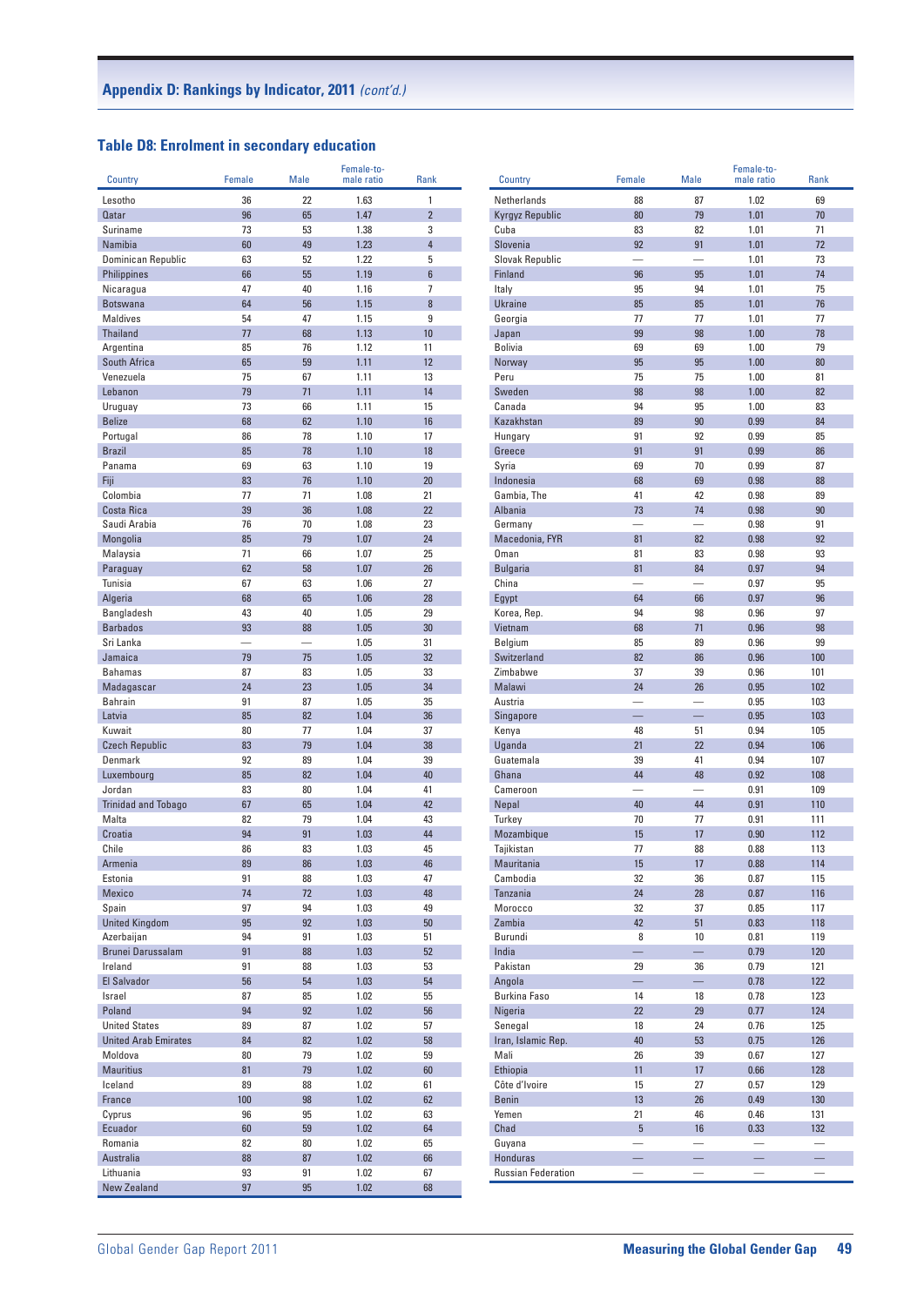### **Table D8: Enrolment in secondary education**

| Country                         | Female                   | Male                     | Female-to-<br>male ratio | Rank           | Country                   | Female                   | <b>Male</b>              | Female-to-<br>male ratio | Rank            |
|---------------------------------|--------------------------|--------------------------|--------------------------|----------------|---------------------------|--------------------------|--------------------------|--------------------------|-----------------|
|                                 |                          |                          |                          |                |                           |                          |                          |                          |                 |
| Lesotho                         | 36                       | 22                       | 1.63                     | 1              | Netherlands               | 88                       | 87                       | 1.02                     | 69              |
| <b>Qatar</b>                    | 96                       | 65                       | 1.47                     | $\overline{2}$ | Kyrgyz Republic           | 80                       | 79                       | 1.01                     | 70              |
| Suriname                        | 73                       | 53                       | 1.38                     | 3              | Cuba                      | 83                       | 82                       | 1.01                     | 71              |
| Namibia                         | 60                       | 49                       | 1.23                     | $\overline{4}$ | Slovenia                  | 92                       | 91                       | 1.01                     | 72              |
| <b>Dominican Republic</b>       | 63                       | 52                       | 1.22                     | 5              | Slovak Republic           | $\overline{\phantom{0}}$ | $\overline{\phantom{0}}$ | 1.01                     | 73              |
| <b>Philippines</b>              | 66                       | 55                       | 1.19                     | $6\phantom{a}$ | Finland                   | 96                       | 95                       | 1.01                     | 74              |
| Nicaragua                       | 47                       | 40                       | 1.16                     | $\overline{7}$ | Italy                     | 95                       | 94                       | 1.01                     | 75              |
| <b>Botswana</b>                 | 64                       | 56                       | 1.15                     | 8              | <b>Ukraine</b>            | 85                       | 85                       | 1.01                     | 76              |
| <b>Maldives</b>                 | 54                       | 47                       | 1.15                     | 9              | Georgia                   | 77                       | 77                       | 1.01                     | 77              |
| <b>Thailand</b>                 | 77                       | 68                       | 1.13                     | 10             | Japan                     | 99                       | 98                       | 1.00                     | 78              |
| Argentina                       | 85                       | 76                       | 1.12                     | 11             | <b>Bolivia</b>            | 69                       | 69                       | 1.00                     | 79              |
| South Africa                    | 65                       | 59                       | 1.11                     | 12             | Norway                    | 95                       | 95                       | 1.00                     | 80              |
| Venezuela                       | 75                       | 67                       | 1.11                     | 13             | Peru                      | 75                       | 75                       | 1.00                     | 81              |
| Lebanon                         | 79                       | 71                       | 1.11                     | 14             | Sweden                    | 98                       | 98                       | 1.00                     | 82              |
| Uruguay                         | 73                       | 66                       | 1.11                     | 15             | Canada                    | 94                       | 95                       | 1.00                     | 83              |
| <b>Belize</b>                   | 68                       | 62                       | 1.10                     | 16             | Kazakhstan                | 89                       | 90                       | 0.99                     | 84              |
| Portugal                        | 86                       | 78                       | 1.10                     | 17             | Hungary                   | 91                       | 92                       | 0.99                     | 85              |
| <b>Brazil</b>                   | 85                       | 78                       | 1.10                     | 18             | Greece                    | 91                       | 91                       | 0.99                     | 86              |
| Panama                          | 69                       | 63                       | 1.10                     | 19             | Syria                     | 69                       | 70                       | 0.99                     | 87              |
| Fiji<br>Colombia                | 83                       | 76                       | 1.10                     | 20             | Indonesia                 | 68                       | 69                       | 0.98                     | 88              |
|                                 | 77                       | 71                       | 1.08                     | 21             | Gambia, The               | 41                       | 42                       | 0.98                     | 89              |
| Costa Rica                      | 39                       | 36                       | 1.08                     | 22             | Albania                   | 73                       | 74                       | 0.98                     | 90              |
| Saudi Arabia                    | 76                       | 70                       | 1.08                     | 23             | Germany                   |                          | $\overline{\phantom{0}}$ | 0.98                     | 91              |
| Mongolia                        | 85                       | 79                       | 1.07                     | 24             | Macedonia, FYR            | 81                       | 82                       | 0.98                     | 92              |
| Malaysia                        | 71                       | 66                       | 1.07                     | 25             | Oman                      | 81                       | 83                       | 0.98                     | 93              |
| Paraguay                        | 62                       | 58                       | 1.07                     | 26             | <b>Bulgaria</b>           | 81                       | 84                       | 0.97                     | 94              |
| Tunisia                         | 67                       | 63                       | 1.06                     | 27             | China                     | -                        | $\overline{\phantom{0}}$ | 0.97                     | 95              |
| Algeria                         | 68                       | 65                       | 1.06                     | 28             | Egypt                     | 64                       | 66                       | 0.97                     | 96              |
| <b>Bangladesh</b>               | 43                       | 40                       | 1.05                     | 29             | Korea, Rep.               | 94                       | 98                       | 0.96                     | 97              |
| <b>Barbados</b>                 | 93                       | 88                       | 1.05                     | 30             | Vietnam                   | 68                       | 71                       | 0.96                     | 98              |
| Sri Lanka                       | $\overline{\phantom{0}}$ | $\overline{\phantom{0}}$ | 1.05                     | 31             | Belgium                   | 85                       | 89                       | 0.96                     | 99              |
| Jamaica                         | 79                       | 75                       | 1.05                     | 32             | Switzerland               | 82<br>37                 | 86<br>39                 | 0.96                     | 100<br>101      |
| <b>Bahamas</b>                  | 87                       | 83                       | 1.05                     | 33             | Zimbabwe                  |                          |                          | 0.96                     |                 |
| Madagascar                      | 24                       | 23                       | 1.05                     | 34             | Malawi                    | 24                       | 26                       | 0.95                     | 102<br>103      |
| <b>Bahrain</b>                  | 91                       | 87                       | 1.05                     | 35             | Austria                   |                          |                          | 0.95                     | 103             |
| Latvia                          | 85                       | 82                       | 1.04                     | 36             | Singapore                 |                          |                          | 0.95                     | 105             |
| Kuwait<br><b>Czech Republic</b> | 80<br>83                 | 77<br>79                 | 1.04<br>1.04             | 37<br>38       | Kenya<br>Uganda           | 48<br>21                 | 51<br>22                 | 0.94<br>0.94             | 106             |
| Denmark                         | 92                       | 89                       | 1.04                     | 39             | Guatemala                 | 39                       | 41                       | 0.94                     | 107             |
| Luxembourg                      | 85                       | 82                       | 1.04                     | 40             | Ghana                     | 44                       | 48                       | 0.92                     | 108             |
| Jordan                          | 83                       | 80                       | 1.04                     | 41             | Cameroon                  | $\overline{\phantom{0}}$ |                          | 0.91                     | 109             |
| <b>Trinidad and Tobago</b>      | 67                       | 65                       | 1.04                     | 42             | Nepal                     | 40                       | 44                       | 0.91                     | 110             |
| Malta                           | 82                       | 79                       | 1.04                     | 43             | Turkey                    | 70                       | 77                       | 0.91                     | 111             |
| Croatia                         | 94                       | 91                       | 1.03                     | 44             | Mozambique                | 15                       | 17                       | 0.90                     | 112             |
| Chile                           | 86                       | 83                       | 1.03                     | 45             | Tajikistan                | 77                       | 88                       | 0.88                     | 113             |
| Armenia                         | 89                       | 86                       | 1.03                     | 46             | Mauritania                | 15                       | 17                       | 0.88                     | 114             |
| Estonia                         | 91                       | 88                       | 1.03                     | 47             | Cambodia                  | 32                       | 36                       | 0.87                     | 115             |
| Mexico                          | 74                       | 72                       | 1.03                     | 48             | Tanzania                  | 24                       | 28                       | 0.87                     | 116             |
| Spain                           | 97                       | 94                       | 1.03                     | 49             | Morocco                   | 32                       | 37                       | 0.85                     | 117             |
| <b>United Kingdom</b>           | 95                       | 92                       | 1.03                     | 50             | Zambia                    | 42                       | 51                       | 0.83                     | 118             |
| Azerbaijan                      | 94                       | 91                       | 1.03                     | 51             | Burundi                   | 8                        | $10$                     | 0.81                     | 119             |
| Brunei Darussalam               | 91                       | 88                       | 1.03                     | 52             | India                     | L,                       | $\equiv$                 | 0.79                     | 120             |
| Ireland                         | 91                       | 88                       | 1.03                     | 53             | Pakistan                  | 29                       | 36                       | 0.79                     | 121             |
| El Salvador                     | 56                       | 54                       | 1.03                     | 54             | Angola                    | $\equiv$                 | $\equiv$                 | 0.78                     | 122             |
| Israel                          | 87                       | 85                       | 1.02                     | 55             | <b>Burkina Faso</b>       | 14                       | 18                       | 0.78                     | 123             |
| Poland                          | 94                       | 92                       | 1.02                     | 56             | Nigeria                   | 22                       | 29                       | 0.77                     | 124             |
| <b>United States</b>            | 89                       | 87                       | 1.02                     | 57             | Senegal                   | 18                       | 24                       | 0.76                     | 125             |
| <b>United Arab Emirates</b>     | 84                       | 82                       | 1.02                     | 58             | Iran, Islamic Rep.        | 40                       | 53                       | 0.75                     | 126             |
| Moldova                         | 80                       | 79                       | 1.02                     | 59             | Mali                      | 26                       | 39                       | 0.67                     | 127             |
| <b>Mauritius</b>                | 81                       | 79                       | 1.02                     | 60             | Ethiopia                  | 11                       | 17                       | 0.66                     | 128             |
| Iceland                         | 89                       | 88                       | 1.02                     | 61             | Côte d'Ivoire             | 15                       | 27                       | 0.57                     | 129             |
| France                          | 100                      | 98                       | 1.02                     | 62             | <b>Benin</b>              | 13                       | 26                       | 0.49                     | 130             |
| Cyprus                          | 96                       | 95                       | 1.02                     | 63             | Yemen                     | 21                       | 46                       | 0.46                     | 131             |
| Ecuador                         | 60                       | 59                       | 1.02                     | 64             | Chad                      | $5\phantom{.0}$          | 16                       | 0.33                     | 132             |
| Romania                         | 82                       | 80                       | 1.02                     | 65             | Guyana                    |                          |                          |                          |                 |
| Australia                       | 88                       | 87                       | 1.02                     | 66             | Honduras                  |                          | $\overline{\phantom{0}}$ | $\overline{\phantom{0}}$ | $\equiv$        |
| Lithuania                       | 93                       | 91                       | 1.02                     | 67             | <b>Russian Federation</b> |                          |                          |                          | $\qquad \qquad$ |
| <b>New Zealand</b>              | 97                       | 95                       | 1.02                     | 68             |                           |                          |                          |                          |                 |
|                                 |                          |                          |                          |                |                           |                          |                          |                          |                 |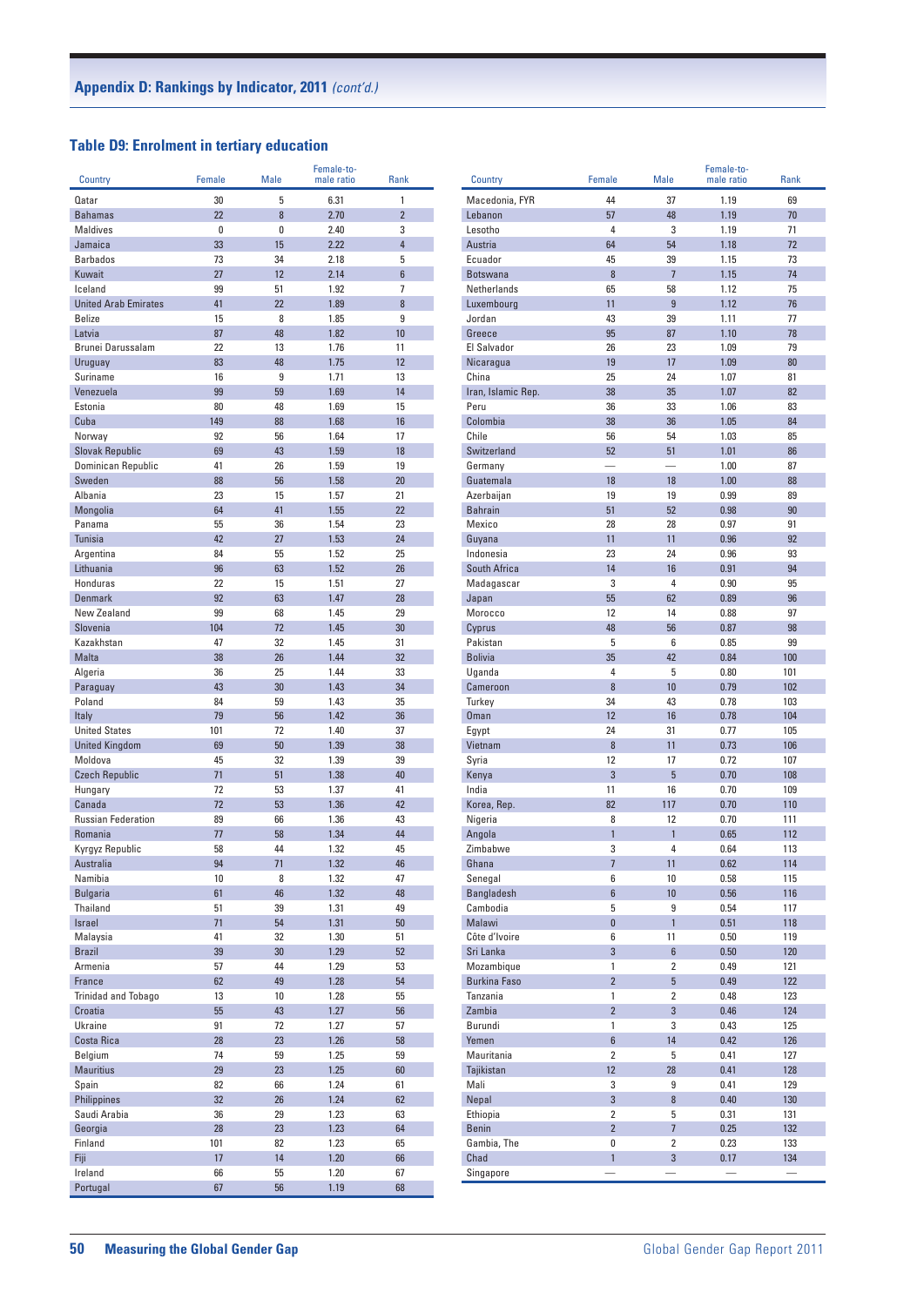## **Table D9: Enrolment in tertiary education**

| Country                     | Female   | <b>Male</b> | Female-to-<br>male ratio | <b>Rank</b>    |  |
|-----------------------------|----------|-------------|--------------------------|----------------|--|
|                             |          |             |                          |                |  |
| Qatar                       | 30       | 5           | 6.31                     | 1              |  |
| <b>Bahamas</b>              | 22       | 8           | 2.70                     | $\overline{2}$ |  |
| Maldives<br>Jamaica         | 0        | 0           | 2.40                     | 3              |  |
| <b>Barbados</b>             | 33<br>73 | 15<br>34    | 2.22<br>2.18             | 4<br>5         |  |
| Kuwait                      | 27       | 12          | 2.14                     | 6              |  |
| Iceland                     | 99       | 51          | 1.92                     | 7              |  |
| <b>United Arab Emirates</b> | 41       | 22          | 1.89                     | 8              |  |
| <b>Belize</b>               | 15       | 8           | 1.85                     | 9              |  |
| Latvia                      | 87       | 48          | 1.82                     | 10             |  |
| Brunei Darussalam           | 22       | 13          | 1.76                     | 11             |  |
| Uruguay                     | 83       | 48          | 1.75                     | 12             |  |
| Suriname                    | 16       | 9           | 1.71                     | 13             |  |
| Venezuela                   | 99       | 59          | 1.69                     | 14             |  |
| Estonia                     | 80       | 48          | 1.69                     | 15             |  |
| Cuba                        | 149      | 88          | 1.68                     | 16             |  |
| Norway                      | 92       | 56          | 1.64                     | 17             |  |
| <b>Slovak Republic</b>      | 69       | 43          | 1.59                     | 18             |  |
| Dominican Republic          | 41       | 26          | 1.59                     | 19             |  |
| Sweden                      | 88       | 56          | 1.58                     | 20             |  |
| Albania                     | 23       | 15          | 1.57                     | 21             |  |
| <b>Mongolia</b>             | 64       | 41          | 1.55                     | 22             |  |
| Panama                      | 55       | 36          | 1.54                     | 23             |  |
| <b>Tunisia</b>              | 42       | 27          | 1.53                     | 24             |  |
| Argentina                   | 84       | 55          | 1.52                     | 25             |  |
| Lithuania                   | 96       | 63          | 1.52                     | 26             |  |
| Honduras                    | 22       | 15          | 1.51                     | 27             |  |
| <b>Denmark</b>              | 92       | 63          | 1.47                     | 28             |  |
| New Zealand                 | 99       | 68          | 1.45                     | 29             |  |
| Slovenia                    | 104      | 72          | 1.45                     | 30             |  |
| Kazakhstan                  | 47       | 32          | 1.45                     | 31             |  |
| <b>Malta</b>                | 38       | 26          | 1.44                     | 32             |  |
| Algeria                     | 36       | 25          | 1.44                     | 33             |  |
| Paraguay<br>Poland          | 43<br>84 | 30<br>59    | 1.43<br>1.43             | 34<br>35       |  |
| Italy                       | 79       | 56          | 1.42                     | 36             |  |
| <b>United States</b>        | 101      | 72          | 1.40                     | 37             |  |
| <b>United Kingdom</b>       | 69       | 50          | 1.39                     | 38             |  |
| Moldova                     | 45       | 32          | 1.39                     | 39             |  |
| <b>Czech Republic</b>       | 71       | 51          | 1.38                     | 40             |  |
| Hungary                     | 72       | 53          | 1.37                     | 41             |  |
| Canada                      | 72       | 53          | 1.36                     | 42             |  |
| <b>Russian Federation</b>   | 89       | 66          | 1.36                     | 43             |  |
| Romania                     | 77       | 58          | 1.34                     | 44             |  |
| Kyrgyz Republic             | 58       | 44          | 1.32                     | 45             |  |
| Australia                   | 94       | 71          | 1.32                     | 46             |  |
| Namibia                     | 10       | 8           | 1.32                     | 47             |  |
| <b>Bulgaria</b>             | 61       | 46          | 1.32                     | 48             |  |
| Thailand                    | 51       | 39          | 1.31                     | 49             |  |
| Israel                      | 71       | 54          | 1.31                     | 50             |  |
| Malaysia                    | 41       | 32          | 1.30                     | 51             |  |
| <b>Brazil</b>               | 39       | 30          | 1.29                     | 52             |  |
| Armenia                     | 57       | 44          | 1.29                     | 53             |  |
| France                      | 62       | 49          | 1.28                     | 54             |  |
| Trinidad and Tobago         | 13       | 10          | 1.28                     | 55             |  |
| Croatia                     | 55       | 43          | 1.27                     | 56             |  |
| Ukraine                     | 91       | 72          | 1.27                     | 57             |  |
| Costa Rica                  | 28       | 23          | 1.26                     | 58             |  |
| Belgium                     | 74       | 59          | 1.25                     | 59             |  |
| <b>Mauritius</b>            | 29       | 23          | 1.25                     | 60             |  |
| Spain                       | 82       | 66          | 1.24                     | 61             |  |
| Philippines                 | 32       | 26          | 1.24                     | 62             |  |
| Saudi Arabia<br>Georgia     | 36<br>28 | 29<br>23    | 1.23<br>1.23             | 63<br>64       |  |
| Finland                     | 101      | 82          | 1.23                     | 65             |  |
| Fiji                        | 17       | 14          | 1.20                     | 66             |  |
| Ireland                     | 66       | 55          | 1.20                     | 67             |  |
| Portugal                    | 67       | 56          | 1.19                     | 68             |  |
|                             |          |             |                          |                |  |

| Country                  | Female                   | <b>Male</b>              | Female-to-<br>male ratio | Rank       |
|--------------------------|--------------------------|--------------------------|--------------------------|------------|
| Macedonia, FYR           | 44                       | 37                       | 1.19                     | 69         |
| Lebanon                  | 57                       | 48                       | 1.19                     | 70         |
| Lesotho                  | 4                        | 3                        | 1.19                     | 71         |
| Austria                  | 64                       | 54                       | 1.18                     | 72         |
| Ecuador                  | 45                       | 39                       | 1.15                     | 73         |
| <b>Botswana</b>          | 8                        | $\overline{7}$           | 1.15                     | 74         |
| Netherlands              | 65                       | 58                       | 1.12                     | 75         |
| Luxembourg               | 11                       | 9                        | 1.12                     | 76         |
| Jordan                   | 43                       | 39                       | 1.11                     | 77         |
| Greece                   | 95                       | 87                       | 1.10                     | 78         |
| El Salvador              | 26                       | 23                       | 1.09                     | 79         |
| Nicaragua                | 19                       | 17                       | 1.09                     | 80         |
| China                    | 25                       | 24                       | 1.07                     | 81         |
| Iran, Islamic Rep.       | 38                       | 35                       | 1.07                     | 82         |
| Peru                     | 36                       | 33                       | 1.06                     | 83         |
| Colombia                 | 38                       | 36                       | 1.05                     | 84         |
| Chile                    | 56                       | 54                       | 1.03                     | 85         |
| Switzerland              | 52                       | 51                       | 1.01                     | 86         |
| Germany                  | $\overline{\phantom{0}}$ | $\overline{\phantom{0}}$ | 1.00                     | 87         |
| Guatemala                | 18                       | 18                       | 1.00                     | 88         |
| Azerbaijan               | 19                       | 19                       | 0.99                     | 89         |
| <b>Bahrain</b><br>Mexico | 51                       | 52                       | 0.98                     | 90         |
|                          | 28<br>11                 | 28<br>11                 | 0.97<br>0.96             | 91<br>92   |
| Guyana<br>Indonesia      | 23                       | 24                       | 0.96                     | 93         |
| South Africa             | 14                       | 16                       | 0.91                     | 94         |
| Madagascar               | 3                        | 4                        | 0.90                     | 95         |
| Japan                    | 55                       | 62                       | 0.89                     | 96         |
| Morocco                  | 12                       | 14                       | 0.88                     | 97         |
| Cyprus                   | 48                       | 56                       | 0.87                     | 98         |
| Pakistan                 | 5                        | 6                        | 0.85                     | 99         |
| <b>Bolivia</b>           | 35                       | 42                       | 0.84                     | 100        |
| Uganda                   | 4                        | 5                        | 0.80                     | 101        |
| Cameroon                 | 8                        | 10                       | 0.79                     | 102        |
| Turkey                   | 34                       | 43                       | 0.78                     | 103        |
| <b>Oman</b>              | 12                       | 16                       | 0.78                     | 104        |
| Egypt                    | 24                       | 31                       | 0.77                     | 105        |
| Vietnam                  | 8                        | 11                       | 0.73                     | 106        |
| Syria                    | 12                       | 17                       | 0.72                     | 107        |
| Kenya                    | 3                        | 5                        | 0.70                     | 108        |
| India                    | 11                       | 16                       | 0.70                     | 109        |
| Korea, Rep.              | 82                       | 117                      | 0.70                     | 110        |
| Nigeria                  | 8                        | 12                       | 0.70                     | 111        |
| Angola                   | $\overline{1}$           | $\mathbf{1}$             | 0.65                     | 112        |
| Zimbabwe                 | 3                        | 4                        | 0.64                     | 113        |
| Ghana                    | I                        | 11                       | 0.62                     | 114        |
| Senegal                  | 6                        | 10                       | 0.58                     | 115        |
| Bangladesh               | $\boldsymbol{6}$         | 10                       | 0.56                     | 116        |
| Cambodia                 | 5                        | 9                        | 0.54                     | 117        |
| Malawi                   | $\pmb{0}$                | $\mathbf{1}$             | 0.51                     | 118        |
| Côte d'Ivoire            | 6                        | 11                       | 0.50                     | 119        |
| Sri Lanka                | 3                        | $6\phantom{a}$           | 0.50                     | 120        |
| Mozambique               | 1                        | 2                        | 0.49                     | 121        |
| <b>Burkina Faso</b>      | $\overline{2}$           | 5                        | 0.49                     | 122        |
| Tanzania                 | 1                        | 2                        | 0.48                     | 123        |
| Zambia                   | $\overline{2}$           | 3                        | 0.46                     | 124        |
| Burundi                  | 1                        | 3                        | 0.43                     | 125        |
| Yemen                    | 6                        | 14                       | 0.42                     | 126        |
| Mauritania               | $\overline{2}$           | 5                        | 0.41                     | 127        |
| Tajikistan               | 12                       | 28                       | 0.41                     | 128        |
| Mali                     | 3                        | 9                        | 0.41                     | 129        |
| Nepal                    | 3                        | 8                        | 0.40                     | 130        |
| Ethiopia                 | $\overline{\mathbf{2}}$  | 5                        | 0.31                     | 131        |
| <b>Benin</b>             | $\overline{2}$           | 7                        | 0.25                     | 132        |
| Gambia, The              | 0<br>$\mathbf{1}$        | 2<br>3                   | 0.23                     | 133<br>134 |
| Chad<br>Singapore        |                          |                          | 0.17                     |            |
|                          |                          |                          |                          |            |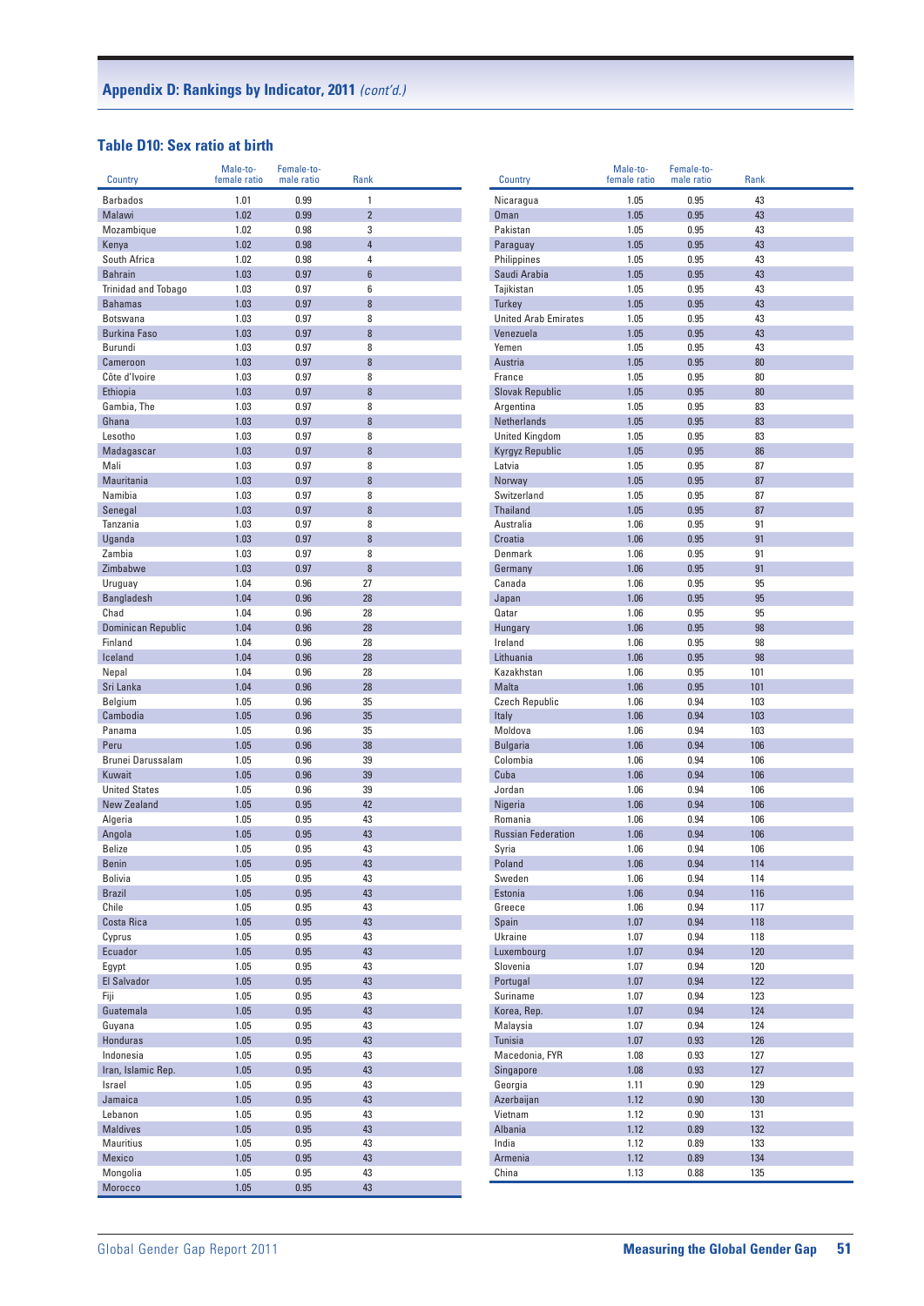## **Table D10: Sex ratio at birth**

| Country                         | Male-to-<br>female ratio | Female-to-<br>male ratio | Rank                |  |
|---------------------------------|--------------------------|--------------------------|---------------------|--|
|                                 |                          |                          |                     |  |
| <b>Barbados</b>                 | 1.01                     | 0.99                     | 1                   |  |
| Malawi                          | 1.02                     | 0.99                     | $\overline{2}$      |  |
| Mozambique<br>Kenva             | 1.02<br>1.02             | 0.98<br>0.98             | 3<br>$\overline{4}$ |  |
| South Africa                    | 1.02                     | 0.98                     | 4                   |  |
| <b>Bahrain</b>                  | 1.03                     | 0.97                     | $6\phantom{a}$      |  |
| Trinidad and Tobago             | 1.03                     | 0.97                     | 6                   |  |
| <b>Bahamas</b>                  | 1.03                     | 0.97                     | 8                   |  |
| <b>Botswana</b>                 | 1.03                     | 0.97                     | 8                   |  |
| <b>Burkina Faso</b>             | 1.03                     | 0.97                     | 8                   |  |
| Burundi                         | 1.03                     | 0.97                     | 8                   |  |
| Cameroon                        | 1.03                     | 0.97                     | 8                   |  |
| Côte d'Ivoire                   | 1.03                     | 0.97                     | 8                   |  |
| Ethiopia                        | 1.03                     | 0.97                     | 8                   |  |
| Gambia, The                     | 1.03                     | 0.97                     | 8                   |  |
| Ghana                           | 1.03                     | 0.97                     | 8                   |  |
| Lesotho                         | 1.03                     | 0.97                     | 8                   |  |
| Madagascar                      | 1.03                     | 0.97                     | 8                   |  |
| Mali                            | 1.03                     | 0.97                     | 8                   |  |
| Mauritania                      | 1.03                     | 0.97                     | 8                   |  |
| Namibia                         | 1.03                     | 0.97                     | 8                   |  |
| Senegal                         | 1.03                     | 0.97                     | 8                   |  |
| Tanzania                        | 1.03                     | 0.97                     | 8                   |  |
| Uganda                          | 1.03                     | 0.97                     | 8                   |  |
| Zambia                          | 1.03                     | 0.97                     | 8<br>8              |  |
| Zimbabwe                        | 1.03<br>1.04             | 0.97<br>0.96             | 27                  |  |
| Uruguay<br><b>Bangladesh</b>    | 1.04                     | 0.96                     | 28                  |  |
| Chad                            | 1.04                     | 0.96                     | 28                  |  |
| Dominican Republic              | 1.04                     | 0.96                     | 28                  |  |
| Finland                         | 1.04                     | 0.96                     | 28                  |  |
| Iceland                         | 1.04                     | 0.96                     | 28                  |  |
| Nepal                           | 1.04                     | 0.96                     | 28                  |  |
| Sri Lanka                       | 1.04                     | 0.96                     | 28                  |  |
| Belgium                         | 1.05                     | 0.96                     | 35                  |  |
| Cambodia                        | 1.05                     | 0.96                     | 35                  |  |
| Panama                          | 1.05                     | 0.96                     | 35                  |  |
| Peru                            | 1.05                     | 0.96                     | 38                  |  |
| Brunei Darussalam               | 1.05                     | 0.96                     | 39                  |  |
| Kuwait                          | 1.05                     | 0.96                     | 39                  |  |
| <b>United States</b>            | 1.05                     | 0.96                     | 39                  |  |
| <b>New Zealand</b>              | 1.05                     | 0.95                     | 42                  |  |
| Algeria                         | 1.05                     | 0.95                     | 43                  |  |
| Angola                          | 1.05                     | 0.95                     | 43                  |  |
| <b>Belize</b>                   | 1.05                     | 0.95                     | 43                  |  |
| Benin                           | 1.05                     | 0.95                     | 43                  |  |
| <b>Bolivia</b><br><b>Brazil</b> | 1.05<br>1.05             | 0.95<br>0.95             | 43<br>43            |  |
| Chile                           | 1.05                     | 0.95                     | 43                  |  |
| Costa Rica                      | 1.05                     | 0.95                     | 43                  |  |
| Cyprus                          | 1.05                     | 0.95                     | 43                  |  |
| Ecuador                         | 1.05                     | 0.95                     | 43                  |  |
| Egypt                           | 1.05                     | 0.95                     | 43                  |  |
| El Salvador                     | 1.05                     | 0.95                     | 43                  |  |
| Fiji                            | 1.05                     | 0.95                     | 43                  |  |
| Guatemala                       | 1.05                     | 0.95                     | 43                  |  |
| Guyana                          | 1.05                     | 0.95                     | 43                  |  |
| Honduras                        | 1.05                     | 0.95                     | 43                  |  |
| Indonesia                       | 1.05                     | 0.95                     | 43                  |  |
| Iran, Islamic Rep.              | 1.05                     | 0.95                     | 43                  |  |
| Israel                          | 1.05                     | 0.95                     | 43                  |  |
| Jamaica                         | 1.05                     | 0.95                     | 43                  |  |
| Lebanon                         | 1.05                     | 0.95                     | 43                  |  |
| <b>Maldives</b>                 | 1.05                     | 0.95                     | 43                  |  |
| Mauritius                       | 1.05                     | 0.95                     | 43                  |  |
| Mexico                          | 1.05                     | 0.95                     | 43                  |  |
| Mongolia                        | 1.05                     | 0.95                     | 43                  |  |
| Morocco                         | 1.05                     | 0.95                     | 43                  |  |

| 1.05<br>0.95<br>43<br>Nicaragua<br>43<br><b>Oman</b><br>1.05<br>0.95<br>Pakistan<br>1.05<br>0.95<br>43<br>43<br>1.05<br>0.95<br>Paraguay<br>1.05<br>0.95<br>43<br>Philippines<br>Saudi Arabia<br>1.05<br>0.95<br>43<br>0.95<br>43<br>Tajikistan<br>1.05<br>43<br>1.05<br>0.95<br><b>Turkey</b><br><b>United Arab Emirates</b><br>1.05<br>0.95<br>43<br>43<br>Venezuela<br>1.05<br>0.95<br>Yemen<br>1.05<br>0.95<br>43<br>1.05<br>0.95<br>80<br>Austria<br>France<br>1.05<br>80<br>0.95<br><b>Slovak Republic</b><br>1.05<br>0.95<br>80<br>1.05<br>0.95<br>83<br>Argentina<br><b>Netherlands</b><br>1.05<br>0.95<br>83<br><b>United Kingdom</b><br>1.05<br>0.95<br>83<br>0.95<br>86<br>Kyrgyz Republic<br>1.05<br>Latvia<br>1.05<br>0.95<br>87<br>1.05<br>0.95<br>87<br>Norway<br>Switzerland<br>1.05<br>0.95<br>87<br><b>Thailand</b><br>1.05<br>0.95<br>87<br>Australia<br>1.06<br>0.95<br>91<br>Croatia<br>0.95<br>91<br>1.06<br>Denmark<br>1.06<br>0.95<br>91<br>Germany<br>1.06<br>0.95<br>91<br>Canada<br>1.06<br>0.95<br>95<br>Japan<br>1.06<br>0.95<br>95<br>1.06<br>0.95<br>95<br>Qatar<br>0.95<br>98<br>Hungary<br>1.06<br>Ireland<br>1.06<br>98<br>0.95<br>Lithuania<br>1.06<br>0.95<br>98<br>Kazakhstan<br>1.06<br>0.95<br>101<br><b>Malta</b><br>1.06<br>0.95<br>101<br><b>Czech Republic</b><br>1.06<br>0.94<br>103<br>0.94<br>103<br>Italy<br>1.06<br>Moldova<br>1.06<br>0.94<br>103<br><b>Bulgaria</b><br>1.06<br>0.94<br>106<br>1.06<br>0.94<br>106<br>Colombia<br>Cuba<br>1.06<br>0.94<br>106<br>Jordan<br>0.94<br>106<br>1.06<br>106<br>Nigeria<br>1.06<br>0.94<br>Romania<br>1.06<br>0.94<br>106<br><b>Russian Federation</b><br>1.06<br>0.94<br>106<br>1.06<br>0.94<br>106<br>Syria<br>Poland<br>1.06<br>0.94<br>114<br>Sweden<br>1.06<br>0.94<br>114<br>Estonia<br>1.06<br>0.94<br>116<br>Greece<br>1.06<br>0.94<br>117<br>1.07<br>0.94<br>118<br>Spain<br>0.94<br>Ukraine<br>1.07<br>118<br>Luxembourg<br>1.07<br>0.94<br>120<br>Slovenia<br>1.07<br>0.94<br>120<br>Portugal<br>1.07<br>0.94<br>122<br>Suriname<br>1.07<br>0.94<br>123<br>124<br>Korea, Rep.<br>1.07<br>0.94<br>124<br>Malaysia<br>1.07<br>0.94<br>0.93<br>126<br><b>Tunisia</b><br>1.07<br>Macedonia, FYR<br>1.08<br>0.93<br>127<br>Singapore<br>1.08<br>0.93<br>127<br>Georgia<br>1.11<br>0.90<br>129<br>130<br>Azerbaijan<br>1.12<br>0.90<br>Vietnam<br>1.12<br>0.90<br>131<br>Albania<br>1.12<br>132<br>0.89<br>India<br>1.12<br>0.89<br>133<br>Armenia<br>1.12<br>0.89<br>134<br>China<br>1.13<br>135<br>0.88 | Country | Male-to-<br>female ratio | Female-to-<br>male ratio | <b>Rank</b> |  |
|----------------------------------------------------------------------------------------------------------------------------------------------------------------------------------------------------------------------------------------------------------------------------------------------------------------------------------------------------------------------------------------------------------------------------------------------------------------------------------------------------------------------------------------------------------------------------------------------------------------------------------------------------------------------------------------------------------------------------------------------------------------------------------------------------------------------------------------------------------------------------------------------------------------------------------------------------------------------------------------------------------------------------------------------------------------------------------------------------------------------------------------------------------------------------------------------------------------------------------------------------------------------------------------------------------------------------------------------------------------------------------------------------------------------------------------------------------------------------------------------------------------------------------------------------------------------------------------------------------------------------------------------------------------------------------------------------------------------------------------------------------------------------------------------------------------------------------------------------------------------------------------------------------------------------------------------------------------------------------------------------------------------------------------------------------------------------------------------------------------------------------------------------------------------------------------------------------------------------------------------------------------------------------------------------------------------------------------------------------------------------------------------------------------------------------------------------------------------------------------------------------|---------|--------------------------|--------------------------|-------------|--|
|                                                                                                                                                                                                                                                                                                                                                                                                                                                                                                                                                                                                                                                                                                                                                                                                                                                                                                                                                                                                                                                                                                                                                                                                                                                                                                                                                                                                                                                                                                                                                                                                                                                                                                                                                                                                                                                                                                                                                                                                                                                                                                                                                                                                                                                                                                                                                                                                                                                                                                          |         |                          |                          |             |  |
|                                                                                                                                                                                                                                                                                                                                                                                                                                                                                                                                                                                                                                                                                                                                                                                                                                                                                                                                                                                                                                                                                                                                                                                                                                                                                                                                                                                                                                                                                                                                                                                                                                                                                                                                                                                                                                                                                                                                                                                                                                                                                                                                                                                                                                                                                                                                                                                                                                                                                                          |         |                          |                          |             |  |
|                                                                                                                                                                                                                                                                                                                                                                                                                                                                                                                                                                                                                                                                                                                                                                                                                                                                                                                                                                                                                                                                                                                                                                                                                                                                                                                                                                                                                                                                                                                                                                                                                                                                                                                                                                                                                                                                                                                                                                                                                                                                                                                                                                                                                                                                                                                                                                                                                                                                                                          |         |                          |                          |             |  |
|                                                                                                                                                                                                                                                                                                                                                                                                                                                                                                                                                                                                                                                                                                                                                                                                                                                                                                                                                                                                                                                                                                                                                                                                                                                                                                                                                                                                                                                                                                                                                                                                                                                                                                                                                                                                                                                                                                                                                                                                                                                                                                                                                                                                                                                                                                                                                                                                                                                                                                          |         |                          |                          |             |  |
|                                                                                                                                                                                                                                                                                                                                                                                                                                                                                                                                                                                                                                                                                                                                                                                                                                                                                                                                                                                                                                                                                                                                                                                                                                                                                                                                                                                                                                                                                                                                                                                                                                                                                                                                                                                                                                                                                                                                                                                                                                                                                                                                                                                                                                                                                                                                                                                                                                                                                                          |         |                          |                          |             |  |
|                                                                                                                                                                                                                                                                                                                                                                                                                                                                                                                                                                                                                                                                                                                                                                                                                                                                                                                                                                                                                                                                                                                                                                                                                                                                                                                                                                                                                                                                                                                                                                                                                                                                                                                                                                                                                                                                                                                                                                                                                                                                                                                                                                                                                                                                                                                                                                                                                                                                                                          |         |                          |                          |             |  |
|                                                                                                                                                                                                                                                                                                                                                                                                                                                                                                                                                                                                                                                                                                                                                                                                                                                                                                                                                                                                                                                                                                                                                                                                                                                                                                                                                                                                                                                                                                                                                                                                                                                                                                                                                                                                                                                                                                                                                                                                                                                                                                                                                                                                                                                                                                                                                                                                                                                                                                          |         |                          |                          |             |  |
|                                                                                                                                                                                                                                                                                                                                                                                                                                                                                                                                                                                                                                                                                                                                                                                                                                                                                                                                                                                                                                                                                                                                                                                                                                                                                                                                                                                                                                                                                                                                                                                                                                                                                                                                                                                                                                                                                                                                                                                                                                                                                                                                                                                                                                                                                                                                                                                                                                                                                                          |         |                          |                          |             |  |
|                                                                                                                                                                                                                                                                                                                                                                                                                                                                                                                                                                                                                                                                                                                                                                                                                                                                                                                                                                                                                                                                                                                                                                                                                                                                                                                                                                                                                                                                                                                                                                                                                                                                                                                                                                                                                                                                                                                                                                                                                                                                                                                                                                                                                                                                                                                                                                                                                                                                                                          |         |                          |                          |             |  |
|                                                                                                                                                                                                                                                                                                                                                                                                                                                                                                                                                                                                                                                                                                                                                                                                                                                                                                                                                                                                                                                                                                                                                                                                                                                                                                                                                                                                                                                                                                                                                                                                                                                                                                                                                                                                                                                                                                                                                                                                                                                                                                                                                                                                                                                                                                                                                                                                                                                                                                          |         |                          |                          |             |  |
|                                                                                                                                                                                                                                                                                                                                                                                                                                                                                                                                                                                                                                                                                                                                                                                                                                                                                                                                                                                                                                                                                                                                                                                                                                                                                                                                                                                                                                                                                                                                                                                                                                                                                                                                                                                                                                                                                                                                                                                                                                                                                                                                                                                                                                                                                                                                                                                                                                                                                                          |         |                          |                          |             |  |
|                                                                                                                                                                                                                                                                                                                                                                                                                                                                                                                                                                                                                                                                                                                                                                                                                                                                                                                                                                                                                                                                                                                                                                                                                                                                                                                                                                                                                                                                                                                                                                                                                                                                                                                                                                                                                                                                                                                                                                                                                                                                                                                                                                                                                                                                                                                                                                                                                                                                                                          |         |                          |                          |             |  |
|                                                                                                                                                                                                                                                                                                                                                                                                                                                                                                                                                                                                                                                                                                                                                                                                                                                                                                                                                                                                                                                                                                                                                                                                                                                                                                                                                                                                                                                                                                                                                                                                                                                                                                                                                                                                                                                                                                                                                                                                                                                                                                                                                                                                                                                                                                                                                                                                                                                                                                          |         |                          |                          |             |  |
|                                                                                                                                                                                                                                                                                                                                                                                                                                                                                                                                                                                                                                                                                                                                                                                                                                                                                                                                                                                                                                                                                                                                                                                                                                                                                                                                                                                                                                                                                                                                                                                                                                                                                                                                                                                                                                                                                                                                                                                                                                                                                                                                                                                                                                                                                                                                                                                                                                                                                                          |         |                          |                          |             |  |
|                                                                                                                                                                                                                                                                                                                                                                                                                                                                                                                                                                                                                                                                                                                                                                                                                                                                                                                                                                                                                                                                                                                                                                                                                                                                                                                                                                                                                                                                                                                                                                                                                                                                                                                                                                                                                                                                                                                                                                                                                                                                                                                                                                                                                                                                                                                                                                                                                                                                                                          |         |                          |                          |             |  |
|                                                                                                                                                                                                                                                                                                                                                                                                                                                                                                                                                                                                                                                                                                                                                                                                                                                                                                                                                                                                                                                                                                                                                                                                                                                                                                                                                                                                                                                                                                                                                                                                                                                                                                                                                                                                                                                                                                                                                                                                                                                                                                                                                                                                                                                                                                                                                                                                                                                                                                          |         |                          |                          |             |  |
|                                                                                                                                                                                                                                                                                                                                                                                                                                                                                                                                                                                                                                                                                                                                                                                                                                                                                                                                                                                                                                                                                                                                                                                                                                                                                                                                                                                                                                                                                                                                                                                                                                                                                                                                                                                                                                                                                                                                                                                                                                                                                                                                                                                                                                                                                                                                                                                                                                                                                                          |         |                          |                          |             |  |
|                                                                                                                                                                                                                                                                                                                                                                                                                                                                                                                                                                                                                                                                                                                                                                                                                                                                                                                                                                                                                                                                                                                                                                                                                                                                                                                                                                                                                                                                                                                                                                                                                                                                                                                                                                                                                                                                                                                                                                                                                                                                                                                                                                                                                                                                                                                                                                                                                                                                                                          |         |                          |                          |             |  |
|                                                                                                                                                                                                                                                                                                                                                                                                                                                                                                                                                                                                                                                                                                                                                                                                                                                                                                                                                                                                                                                                                                                                                                                                                                                                                                                                                                                                                                                                                                                                                                                                                                                                                                                                                                                                                                                                                                                                                                                                                                                                                                                                                                                                                                                                                                                                                                                                                                                                                                          |         |                          |                          |             |  |
|                                                                                                                                                                                                                                                                                                                                                                                                                                                                                                                                                                                                                                                                                                                                                                                                                                                                                                                                                                                                                                                                                                                                                                                                                                                                                                                                                                                                                                                                                                                                                                                                                                                                                                                                                                                                                                                                                                                                                                                                                                                                                                                                                                                                                                                                                                                                                                                                                                                                                                          |         |                          |                          |             |  |
|                                                                                                                                                                                                                                                                                                                                                                                                                                                                                                                                                                                                                                                                                                                                                                                                                                                                                                                                                                                                                                                                                                                                                                                                                                                                                                                                                                                                                                                                                                                                                                                                                                                                                                                                                                                                                                                                                                                                                                                                                                                                                                                                                                                                                                                                                                                                                                                                                                                                                                          |         |                          |                          |             |  |
|                                                                                                                                                                                                                                                                                                                                                                                                                                                                                                                                                                                                                                                                                                                                                                                                                                                                                                                                                                                                                                                                                                                                                                                                                                                                                                                                                                                                                                                                                                                                                                                                                                                                                                                                                                                                                                                                                                                                                                                                                                                                                                                                                                                                                                                                                                                                                                                                                                                                                                          |         |                          |                          |             |  |
|                                                                                                                                                                                                                                                                                                                                                                                                                                                                                                                                                                                                                                                                                                                                                                                                                                                                                                                                                                                                                                                                                                                                                                                                                                                                                                                                                                                                                                                                                                                                                                                                                                                                                                                                                                                                                                                                                                                                                                                                                                                                                                                                                                                                                                                                                                                                                                                                                                                                                                          |         |                          |                          |             |  |
|                                                                                                                                                                                                                                                                                                                                                                                                                                                                                                                                                                                                                                                                                                                                                                                                                                                                                                                                                                                                                                                                                                                                                                                                                                                                                                                                                                                                                                                                                                                                                                                                                                                                                                                                                                                                                                                                                                                                                                                                                                                                                                                                                                                                                                                                                                                                                                                                                                                                                                          |         |                          |                          |             |  |
|                                                                                                                                                                                                                                                                                                                                                                                                                                                                                                                                                                                                                                                                                                                                                                                                                                                                                                                                                                                                                                                                                                                                                                                                                                                                                                                                                                                                                                                                                                                                                                                                                                                                                                                                                                                                                                                                                                                                                                                                                                                                                                                                                                                                                                                                                                                                                                                                                                                                                                          |         |                          |                          |             |  |
|                                                                                                                                                                                                                                                                                                                                                                                                                                                                                                                                                                                                                                                                                                                                                                                                                                                                                                                                                                                                                                                                                                                                                                                                                                                                                                                                                                                                                                                                                                                                                                                                                                                                                                                                                                                                                                                                                                                                                                                                                                                                                                                                                                                                                                                                                                                                                                                                                                                                                                          |         |                          |                          |             |  |
|                                                                                                                                                                                                                                                                                                                                                                                                                                                                                                                                                                                                                                                                                                                                                                                                                                                                                                                                                                                                                                                                                                                                                                                                                                                                                                                                                                                                                                                                                                                                                                                                                                                                                                                                                                                                                                                                                                                                                                                                                                                                                                                                                                                                                                                                                                                                                                                                                                                                                                          |         |                          |                          |             |  |
|                                                                                                                                                                                                                                                                                                                                                                                                                                                                                                                                                                                                                                                                                                                                                                                                                                                                                                                                                                                                                                                                                                                                                                                                                                                                                                                                                                                                                                                                                                                                                                                                                                                                                                                                                                                                                                                                                                                                                                                                                                                                                                                                                                                                                                                                                                                                                                                                                                                                                                          |         |                          |                          |             |  |
|                                                                                                                                                                                                                                                                                                                                                                                                                                                                                                                                                                                                                                                                                                                                                                                                                                                                                                                                                                                                                                                                                                                                                                                                                                                                                                                                                                                                                                                                                                                                                                                                                                                                                                                                                                                                                                                                                                                                                                                                                                                                                                                                                                                                                                                                                                                                                                                                                                                                                                          |         |                          |                          |             |  |
|                                                                                                                                                                                                                                                                                                                                                                                                                                                                                                                                                                                                                                                                                                                                                                                                                                                                                                                                                                                                                                                                                                                                                                                                                                                                                                                                                                                                                                                                                                                                                                                                                                                                                                                                                                                                                                                                                                                                                                                                                                                                                                                                                                                                                                                                                                                                                                                                                                                                                                          |         |                          |                          |             |  |
|                                                                                                                                                                                                                                                                                                                                                                                                                                                                                                                                                                                                                                                                                                                                                                                                                                                                                                                                                                                                                                                                                                                                                                                                                                                                                                                                                                                                                                                                                                                                                                                                                                                                                                                                                                                                                                                                                                                                                                                                                                                                                                                                                                                                                                                                                                                                                                                                                                                                                                          |         |                          |                          |             |  |
|                                                                                                                                                                                                                                                                                                                                                                                                                                                                                                                                                                                                                                                                                                                                                                                                                                                                                                                                                                                                                                                                                                                                                                                                                                                                                                                                                                                                                                                                                                                                                                                                                                                                                                                                                                                                                                                                                                                                                                                                                                                                                                                                                                                                                                                                                                                                                                                                                                                                                                          |         |                          |                          |             |  |
|                                                                                                                                                                                                                                                                                                                                                                                                                                                                                                                                                                                                                                                                                                                                                                                                                                                                                                                                                                                                                                                                                                                                                                                                                                                                                                                                                                                                                                                                                                                                                                                                                                                                                                                                                                                                                                                                                                                                                                                                                                                                                                                                                                                                                                                                                                                                                                                                                                                                                                          |         |                          |                          |             |  |
|                                                                                                                                                                                                                                                                                                                                                                                                                                                                                                                                                                                                                                                                                                                                                                                                                                                                                                                                                                                                                                                                                                                                                                                                                                                                                                                                                                                                                                                                                                                                                                                                                                                                                                                                                                                                                                                                                                                                                                                                                                                                                                                                                                                                                                                                                                                                                                                                                                                                                                          |         |                          |                          |             |  |
|                                                                                                                                                                                                                                                                                                                                                                                                                                                                                                                                                                                                                                                                                                                                                                                                                                                                                                                                                                                                                                                                                                                                                                                                                                                                                                                                                                                                                                                                                                                                                                                                                                                                                                                                                                                                                                                                                                                                                                                                                                                                                                                                                                                                                                                                                                                                                                                                                                                                                                          |         |                          |                          |             |  |
|                                                                                                                                                                                                                                                                                                                                                                                                                                                                                                                                                                                                                                                                                                                                                                                                                                                                                                                                                                                                                                                                                                                                                                                                                                                                                                                                                                                                                                                                                                                                                                                                                                                                                                                                                                                                                                                                                                                                                                                                                                                                                                                                                                                                                                                                                                                                                                                                                                                                                                          |         |                          |                          |             |  |
|                                                                                                                                                                                                                                                                                                                                                                                                                                                                                                                                                                                                                                                                                                                                                                                                                                                                                                                                                                                                                                                                                                                                                                                                                                                                                                                                                                                                                                                                                                                                                                                                                                                                                                                                                                                                                                                                                                                                                                                                                                                                                                                                                                                                                                                                                                                                                                                                                                                                                                          |         |                          |                          |             |  |
|                                                                                                                                                                                                                                                                                                                                                                                                                                                                                                                                                                                                                                                                                                                                                                                                                                                                                                                                                                                                                                                                                                                                                                                                                                                                                                                                                                                                                                                                                                                                                                                                                                                                                                                                                                                                                                                                                                                                                                                                                                                                                                                                                                                                                                                                                                                                                                                                                                                                                                          |         |                          |                          |             |  |
|                                                                                                                                                                                                                                                                                                                                                                                                                                                                                                                                                                                                                                                                                                                                                                                                                                                                                                                                                                                                                                                                                                                                                                                                                                                                                                                                                                                                                                                                                                                                                                                                                                                                                                                                                                                                                                                                                                                                                                                                                                                                                                                                                                                                                                                                                                                                                                                                                                                                                                          |         |                          |                          |             |  |
|                                                                                                                                                                                                                                                                                                                                                                                                                                                                                                                                                                                                                                                                                                                                                                                                                                                                                                                                                                                                                                                                                                                                                                                                                                                                                                                                                                                                                                                                                                                                                                                                                                                                                                                                                                                                                                                                                                                                                                                                                                                                                                                                                                                                                                                                                                                                                                                                                                                                                                          |         |                          |                          |             |  |
|                                                                                                                                                                                                                                                                                                                                                                                                                                                                                                                                                                                                                                                                                                                                                                                                                                                                                                                                                                                                                                                                                                                                                                                                                                                                                                                                                                                                                                                                                                                                                                                                                                                                                                                                                                                                                                                                                                                                                                                                                                                                                                                                                                                                                                                                                                                                                                                                                                                                                                          |         |                          |                          |             |  |
|                                                                                                                                                                                                                                                                                                                                                                                                                                                                                                                                                                                                                                                                                                                                                                                                                                                                                                                                                                                                                                                                                                                                                                                                                                                                                                                                                                                                                                                                                                                                                                                                                                                                                                                                                                                                                                                                                                                                                                                                                                                                                                                                                                                                                                                                                                                                                                                                                                                                                                          |         |                          |                          |             |  |
|                                                                                                                                                                                                                                                                                                                                                                                                                                                                                                                                                                                                                                                                                                                                                                                                                                                                                                                                                                                                                                                                                                                                                                                                                                                                                                                                                                                                                                                                                                                                                                                                                                                                                                                                                                                                                                                                                                                                                                                                                                                                                                                                                                                                                                                                                                                                                                                                                                                                                                          |         |                          |                          |             |  |
|                                                                                                                                                                                                                                                                                                                                                                                                                                                                                                                                                                                                                                                                                                                                                                                                                                                                                                                                                                                                                                                                                                                                                                                                                                                                                                                                                                                                                                                                                                                                                                                                                                                                                                                                                                                                                                                                                                                                                                                                                                                                                                                                                                                                                                                                                                                                                                                                                                                                                                          |         |                          |                          |             |  |
|                                                                                                                                                                                                                                                                                                                                                                                                                                                                                                                                                                                                                                                                                                                                                                                                                                                                                                                                                                                                                                                                                                                                                                                                                                                                                                                                                                                                                                                                                                                                                                                                                                                                                                                                                                                                                                                                                                                                                                                                                                                                                                                                                                                                                                                                                                                                                                                                                                                                                                          |         |                          |                          |             |  |
|                                                                                                                                                                                                                                                                                                                                                                                                                                                                                                                                                                                                                                                                                                                                                                                                                                                                                                                                                                                                                                                                                                                                                                                                                                                                                                                                                                                                                                                                                                                                                                                                                                                                                                                                                                                                                                                                                                                                                                                                                                                                                                                                                                                                                                                                                                                                                                                                                                                                                                          |         |                          |                          |             |  |
|                                                                                                                                                                                                                                                                                                                                                                                                                                                                                                                                                                                                                                                                                                                                                                                                                                                                                                                                                                                                                                                                                                                                                                                                                                                                                                                                                                                                                                                                                                                                                                                                                                                                                                                                                                                                                                                                                                                                                                                                                                                                                                                                                                                                                                                                                                                                                                                                                                                                                                          |         |                          |                          |             |  |
|                                                                                                                                                                                                                                                                                                                                                                                                                                                                                                                                                                                                                                                                                                                                                                                                                                                                                                                                                                                                                                                                                                                                                                                                                                                                                                                                                                                                                                                                                                                                                                                                                                                                                                                                                                                                                                                                                                                                                                                                                                                                                                                                                                                                                                                                                                                                                                                                                                                                                                          |         |                          |                          |             |  |
|                                                                                                                                                                                                                                                                                                                                                                                                                                                                                                                                                                                                                                                                                                                                                                                                                                                                                                                                                                                                                                                                                                                                                                                                                                                                                                                                                                                                                                                                                                                                                                                                                                                                                                                                                                                                                                                                                                                                                                                                                                                                                                                                                                                                                                                                                                                                                                                                                                                                                                          |         |                          |                          |             |  |
|                                                                                                                                                                                                                                                                                                                                                                                                                                                                                                                                                                                                                                                                                                                                                                                                                                                                                                                                                                                                                                                                                                                                                                                                                                                                                                                                                                                                                                                                                                                                                                                                                                                                                                                                                                                                                                                                                                                                                                                                                                                                                                                                                                                                                                                                                                                                                                                                                                                                                                          |         |                          |                          |             |  |
|                                                                                                                                                                                                                                                                                                                                                                                                                                                                                                                                                                                                                                                                                                                                                                                                                                                                                                                                                                                                                                                                                                                                                                                                                                                                                                                                                                                                                                                                                                                                                                                                                                                                                                                                                                                                                                                                                                                                                                                                                                                                                                                                                                                                                                                                                                                                                                                                                                                                                                          |         |                          |                          |             |  |
|                                                                                                                                                                                                                                                                                                                                                                                                                                                                                                                                                                                                                                                                                                                                                                                                                                                                                                                                                                                                                                                                                                                                                                                                                                                                                                                                                                                                                                                                                                                                                                                                                                                                                                                                                                                                                                                                                                                                                                                                                                                                                                                                                                                                                                                                                                                                                                                                                                                                                                          |         |                          |                          |             |  |
|                                                                                                                                                                                                                                                                                                                                                                                                                                                                                                                                                                                                                                                                                                                                                                                                                                                                                                                                                                                                                                                                                                                                                                                                                                                                                                                                                                                                                                                                                                                                                                                                                                                                                                                                                                                                                                                                                                                                                                                                                                                                                                                                                                                                                                                                                                                                                                                                                                                                                                          |         |                          |                          |             |  |
|                                                                                                                                                                                                                                                                                                                                                                                                                                                                                                                                                                                                                                                                                                                                                                                                                                                                                                                                                                                                                                                                                                                                                                                                                                                                                                                                                                                                                                                                                                                                                                                                                                                                                                                                                                                                                                                                                                                                                                                                                                                                                                                                                                                                                                                                                                                                                                                                                                                                                                          |         |                          |                          |             |  |
|                                                                                                                                                                                                                                                                                                                                                                                                                                                                                                                                                                                                                                                                                                                                                                                                                                                                                                                                                                                                                                                                                                                                                                                                                                                                                                                                                                                                                                                                                                                                                                                                                                                                                                                                                                                                                                                                                                                                                                                                                                                                                                                                                                                                                                                                                                                                                                                                                                                                                                          |         |                          |                          |             |  |
|                                                                                                                                                                                                                                                                                                                                                                                                                                                                                                                                                                                                                                                                                                                                                                                                                                                                                                                                                                                                                                                                                                                                                                                                                                                                                                                                                                                                                                                                                                                                                                                                                                                                                                                                                                                                                                                                                                                                                                                                                                                                                                                                                                                                                                                                                                                                                                                                                                                                                                          |         |                          |                          |             |  |
|                                                                                                                                                                                                                                                                                                                                                                                                                                                                                                                                                                                                                                                                                                                                                                                                                                                                                                                                                                                                                                                                                                                                                                                                                                                                                                                                                                                                                                                                                                                                                                                                                                                                                                                                                                                                                                                                                                                                                                                                                                                                                                                                                                                                                                                                                                                                                                                                                                                                                                          |         |                          |                          |             |  |
|                                                                                                                                                                                                                                                                                                                                                                                                                                                                                                                                                                                                                                                                                                                                                                                                                                                                                                                                                                                                                                                                                                                                                                                                                                                                                                                                                                                                                                                                                                                                                                                                                                                                                                                                                                                                                                                                                                                                                                                                                                                                                                                                                                                                                                                                                                                                                                                                                                                                                                          |         |                          |                          |             |  |
|                                                                                                                                                                                                                                                                                                                                                                                                                                                                                                                                                                                                                                                                                                                                                                                                                                                                                                                                                                                                                                                                                                                                                                                                                                                                                                                                                                                                                                                                                                                                                                                                                                                                                                                                                                                                                                                                                                                                                                                                                                                                                                                                                                                                                                                                                                                                                                                                                                                                                                          |         |                          |                          |             |  |
|                                                                                                                                                                                                                                                                                                                                                                                                                                                                                                                                                                                                                                                                                                                                                                                                                                                                                                                                                                                                                                                                                                                                                                                                                                                                                                                                                                                                                                                                                                                                                                                                                                                                                                                                                                                                                                                                                                                                                                                                                                                                                                                                                                                                                                                                                                                                                                                                                                                                                                          |         |                          |                          |             |  |
|                                                                                                                                                                                                                                                                                                                                                                                                                                                                                                                                                                                                                                                                                                                                                                                                                                                                                                                                                                                                                                                                                                                                                                                                                                                                                                                                                                                                                                                                                                                                                                                                                                                                                                                                                                                                                                                                                                                                                                                                                                                                                                                                                                                                                                                                                                                                                                                                                                                                                                          |         |                          |                          |             |  |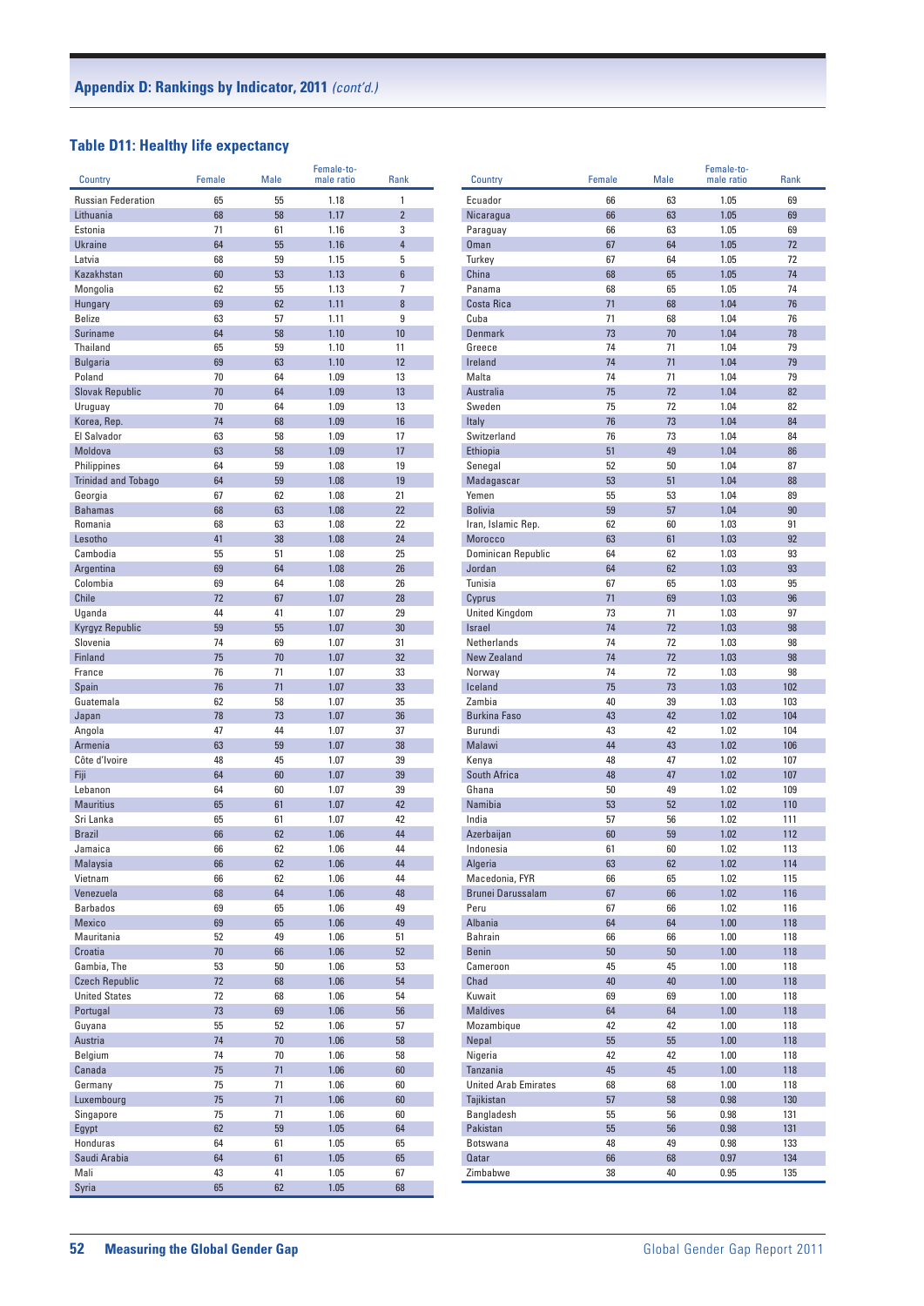## **Table D11: Healthy life expectancy**

| Country                                       | <b>Female</b> | <b>Male</b> | Female-to-<br>male ratio | Rank                |  |
|-----------------------------------------------|---------------|-------------|--------------------------|---------------------|--|
|                                               |               |             |                          |                     |  |
| <b>Russian Federation</b>                     | 65            | 55          | 1.18                     | 1                   |  |
| Lithuania                                     | 68            | 58          | 1.17                     | $\overline{2}$      |  |
| Estonia<br><b>Ukraine</b>                     | 71<br>64      | 61<br>55    | 1.16<br>1.16             | 3<br>$\overline{4}$ |  |
| Latvia                                        | 68            | 59          | 1.15                     | 5                   |  |
| Kazakhstan                                    | 60            | 53          | 1.13                     | 6                   |  |
| Mongolia                                      | 62            | 55          | 1.13                     | 7                   |  |
| Hungary                                       | 69            | 62          | 1.11                     | 8                   |  |
| <b>Belize</b>                                 | 63            | 57          | 1.11                     | 9                   |  |
| <b>Suriname</b>                               | 64            | 58          | 1.10                     | 10                  |  |
| Thailand                                      | 65            | 59          | 1.10                     | 11                  |  |
| <b>Bulgaria</b>                               | 69            | 63          | 1.10                     | 12                  |  |
| Poland                                        | 70            | 64          | 1.09                     | 13                  |  |
| <b>Slovak Republic</b>                        | 70            | 64          | 1.09                     | 13                  |  |
| Uruguay                                       | 70            | 64          | 1.09                     | 13                  |  |
| Korea, Rep.                                   | 74            | 68          | 1.09                     | 16                  |  |
| El Salvador                                   | 63            | 58          | 1.09                     | 17                  |  |
| Moldova                                       | 63            | 58          | 1.09                     | 17                  |  |
| Philippines                                   | 64            | 59          | 1.08                     | 19                  |  |
| <b>Trinidad and Tobago</b>                    | 64            | 59          | 1.08                     | 19                  |  |
| Georgia                                       | 67            | 62          | 1.08                     | 21                  |  |
| <b>Bahamas</b>                                | 68            | 63          | 1.08                     | 22                  |  |
| Romania                                       | 68            | 63          | 1.08                     | 22                  |  |
| Lesotho                                       | 41            | 38          | 1.08                     | 24                  |  |
| Cambodia                                      | 55            | 51          | 1.08                     | 25                  |  |
| Argentina                                     | 69            | 64          | 1.08                     | 26                  |  |
| Colombia                                      | 69            | 64          | 1.08                     | 26                  |  |
| Chile                                         | 72            | 67          | 1.07                     | 28                  |  |
| Uganda                                        | 44<br>59      | 41<br>55    | 1.07                     | 29<br>30            |  |
| Kyrgyz Republic                               | 74            |             | 1.07                     |                     |  |
| Slovenia<br><b>Finland</b>                    | 75            | 69<br>70    | 1.07<br>1.07             | 31<br>32            |  |
| France                                        | 76            | 71          | 1.07                     | 33                  |  |
| Spain                                         | 76            | 71          | 1.07                     | 33                  |  |
| Guatemala                                     | 62            | 58          | 1.07                     | 35                  |  |
| Japan                                         | 78            | 73          | 1.07                     | 36                  |  |
| Angola                                        | 47            | 44          | 1.07                     | 37                  |  |
| Armenia                                       | 63            | 59          | 1.07                     | 38                  |  |
| Côte d'Ivoire                                 | 48            | 45          | 1.07                     | 39                  |  |
| Fiji                                          | 64            | 60          | 1.07                     | 39                  |  |
| Lebanon                                       | 64            | 60          | 1.07                     | 39                  |  |
| <b>Mauritius</b>                              | 65            | 61          | 1.07                     | 42                  |  |
| Sri Lanka                                     | 65            | 61          | 1.07                     | 42                  |  |
| <b>Brazil</b>                                 | 66            | 62          | 1.06                     | 44                  |  |
| Jamaica                                       | 66            | 62          | 1.06                     | 44                  |  |
| Malaysia                                      | <b>66</b>     | 62          | 1.06                     | 44                  |  |
| Vietnam                                       | 66            | 62          | 1.06                     | 44                  |  |
| Venezuela                                     | 68            | 64          | 1.06                     | 48                  |  |
| <b>Barbados</b>                               | 69            | 65          | 1.06                     | 49                  |  |
| Mexico                                        | 69            | 65          | 1.06                     | 49                  |  |
| Mauritania                                    | 52            | 49          | 1.06                     | 51                  |  |
| Croatia                                       | 70            | 66          | 1.06                     | 52                  |  |
| Gambia, The                                   | 53            | 50          | 1.06                     | 53                  |  |
| <b>Czech Republic</b><br><b>United States</b> | 72            | 68          | 1.06                     | 54                  |  |
|                                               | 72<br>73      | 68<br>69    | 1.06                     | 54<br>56            |  |
| Portugal<br>Guyana                            | 55            | 52          | 1.06<br>1.06             | 57                  |  |
| Austria                                       | 74            | 70          | 1.06                     | 58                  |  |
| Belgium                                       | 74            | 70          | 1.06                     | 58                  |  |
| Canada                                        | 75            | 71          | 1.06                     | 60                  |  |
| Germany                                       | 75            | 71          | 1.06                     | 60                  |  |
| Luxembourg                                    | 75            | 71          | 1.06                     | 60                  |  |
| Singapore                                     | 75            | 71          | 1.06                     | 60                  |  |
| Egypt                                         | 62            | 59          | 1.05                     | 64                  |  |
| Honduras                                      | 64            | 61          | 1.05                     | 65                  |  |
| Saudi Arabia                                  | 64            | 61          | 1.05                     | 65                  |  |
| Mali                                          | 43            | 41          | 1.05                     | 67                  |  |
| Syria                                         | 65            | 62          | 1.05                     | 68                  |  |

| Country                     | Female   | <b>Male</b> | Female-to-<br>male ratio | Rank       |
|-----------------------------|----------|-------------|--------------------------|------------|
|                             |          |             |                          |            |
| Ecuador                     | 66       | 63          | 1.05                     | 69         |
| Nicaragua                   | 66       | 63          | 1.05                     | 69         |
| Paraguay                    | 66       | 63          | 1.05                     | 69         |
| <b>Oman</b>                 | 67       | 64          | 1.05                     | 72         |
| Turkey                      | 67       | 64          | 1.05                     | 72         |
| China                       | 68       | 65          | 1.05                     | 74         |
| Panama                      | 68       | 65          | 1.05                     | 74         |
| Costa Rica                  | 71       | 68          | 1.04                     | 76         |
| Cuba                        | 71       | 68          | 1.04                     | 76         |
| <b>Denmark</b>              | 73       | 70          | 1.04                     | 78         |
| Greece                      | 74<br>74 | 71          | 1.04                     | 79         |
| Ireland<br>Malta            | 74       | 71<br>71    | 1.04                     | 79         |
| Australia                   | 75       | 72          | 1.04<br>1.04             | 79<br>82   |
| Sweden                      | 75       | 72          | 1.04                     | 82         |
| Italy                       | 76       | 73          | 1.04                     | 84         |
| Switzerland                 | 76       | 73          | 1.04                     | 84         |
| Ethiopia                    | 51       | 49          | 1.04                     | 86         |
| Senegal                     | 52       | 50          | 1.04                     | 87         |
| Madagascar                  | 53       | 51          | 1.04                     | 88         |
| Yemen                       | 55       | 53          | 1.04                     | 89         |
| <b>Bolivia</b>              | 59       | 57          | 1.04                     | 90         |
| Iran, Islamic Rep.          | 62       | 60          | 1.03                     | 91         |
| <b>Morocco</b>              | 63       | 61          | 1.03                     | 92         |
| Dominican Republic          | 64       | 62          | 1.03                     | 93         |
| Jordan                      | 64       | 62          | 1.03                     | 93         |
| Tunisia                     | 67       | 65          | 1.03                     | 95         |
| Cyprus                      | 71       | 69          | 1.03                     | 96         |
| <b>United Kingdom</b>       | 73       | 71          | 1.03                     | 97         |
| <b>Israel</b>               | 74       | 72          | 1.03                     | 98         |
| Netherlands                 | 74       | 72          | 1.03                     | 98         |
| <b>New Zealand</b>          | 74       | 72          | 1.03                     | 98         |
| Norway                      | 74       | 72          | 1.03                     | 98         |
| Iceland                     | 75       | 73          | 1.03                     | 102        |
| Zambia                      | 40       | 39          | 1.03                     | 103        |
| <b>Burkina Faso</b>         | 43       | 42          | 1.02                     | 104        |
| Burundi                     | 43       | 42          | 1.02                     | 104        |
| Malawi                      | 44       | 43          | 1.02                     | 106        |
| Kenya                       | 48       | 47          | 1.02                     | 107        |
| South Africa                | 48       | 47          | 1.02                     | 107        |
| Ghana                       | 50       | 49          | 1.02                     | 109        |
| Namibia                     | 53       | 52          | 1.02                     | 110        |
| India                       | 57       | 56          | 1.02                     | 111        |
| Azerbaijan                  | 60       | 59          | 1.02                     | 112        |
| Indonesia                   | 61       | 60          | 1.02                     | 113        |
| Algeria                     | 63       | 62          | 1.02                     | 114        |
| Macedonia, FYR              | 66       | 65          | 1.02                     | 115        |
| Brunei Darussalam           | 67       | 66          | 1.02                     | 116        |
| Peru                        | 67       | 66          | 1.02                     | 116        |
| Albania                     | 64       | 64          | 1.00                     | 118        |
| <b>Bahrain</b>              | 66       | 66          | 1.00                     | 118        |
| <b>Benin</b>                | 50       | 50          | 1.00                     | 118        |
| Cameroon                    | 45       | 45          | 1.00                     | 118        |
| Chad                        | 40       | 40          | 1.00                     | 118        |
| Kuwait<br><b>Maldives</b>   | 69<br>64 | 69<br>64    | 1.00<br>1.00             | 118<br>118 |
| Mozambique                  | 42       | 42          | 1.00                     | 118        |
| Nepal                       | 55       | 55          | 1.00                     | 118        |
| Nigeria                     | 42       | 42          | 1.00                     | 118        |
| Tanzania                    | 45       | 45          | 1.00                     | 118        |
| <b>United Arab Emirates</b> | 68       | 68          | 1.00                     | 118        |
| Tajikistan                  | 57       | 58          | 0.98                     | 130        |
| Bangladesh                  | 55       | 56          | 0.98                     | 131        |
| Pakistan                    | 55       | 56          | 0.98                     | 131        |
| Botswana                    | 48       | 49          | 0.98                     | 133        |
| Qatar                       | 66       | 68          | 0.97                     | 134        |
| Zimbabwe                    | 38       | 40          | 0.95                     | 135        |
|                             |          |             |                          |            |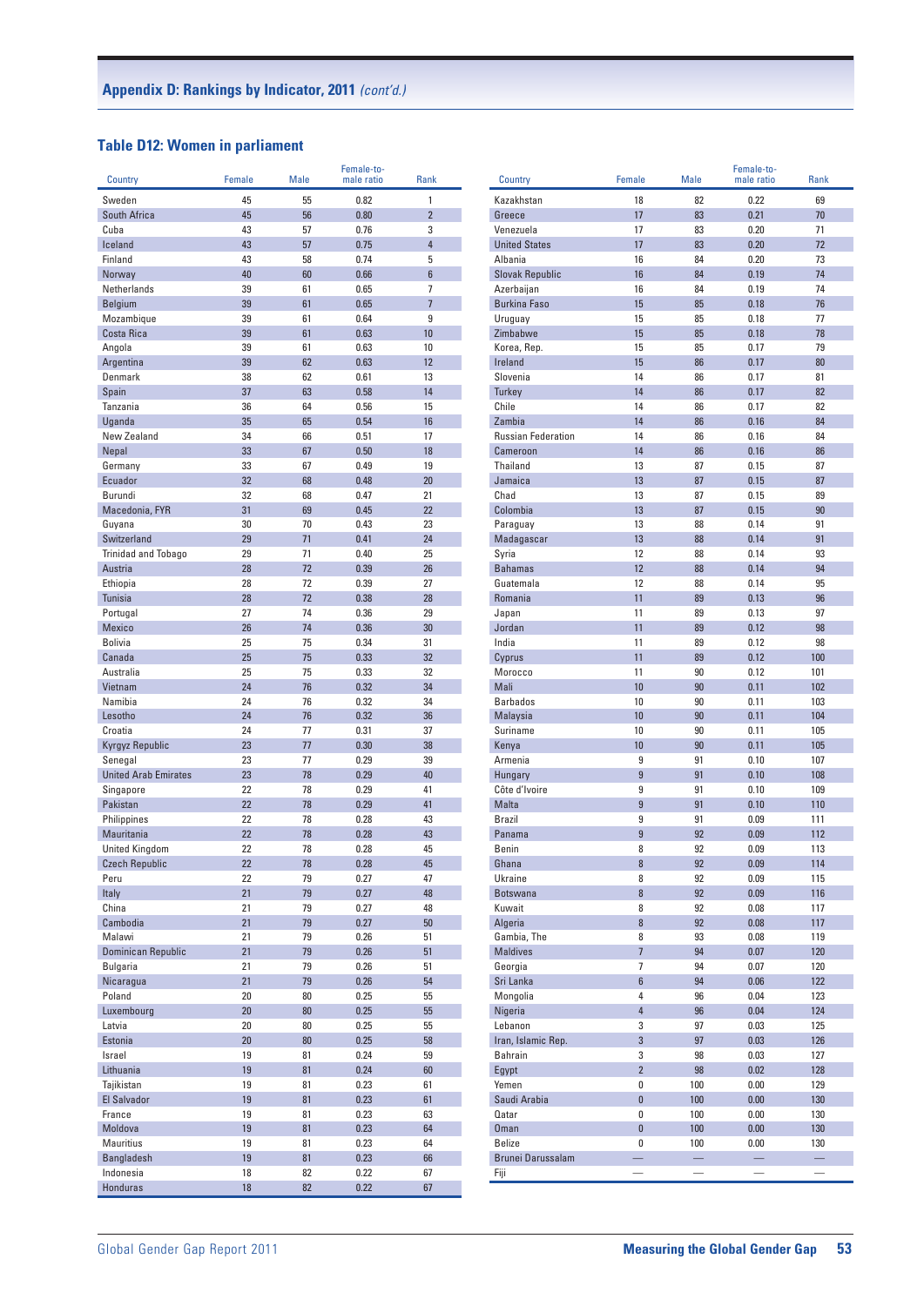#### **Table D12: Women in parliament**

| Country                     | Female   | <b>Male</b> | Female-to-<br>male ratio | Rank           | Country                   | Female         | <b>Male</b>              | Female-to-<br>male ratio | Rank     |
|-----------------------------|----------|-------------|--------------------------|----------------|---------------------------|----------------|--------------------------|--------------------------|----------|
| Sweden                      | 45       | 55          | 0.82                     | $\mathbf{1}$   | Kazakhstan                | 18             | 82                       | 0.22                     | 69       |
| South Africa                | 45       | 56          | 0.80                     | $\overline{2}$ | Greece                    | 17             | 83                       | 0.21                     | 70       |
| Cuba                        | 43       | 57          | 0.76                     | 3              | Venezuela                 | 17             | 83                       | 0.20                     | 71       |
| Iceland                     | 43       | 57          | 0.75                     | $\overline{4}$ | <b>United States</b>      | 17             | 83                       | 0.20                     | 72       |
| Finland                     | 43       | 58          | 0.74                     | 5              | Albania                   | 16             | 84                       | 0.20                     | 73       |
| Norway                      | 40       | 60          | 0.66                     | $6\phantom{a}$ | <b>Slovak Republic</b>    | 16             | 84                       | 0.19                     | 74       |
| Netherlands                 | 39       | 61          | 0.65                     | $\overline{7}$ | Azerbaijan                | 16             | 84                       | 0.19                     | 74       |
| <b>Belgium</b>              | 39       | 61          | 0.65                     | $\overline{7}$ | <b>Burkina Faso</b>       | 15             | 85                       | 0.18                     | 76       |
| Mozambique                  | 39       | 61          | 0.64                     | 9              | Uruguay                   | 15             | 85                       | 0.18                     | 77       |
| Costa Rica                  | 39       | 61          | 0.63                     | 10             | Zimbabwe                  | 15             | 85                       | 0.18                     | 78       |
| Angola                      | 39       | 61          | 0.63                     | 10             | Korea, Rep.               | 15             | 85                       | 0.17                     | 79       |
| Argentina                   | 39       | 62          | 0.63                     | 12             | Ireland                   | 15             | 86                       | 0.17                     | 80       |
| Denmark                     | 38       | 62          | 0.61                     | 13             | Slovenia                  | 14             | 86                       | 0.17                     | 81       |
| Spain                       | 37       | 63          | 0.58                     | 14             | <b>Turkey</b>             | 14             | 86                       | 0.17                     | 82       |
| Tanzania                    | 36       | 64          | 0.56                     | 15             | Chile                     | 14             | 86                       | 0.17                     | 82       |
| Uganda                      | 35       | 65          | 0.54                     | 16             | Zambia                    | 14             | 86                       | 0.16                     | 84       |
| New Zealand                 | 34       | 66          | 0.51                     | 17             | <b>Russian Federation</b> | 14             | 86                       | 0.16                     | 84       |
| Nepal                       | 33       | 67          | 0.50                     | 18             | Cameroon                  | 14             | 86                       | 0.16                     | 86       |
| Germany                     | 33       | 67          | 0.49                     | 19             | Thailand                  | 13             | 87                       | 0.15                     | 87       |
| Ecuador                     | 32       | 68          | 0.48                     | 20             | Jamaica                   | 13             | 87                       | 0.15                     | 87       |
| Burundi                     | 32       | 68          | 0.47                     | 21             | Chad                      | 13             | 87                       | 0.15                     | 89       |
| Macedonia, FYR              | 31       | 69          | 0.45                     | 22             | Colombia                  | 13             | 87                       | 0.15                     | 90       |
| Guyana                      | 30       | 70          | 0.43                     | 23             | Paraguay                  | 13             | 88                       | 0.14                     | 91       |
| Switzerland                 | 29       | 71          | 0.41                     | 24             | Madagascar                | 13             | 88                       | 0.14                     | 91       |
| <b>Trinidad and Tobago</b>  | 29       | 71          | 0.40                     | 25             | Syria                     | 12             | 88                       | 0.14                     | 93       |
| Austria                     | 28       | 72          | 0.39                     | 26             | <b>Bahamas</b>            | 12             | 88                       | 0.14                     | 94       |
| Ethiopia                    | 28       | 72          | 0.39                     | 27             | Guatemala                 | 12             | 88                       | 0.14                     | 95       |
| Tunisia                     | 28       | 72          | 0.38                     | 28             | Romania                   | 11             | 89                       | 0.13                     | 96       |
| Portugal<br><b>Mexico</b>   | 27<br>26 | 74<br>74    | 0.36<br>0.36             | 29<br>30       | Japan<br>Jordan           | 11<br>11       | 89<br>89                 | 0.13<br>0.12             | 97<br>98 |
| <b>Bolivia</b>              |          | 75          | 0.34                     | 31             | India                     | 11             | 89                       | 0.12                     | 98       |
| Canada                      | 25<br>25 | 75          | 0.33                     | 32             | Cyprus                    | 11             | 89                       | 0.12                     | 100      |
| Australia                   | 25       | 75          | 0.33                     | 32             | Morocco                   | 11             | 90                       | 0.12                     | 101      |
| Vietnam                     | 24       | 76          | 0.32                     | 34             | Mali                      | 10             | 90                       | 0.11                     | 102      |
| Namibia                     | 24       | 76          | 0.32                     | 34             | <b>Barbados</b>           | 10             | 90                       | 0.11                     | 103      |
| Lesotho                     | 24       | 76          | 0.32                     | 36             | Malaysia                  | 10             | 90                       | 0.11                     | 104      |
| Croatia                     | 24       | 77          | 0.31                     | 37             | Suriname                  | 10             | 90                       | 0.11                     | 105      |
| Kyrgyz Republic             | 23       | 77          | 0.30                     | 38             | Kenya                     | 10             | 90                       | 0.11                     | 105      |
| Senegal                     | 23       | 77          | 0.29                     | 39             | Armenia                   | 9              | 91                       | 0.10                     | 107      |
| <b>United Arab Emirates</b> | 23       | 78          | 0.29                     | 40             | Hungary                   | 9              | 91                       | 0.10                     | 108      |
| Singapore                   | 22       | 78          | 0.29                     | 41             | Côte d'Ivoire             | 9              | 91                       | 0.10                     | 109      |
| Pakistan                    | 22       | 78          | 0.29                     | 41             | Malta                     | 9              | 91                       | 0.10                     | 110      |
| Philippines                 | 22       | 78          | 0.28                     | 43             | <b>Brazil</b>             | 9              | 91                       | 0.09                     | 111      |
| Mauritania                  | 22       | 78          | 0.28                     | 43             | Panama                    | 9              | 92                       | 0.09                     | 112      |
| <b>United Kingdom</b>       | 22       | 78          | 0.28                     | 45             | <b>Benin</b>              | 8              | 92                       | 0.09                     | 113      |
| Czech Republic              | 22       | 78          | 0.28                     | 45             | Ghana                     | 8              | 92                       | 0.09                     | 114      |
| Peru                        | 22       | 79          | 0.27                     | 47             | Ukraine                   | 8              | 92                       | 0.09                     | 115      |
| Italy                       | 21       | 79          | 0.27                     | 48             | Botswana                  | 8              | 92                       | 0.09                     | 116      |
| China                       | 21       | 79          | 0.27                     | 48             | Kuwait                    | 8              | 92                       | 0.08                     | 117      |
| Cambodia                    | 21       | 79          | 0.27                     | 50             | Algeria                   | $\bf 8$        | 92                       | 0.08                     | 117      |
| Malawi                      | 21       | 79          | 0.26                     | 51             | Gambia, The               | 8              | 93                       | 0.08                     | 119      |
| Dominican Republic          | 21       | 79          | 0.26                     | 51             | <b>Maldives</b>           | $\overline{7}$ | 94                       | 0.07                     | 120      |
| <b>Bulgaria</b>             | 21       | 79          | 0.26                     | 51             | Georgia                   | $\overline{7}$ | 94                       | 0.07                     | 120      |
| Nicaragua                   | 21       | 79          | 0.26                     | 54             | Sri Lanka                 | $6\phantom{a}$ | 94                       | 0.06                     | 122      |
| Poland                      | $20\,$   | 80          | 0.25                     | 55             | Mongolia                  | 4              | 96                       | 0.04                     | 123      |
| Luxembourg                  | $20\,$   | 80          | 0.25                     | 55             | Nigeria                   | $\overline{4}$ | 96                       | 0.04                     | 124      |
| Latvia                      | 20       | 80          | 0.25                     | 55             | Lebanon                   | 3              | 97                       | 0.03                     | 125      |
| Estonia                     | 20       | $80\,$      | 0.25                     | 58             | Iran, Islamic Rep.        | $\mathbf{3}$   | 97                       | 0.03                     | 126      |
| Israel                      | 19       | 81          | 0.24                     | 59             | Bahrain                   | 3              | 98                       | 0.03                     | 127      |
| Lithuania                   | 19       | 81          | 0.24                     | 60             | Egypt                     | $\overline{2}$ | 98                       | 0.02                     | 128      |
| Tajikistan                  | 19       | 81          | 0.23                     | 61             | Yemen                     | $\mathbf 0$    | 100                      | 0.00                     | 129      |
| El Salvador                 | 19       | 81          | 0.23                     | 61             | Saudi Arabia              | $\bf{0}$       | 100                      | 0.00                     | 130      |
| France                      | 19       | 81          | 0.23                     | 63             | Qatar                     | 0              | 100                      | 0.00                     | 130      |
| Moldova                     | 19       | 81          | 0.23                     | 64             | Oman                      | $\bf{0}$       | 100                      | 0.00                     | 130      |
| <b>Mauritius</b>            | 19       | 81          | 0.23                     | 64             | <b>Belize</b>             | 0              | 100                      | 0.00                     | 130      |
| <b>Bangladesh</b>           | 19       | 81          | 0.23                     | 66             | Brunei Darussalam         |                | $\equiv$                 | $\equiv$                 |          |
| Indonesia                   | 18       | 82          | 0.22                     | 67             | Fiji                      |                | $\overline{\phantom{0}}$ | $\overline{\phantom{0}}$ |          |
| <b>Honduras</b>             | 18       | 82          | 0.22                     | 67             |                           |                |                          |                          |          |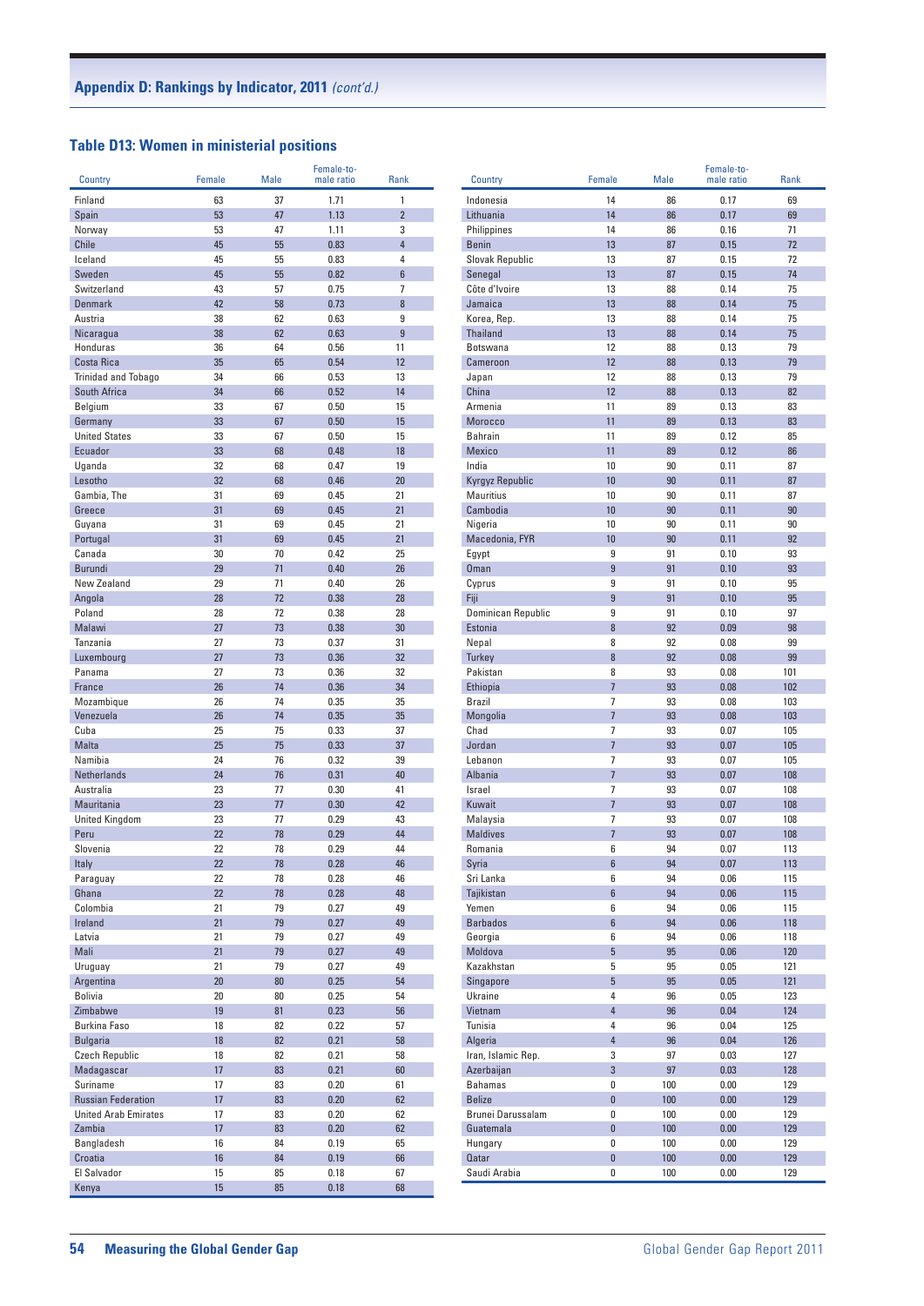## **Table D13: Women in ministerial positions**

| Country                     | Female   | <b>Male</b> | Female-to-<br>male ratio | Rank           |
|-----------------------------|----------|-------------|--------------------------|----------------|
|                             |          |             |                          |                |
| Finland                     | 63       | 37          | 1.71                     | 1              |
| Spain                       | 53       | 47          | 1.13                     | $\overline{2}$ |
| Norway<br>Chile             | 53<br>45 | 47<br>55    | 1.11<br>0.83             | 3<br>4         |
| Iceland                     |          |             |                          | 4              |
| Sweden                      | 45<br>45 | 55<br>55    | 0.83<br>0.82             | 6              |
| Switzerland                 | 43       | 57          | 0.75                     | 7              |
| <b>Denmark</b>              | 42       | 58          | 0.73                     | 8              |
| Austria                     | 38       | 62          | 0.63                     | 9              |
| Nicaragua                   | 38       | 62          | 0.63                     | 9              |
| Honduras                    | 36       | 64          | 0.56                     | 11             |
| Costa Rica                  | 35       | 65          | 0.54                     | 12             |
| <b>Trinidad and Tobago</b>  | 34       | 66          | 0.53                     | 13             |
| South Africa                | 34       | 66          | 0.52                     | 14             |
| Belgium                     | 33       | 67          | 0.50                     | 15             |
| Germany                     | 33       | 67          | 0.50                     | 15             |
| <b>United States</b>        | 33       | 67          | 0.50                     | 15             |
| Ecuador                     | 33       | 68          | 0.48                     | 18             |
| Uganda                      | 32       | 68          | 0.47                     | 19             |
| Lesotho                     | 32       | 68          | 0.46                     | 20             |
| Gambia, The                 | 31       | 69          | 0.45                     | 21             |
| Greece                      | 31       | 69          | 0.45                     | 21             |
| Guyana                      | 31       | 69          | 0.45                     | 21             |
| Portugal                    | 31       | 69          | 0.45                     | 21             |
| Canada                      | 30       | 70          | 0.42                     | 25             |
| Burundi                     | 29       | 71          | 0.40                     | 26             |
| New Zealand                 | 29       | 71          | 0.40                     | 26             |
| Angola                      | 28       | 72          | 0.38                     | 28             |
| Poland                      | 28       | 72          | 0.38                     | 28             |
| Malawi                      | 27       | 73          | 0.38                     | 30             |
| Tanzania                    | 27       | 73          | 0.37                     | 31             |
| Luxembourg                  | 27       | 73          | 0.36                     | 32             |
| Panama                      | 27       | 73          | 0.36                     | 32             |
| France                      | 26       | 74          | 0.36                     | 34             |
| Mozambique                  | 26       | 74          | 0.35                     | 35             |
| Venezuela                   | 26       | 74          | 0.35                     | 35             |
| Cuba                        | 25       | 75          | 0.33                     | 37             |
| <b>Malta</b>                | 25       | 75          | 0.33                     | 37             |
| Namibia                     | 24       | 76          | 0.32                     | 39             |
| <b>Netherlands</b>          | 24       | 76          | 0.31                     | 40             |
| Australia                   | 23       | 77          | 0.30                     | 41             |
| Mauritania                  | 23       | 77          | 0.30                     | 42             |
| <b>United Kingdom</b>       | 23       | 77          | 0.29                     | 43             |
| Peru                        | 22       | 78          | 0.29                     | 44<br>44       |
| Slovenia                    | 22       | 78          | 0.29                     |                |
| Italy<br>Paraguay           | 22<br>22 | 78          | 0.28                     | 46<br>46       |
| Ghana                       | 22       | 78<br>78    | 0.28<br>0.28             | 48             |
| Colombia                    | 21       | 79          | 0.27                     | 49             |
| Ireland                     | 21       | 79          | 0.27                     | 49             |
| Latvia                      | 21       | 79          | 0.27                     | 49             |
| Mali                        | 21       | 79          | 0.27                     | 49             |
| Uruguay                     | 21       | 79          | 0.27                     | 49             |
| Argentina                   | 20       | 80          | 0.25                     | 54             |
| <b>Bolivia</b>              | 20       | 80          | 0.25                     | 54             |
| Zimbabwe                    | 19       | 81          | 0.23                     | 56             |
| Burkina Faso                | 18       | 82          | 0.22                     | 57             |
| <b>Bulgaria</b>             | 18       | 82          | 0.21                     | 58             |
| <b>Czech Republic</b>       | 18       | 82          | 0.21                     | 58             |
| Madagascar                  | 17       | 83          | 0.21                     | 60             |
| Suriname                    | 17       | 83          | 0.20                     | 61             |
| <b>Russian Federation</b>   | 17       | 83          | 0.20                     | 62             |
| <b>United Arab Emirates</b> | 17       | 83          | 0.20                     | 62             |
| Zambia                      | 17       | 83          | 0.20                     | 62             |
| Bangladesh                  | 16       | 84          | 0.19                     | 65             |
| Croatia                     | 16       | 84          | 0.19                     | 66             |
| El Salvador                 | 15       | 85          | 0.18                     | 67             |
| Kenya                       | 15       | 85          | 0.18                     | 68             |

| 14<br>Indonesia<br>86<br>0.17<br>69<br>Lithuania<br>14<br>86<br>0.17<br>69<br>14<br>Philippines<br>86<br>0.16<br>71<br>13<br>72<br><b>Benin</b><br>87<br>0.15<br>72<br>Slovak Republic<br>13<br>87<br>0.15<br>74<br>13<br>Senegal<br>87<br>0.15<br>Côte d'Ivoire<br>13<br>88<br>0.14<br>75<br>13<br>88<br>0.14<br>75<br>Jamaica<br>13<br>0.14<br>75<br>88<br>Korea, Rep.<br>75<br><b>Thailand</b><br>13<br>88<br>0.14<br><b>Botswana</b><br>12<br>88<br>0.13<br>79<br>12<br>0.13<br>79<br>Cameroon<br>88<br>12<br>88<br>0.13<br>79<br>Japan<br>China<br>12<br>88<br>0.13<br>82<br>Armenia<br>11<br>0.13<br>83<br>89<br>11<br>0.13<br>83<br>Morocco<br>89<br>0.12<br><b>Bahrain</b><br>11<br>85<br>89<br>11<br><b>Mexico</b><br>89<br>0.12<br>86<br>India<br>10<br>90<br>0.11<br>87<br>Kyrgyz Republic<br>90<br>0.11<br>87<br>10<br><b>Mauritius</b><br>10<br>90<br>0.11<br>87<br>Cambodia<br>10<br>90<br>0.11<br>90<br>Nigeria<br>10<br>90<br>0.11<br>90<br>10<br>92<br>Macedonia, FYR<br>90<br>0.11<br>9<br>91<br>0.10<br>93<br>Egypt<br>9<br><b>Oman</b><br>91<br>0.10<br>93<br>9<br>91<br>0.10<br>95<br>Cyprus<br>Fiji<br>9<br>91<br>0.10<br>95<br>Dominican Republic<br>9<br>0.10<br>97<br>91<br>8<br>98<br>Estonia<br>92<br>0.09<br>Nepal<br>8<br>92<br>0.08<br>99<br>8<br>92<br>0.08<br>99<br><b>Turkey</b><br>Pakistan<br>8<br>93<br>0.08<br>101<br>Ethiopia<br>$\overline{7}$<br>102<br>93<br>0.08<br>$\overline{1}$<br><b>Brazil</b><br>93<br>0.08<br>103<br>$\overline{7}$<br>Mongolia<br>93<br>0.08<br>103<br>$\overline{1}$<br>Chad<br>93<br>0.07<br>105<br>$\overline{1}$<br>Jordan<br>93<br>0.07<br>105<br>7<br>Lebanon<br>93<br>105<br>0.07<br><b>Albania</b><br>$\overline{7}$<br>108<br>93<br>0.07<br>Israel<br>7<br>93<br>0.07<br>108<br>$\overline{7}$<br>Kuwait<br>93<br>0.07<br>108<br>Malaysia<br>7<br>93<br>0.07<br>108<br>$\overline{7}$<br><b>Maldives</b><br>93<br>0.07<br>108<br>6<br>Romania<br>94<br>0.07<br>113<br>113<br>0.07<br>Syria<br>b<br>94<br>94<br>Sri Lanka<br>6<br>0.06<br>115<br>$\boldsymbol{6}$<br>94<br>0.06<br>115<br>Tajikistan<br>Yemen<br>6<br>94<br>0.06<br>115<br><b>Barbados</b><br>$\boldsymbol{6}$<br>94<br>0.06<br>118<br>Georgia<br>6<br>94<br>0.06<br>118<br>Moldova<br>5<br>0.06<br>120<br>95<br>Kazakhstan<br>5<br>121<br>95<br>0.05<br>5<br>95<br>121<br>Singapore<br>0.05<br>Ukraine<br>4<br>96<br>0.05<br>123<br>$\overline{4}$<br>Vietnam<br>96<br>0.04<br>124<br>Tunisia<br>4<br>96<br>0.04<br>125<br>Algeria<br>$\overline{4}$<br>126<br>96<br>0.04<br>Iran, Islamic Rep.<br>3<br>97<br>0.03<br>127<br>3<br>97<br>Azerbaijan<br>0.03<br>128<br><b>Bahamas</b><br>0<br>100<br>0.00<br>129<br><b>Belize</b><br>$\pmb{0}$<br>0.00<br>129<br>100<br>Brunei Darussalam<br>0<br>100<br>0.00<br>129<br>$\bf{0}$<br>100<br>129<br>Guatemala<br>0.00<br>0<br>129<br>Hungary<br>100<br>0.00<br>$\bf{0}$<br>129<br><b>Qatar</b><br>100<br>0.00<br>Saudi Arabia<br>0<br>100<br>0.00<br>129 | Country | Female | <b>Male</b> | Female-to-<br>male ratio | Rank |
|-------------------------------------------------------------------------------------------------------------------------------------------------------------------------------------------------------------------------------------------------------------------------------------------------------------------------------------------------------------------------------------------------------------------------------------------------------------------------------------------------------------------------------------------------------------------------------------------------------------------------------------------------------------------------------------------------------------------------------------------------------------------------------------------------------------------------------------------------------------------------------------------------------------------------------------------------------------------------------------------------------------------------------------------------------------------------------------------------------------------------------------------------------------------------------------------------------------------------------------------------------------------------------------------------------------------------------------------------------------------------------------------------------------------------------------------------------------------------------------------------------------------------------------------------------------------------------------------------------------------------------------------------------------------------------------------------------------------------------------------------------------------------------------------------------------------------------------------------------------------------------------------------------------------------------------------------------------------------------------------------------------------------------------------------------------------------------------------------------------------------------------------------------------------------------------------------------------------------------------------------------------------------------------------------------------------------------------------------------------------------------------------------------------------------------------------------------------------------------------------------------------------------------------------------------------------------------------------------------------------------------------------------------------------------------------------------------------------------------------------------------------------------------------------------------------------------------------------------------------------------------------------------------------------------------------------------|---------|--------|-------------|--------------------------|------|
|                                                                                                                                                                                                                                                                                                                                                                                                                                                                                                                                                                                                                                                                                                                                                                                                                                                                                                                                                                                                                                                                                                                                                                                                                                                                                                                                                                                                                                                                                                                                                                                                                                                                                                                                                                                                                                                                                                                                                                                                                                                                                                                                                                                                                                                                                                                                                                                                                                                                                                                                                                                                                                                                                                                                                                                                                                                                                                                                                 |         |        |             |                          |      |
|                                                                                                                                                                                                                                                                                                                                                                                                                                                                                                                                                                                                                                                                                                                                                                                                                                                                                                                                                                                                                                                                                                                                                                                                                                                                                                                                                                                                                                                                                                                                                                                                                                                                                                                                                                                                                                                                                                                                                                                                                                                                                                                                                                                                                                                                                                                                                                                                                                                                                                                                                                                                                                                                                                                                                                                                                                                                                                                                                 |         |        |             |                          |      |
|                                                                                                                                                                                                                                                                                                                                                                                                                                                                                                                                                                                                                                                                                                                                                                                                                                                                                                                                                                                                                                                                                                                                                                                                                                                                                                                                                                                                                                                                                                                                                                                                                                                                                                                                                                                                                                                                                                                                                                                                                                                                                                                                                                                                                                                                                                                                                                                                                                                                                                                                                                                                                                                                                                                                                                                                                                                                                                                                                 |         |        |             |                          |      |
|                                                                                                                                                                                                                                                                                                                                                                                                                                                                                                                                                                                                                                                                                                                                                                                                                                                                                                                                                                                                                                                                                                                                                                                                                                                                                                                                                                                                                                                                                                                                                                                                                                                                                                                                                                                                                                                                                                                                                                                                                                                                                                                                                                                                                                                                                                                                                                                                                                                                                                                                                                                                                                                                                                                                                                                                                                                                                                                                                 |         |        |             |                          |      |
|                                                                                                                                                                                                                                                                                                                                                                                                                                                                                                                                                                                                                                                                                                                                                                                                                                                                                                                                                                                                                                                                                                                                                                                                                                                                                                                                                                                                                                                                                                                                                                                                                                                                                                                                                                                                                                                                                                                                                                                                                                                                                                                                                                                                                                                                                                                                                                                                                                                                                                                                                                                                                                                                                                                                                                                                                                                                                                                                                 |         |        |             |                          |      |
|                                                                                                                                                                                                                                                                                                                                                                                                                                                                                                                                                                                                                                                                                                                                                                                                                                                                                                                                                                                                                                                                                                                                                                                                                                                                                                                                                                                                                                                                                                                                                                                                                                                                                                                                                                                                                                                                                                                                                                                                                                                                                                                                                                                                                                                                                                                                                                                                                                                                                                                                                                                                                                                                                                                                                                                                                                                                                                                                                 |         |        |             |                          |      |
|                                                                                                                                                                                                                                                                                                                                                                                                                                                                                                                                                                                                                                                                                                                                                                                                                                                                                                                                                                                                                                                                                                                                                                                                                                                                                                                                                                                                                                                                                                                                                                                                                                                                                                                                                                                                                                                                                                                                                                                                                                                                                                                                                                                                                                                                                                                                                                                                                                                                                                                                                                                                                                                                                                                                                                                                                                                                                                                                                 |         |        |             |                          |      |
|                                                                                                                                                                                                                                                                                                                                                                                                                                                                                                                                                                                                                                                                                                                                                                                                                                                                                                                                                                                                                                                                                                                                                                                                                                                                                                                                                                                                                                                                                                                                                                                                                                                                                                                                                                                                                                                                                                                                                                                                                                                                                                                                                                                                                                                                                                                                                                                                                                                                                                                                                                                                                                                                                                                                                                                                                                                                                                                                                 |         |        |             |                          |      |
|                                                                                                                                                                                                                                                                                                                                                                                                                                                                                                                                                                                                                                                                                                                                                                                                                                                                                                                                                                                                                                                                                                                                                                                                                                                                                                                                                                                                                                                                                                                                                                                                                                                                                                                                                                                                                                                                                                                                                                                                                                                                                                                                                                                                                                                                                                                                                                                                                                                                                                                                                                                                                                                                                                                                                                                                                                                                                                                                                 |         |        |             |                          |      |
|                                                                                                                                                                                                                                                                                                                                                                                                                                                                                                                                                                                                                                                                                                                                                                                                                                                                                                                                                                                                                                                                                                                                                                                                                                                                                                                                                                                                                                                                                                                                                                                                                                                                                                                                                                                                                                                                                                                                                                                                                                                                                                                                                                                                                                                                                                                                                                                                                                                                                                                                                                                                                                                                                                                                                                                                                                                                                                                                                 |         |        |             |                          |      |
|                                                                                                                                                                                                                                                                                                                                                                                                                                                                                                                                                                                                                                                                                                                                                                                                                                                                                                                                                                                                                                                                                                                                                                                                                                                                                                                                                                                                                                                                                                                                                                                                                                                                                                                                                                                                                                                                                                                                                                                                                                                                                                                                                                                                                                                                                                                                                                                                                                                                                                                                                                                                                                                                                                                                                                                                                                                                                                                                                 |         |        |             |                          |      |
|                                                                                                                                                                                                                                                                                                                                                                                                                                                                                                                                                                                                                                                                                                                                                                                                                                                                                                                                                                                                                                                                                                                                                                                                                                                                                                                                                                                                                                                                                                                                                                                                                                                                                                                                                                                                                                                                                                                                                                                                                                                                                                                                                                                                                                                                                                                                                                                                                                                                                                                                                                                                                                                                                                                                                                                                                                                                                                                                                 |         |        |             |                          |      |
|                                                                                                                                                                                                                                                                                                                                                                                                                                                                                                                                                                                                                                                                                                                                                                                                                                                                                                                                                                                                                                                                                                                                                                                                                                                                                                                                                                                                                                                                                                                                                                                                                                                                                                                                                                                                                                                                                                                                                                                                                                                                                                                                                                                                                                                                                                                                                                                                                                                                                                                                                                                                                                                                                                                                                                                                                                                                                                                                                 |         |        |             |                          |      |
|                                                                                                                                                                                                                                                                                                                                                                                                                                                                                                                                                                                                                                                                                                                                                                                                                                                                                                                                                                                                                                                                                                                                                                                                                                                                                                                                                                                                                                                                                                                                                                                                                                                                                                                                                                                                                                                                                                                                                                                                                                                                                                                                                                                                                                                                                                                                                                                                                                                                                                                                                                                                                                                                                                                                                                                                                                                                                                                                                 |         |        |             |                          |      |
|                                                                                                                                                                                                                                                                                                                                                                                                                                                                                                                                                                                                                                                                                                                                                                                                                                                                                                                                                                                                                                                                                                                                                                                                                                                                                                                                                                                                                                                                                                                                                                                                                                                                                                                                                                                                                                                                                                                                                                                                                                                                                                                                                                                                                                                                                                                                                                                                                                                                                                                                                                                                                                                                                                                                                                                                                                                                                                                                                 |         |        |             |                          |      |
|                                                                                                                                                                                                                                                                                                                                                                                                                                                                                                                                                                                                                                                                                                                                                                                                                                                                                                                                                                                                                                                                                                                                                                                                                                                                                                                                                                                                                                                                                                                                                                                                                                                                                                                                                                                                                                                                                                                                                                                                                                                                                                                                                                                                                                                                                                                                                                                                                                                                                                                                                                                                                                                                                                                                                                                                                                                                                                                                                 |         |        |             |                          |      |
|                                                                                                                                                                                                                                                                                                                                                                                                                                                                                                                                                                                                                                                                                                                                                                                                                                                                                                                                                                                                                                                                                                                                                                                                                                                                                                                                                                                                                                                                                                                                                                                                                                                                                                                                                                                                                                                                                                                                                                                                                                                                                                                                                                                                                                                                                                                                                                                                                                                                                                                                                                                                                                                                                                                                                                                                                                                                                                                                                 |         |        |             |                          |      |
|                                                                                                                                                                                                                                                                                                                                                                                                                                                                                                                                                                                                                                                                                                                                                                                                                                                                                                                                                                                                                                                                                                                                                                                                                                                                                                                                                                                                                                                                                                                                                                                                                                                                                                                                                                                                                                                                                                                                                                                                                                                                                                                                                                                                                                                                                                                                                                                                                                                                                                                                                                                                                                                                                                                                                                                                                                                                                                                                                 |         |        |             |                          |      |
|                                                                                                                                                                                                                                                                                                                                                                                                                                                                                                                                                                                                                                                                                                                                                                                                                                                                                                                                                                                                                                                                                                                                                                                                                                                                                                                                                                                                                                                                                                                                                                                                                                                                                                                                                                                                                                                                                                                                                                                                                                                                                                                                                                                                                                                                                                                                                                                                                                                                                                                                                                                                                                                                                                                                                                                                                                                                                                                                                 |         |        |             |                          |      |
|                                                                                                                                                                                                                                                                                                                                                                                                                                                                                                                                                                                                                                                                                                                                                                                                                                                                                                                                                                                                                                                                                                                                                                                                                                                                                                                                                                                                                                                                                                                                                                                                                                                                                                                                                                                                                                                                                                                                                                                                                                                                                                                                                                                                                                                                                                                                                                                                                                                                                                                                                                                                                                                                                                                                                                                                                                                                                                                                                 |         |        |             |                          |      |
|                                                                                                                                                                                                                                                                                                                                                                                                                                                                                                                                                                                                                                                                                                                                                                                                                                                                                                                                                                                                                                                                                                                                                                                                                                                                                                                                                                                                                                                                                                                                                                                                                                                                                                                                                                                                                                                                                                                                                                                                                                                                                                                                                                                                                                                                                                                                                                                                                                                                                                                                                                                                                                                                                                                                                                                                                                                                                                                                                 |         |        |             |                          |      |
|                                                                                                                                                                                                                                                                                                                                                                                                                                                                                                                                                                                                                                                                                                                                                                                                                                                                                                                                                                                                                                                                                                                                                                                                                                                                                                                                                                                                                                                                                                                                                                                                                                                                                                                                                                                                                                                                                                                                                                                                                                                                                                                                                                                                                                                                                                                                                                                                                                                                                                                                                                                                                                                                                                                                                                                                                                                                                                                                                 |         |        |             |                          |      |
|                                                                                                                                                                                                                                                                                                                                                                                                                                                                                                                                                                                                                                                                                                                                                                                                                                                                                                                                                                                                                                                                                                                                                                                                                                                                                                                                                                                                                                                                                                                                                                                                                                                                                                                                                                                                                                                                                                                                                                                                                                                                                                                                                                                                                                                                                                                                                                                                                                                                                                                                                                                                                                                                                                                                                                                                                                                                                                                                                 |         |        |             |                          |      |
|                                                                                                                                                                                                                                                                                                                                                                                                                                                                                                                                                                                                                                                                                                                                                                                                                                                                                                                                                                                                                                                                                                                                                                                                                                                                                                                                                                                                                                                                                                                                                                                                                                                                                                                                                                                                                                                                                                                                                                                                                                                                                                                                                                                                                                                                                                                                                                                                                                                                                                                                                                                                                                                                                                                                                                                                                                                                                                                                                 |         |        |             |                          |      |
|                                                                                                                                                                                                                                                                                                                                                                                                                                                                                                                                                                                                                                                                                                                                                                                                                                                                                                                                                                                                                                                                                                                                                                                                                                                                                                                                                                                                                                                                                                                                                                                                                                                                                                                                                                                                                                                                                                                                                                                                                                                                                                                                                                                                                                                                                                                                                                                                                                                                                                                                                                                                                                                                                                                                                                                                                                                                                                                                                 |         |        |             |                          |      |
|                                                                                                                                                                                                                                                                                                                                                                                                                                                                                                                                                                                                                                                                                                                                                                                                                                                                                                                                                                                                                                                                                                                                                                                                                                                                                                                                                                                                                                                                                                                                                                                                                                                                                                                                                                                                                                                                                                                                                                                                                                                                                                                                                                                                                                                                                                                                                                                                                                                                                                                                                                                                                                                                                                                                                                                                                                                                                                                                                 |         |        |             |                          |      |
|                                                                                                                                                                                                                                                                                                                                                                                                                                                                                                                                                                                                                                                                                                                                                                                                                                                                                                                                                                                                                                                                                                                                                                                                                                                                                                                                                                                                                                                                                                                                                                                                                                                                                                                                                                                                                                                                                                                                                                                                                                                                                                                                                                                                                                                                                                                                                                                                                                                                                                                                                                                                                                                                                                                                                                                                                                                                                                                                                 |         |        |             |                          |      |
|                                                                                                                                                                                                                                                                                                                                                                                                                                                                                                                                                                                                                                                                                                                                                                                                                                                                                                                                                                                                                                                                                                                                                                                                                                                                                                                                                                                                                                                                                                                                                                                                                                                                                                                                                                                                                                                                                                                                                                                                                                                                                                                                                                                                                                                                                                                                                                                                                                                                                                                                                                                                                                                                                                                                                                                                                                                                                                                                                 |         |        |             |                          |      |
|                                                                                                                                                                                                                                                                                                                                                                                                                                                                                                                                                                                                                                                                                                                                                                                                                                                                                                                                                                                                                                                                                                                                                                                                                                                                                                                                                                                                                                                                                                                                                                                                                                                                                                                                                                                                                                                                                                                                                                                                                                                                                                                                                                                                                                                                                                                                                                                                                                                                                                                                                                                                                                                                                                                                                                                                                                                                                                                                                 |         |        |             |                          |      |
|                                                                                                                                                                                                                                                                                                                                                                                                                                                                                                                                                                                                                                                                                                                                                                                                                                                                                                                                                                                                                                                                                                                                                                                                                                                                                                                                                                                                                                                                                                                                                                                                                                                                                                                                                                                                                                                                                                                                                                                                                                                                                                                                                                                                                                                                                                                                                                                                                                                                                                                                                                                                                                                                                                                                                                                                                                                                                                                                                 |         |        |             |                          |      |
|                                                                                                                                                                                                                                                                                                                                                                                                                                                                                                                                                                                                                                                                                                                                                                                                                                                                                                                                                                                                                                                                                                                                                                                                                                                                                                                                                                                                                                                                                                                                                                                                                                                                                                                                                                                                                                                                                                                                                                                                                                                                                                                                                                                                                                                                                                                                                                                                                                                                                                                                                                                                                                                                                                                                                                                                                                                                                                                                                 |         |        |             |                          |      |
|                                                                                                                                                                                                                                                                                                                                                                                                                                                                                                                                                                                                                                                                                                                                                                                                                                                                                                                                                                                                                                                                                                                                                                                                                                                                                                                                                                                                                                                                                                                                                                                                                                                                                                                                                                                                                                                                                                                                                                                                                                                                                                                                                                                                                                                                                                                                                                                                                                                                                                                                                                                                                                                                                                                                                                                                                                                                                                                                                 |         |        |             |                          |      |
|                                                                                                                                                                                                                                                                                                                                                                                                                                                                                                                                                                                                                                                                                                                                                                                                                                                                                                                                                                                                                                                                                                                                                                                                                                                                                                                                                                                                                                                                                                                                                                                                                                                                                                                                                                                                                                                                                                                                                                                                                                                                                                                                                                                                                                                                                                                                                                                                                                                                                                                                                                                                                                                                                                                                                                                                                                                                                                                                                 |         |        |             |                          |      |
|                                                                                                                                                                                                                                                                                                                                                                                                                                                                                                                                                                                                                                                                                                                                                                                                                                                                                                                                                                                                                                                                                                                                                                                                                                                                                                                                                                                                                                                                                                                                                                                                                                                                                                                                                                                                                                                                                                                                                                                                                                                                                                                                                                                                                                                                                                                                                                                                                                                                                                                                                                                                                                                                                                                                                                                                                                                                                                                                                 |         |        |             |                          |      |
|                                                                                                                                                                                                                                                                                                                                                                                                                                                                                                                                                                                                                                                                                                                                                                                                                                                                                                                                                                                                                                                                                                                                                                                                                                                                                                                                                                                                                                                                                                                                                                                                                                                                                                                                                                                                                                                                                                                                                                                                                                                                                                                                                                                                                                                                                                                                                                                                                                                                                                                                                                                                                                                                                                                                                                                                                                                                                                                                                 |         |        |             |                          |      |
|                                                                                                                                                                                                                                                                                                                                                                                                                                                                                                                                                                                                                                                                                                                                                                                                                                                                                                                                                                                                                                                                                                                                                                                                                                                                                                                                                                                                                                                                                                                                                                                                                                                                                                                                                                                                                                                                                                                                                                                                                                                                                                                                                                                                                                                                                                                                                                                                                                                                                                                                                                                                                                                                                                                                                                                                                                                                                                                                                 |         |        |             |                          |      |
|                                                                                                                                                                                                                                                                                                                                                                                                                                                                                                                                                                                                                                                                                                                                                                                                                                                                                                                                                                                                                                                                                                                                                                                                                                                                                                                                                                                                                                                                                                                                                                                                                                                                                                                                                                                                                                                                                                                                                                                                                                                                                                                                                                                                                                                                                                                                                                                                                                                                                                                                                                                                                                                                                                                                                                                                                                                                                                                                                 |         |        |             |                          |      |
|                                                                                                                                                                                                                                                                                                                                                                                                                                                                                                                                                                                                                                                                                                                                                                                                                                                                                                                                                                                                                                                                                                                                                                                                                                                                                                                                                                                                                                                                                                                                                                                                                                                                                                                                                                                                                                                                                                                                                                                                                                                                                                                                                                                                                                                                                                                                                                                                                                                                                                                                                                                                                                                                                                                                                                                                                                                                                                                                                 |         |        |             |                          |      |
|                                                                                                                                                                                                                                                                                                                                                                                                                                                                                                                                                                                                                                                                                                                                                                                                                                                                                                                                                                                                                                                                                                                                                                                                                                                                                                                                                                                                                                                                                                                                                                                                                                                                                                                                                                                                                                                                                                                                                                                                                                                                                                                                                                                                                                                                                                                                                                                                                                                                                                                                                                                                                                                                                                                                                                                                                                                                                                                                                 |         |        |             |                          |      |
|                                                                                                                                                                                                                                                                                                                                                                                                                                                                                                                                                                                                                                                                                                                                                                                                                                                                                                                                                                                                                                                                                                                                                                                                                                                                                                                                                                                                                                                                                                                                                                                                                                                                                                                                                                                                                                                                                                                                                                                                                                                                                                                                                                                                                                                                                                                                                                                                                                                                                                                                                                                                                                                                                                                                                                                                                                                                                                                                                 |         |        |             |                          |      |
|                                                                                                                                                                                                                                                                                                                                                                                                                                                                                                                                                                                                                                                                                                                                                                                                                                                                                                                                                                                                                                                                                                                                                                                                                                                                                                                                                                                                                                                                                                                                                                                                                                                                                                                                                                                                                                                                                                                                                                                                                                                                                                                                                                                                                                                                                                                                                                                                                                                                                                                                                                                                                                                                                                                                                                                                                                                                                                                                                 |         |        |             |                          |      |
|                                                                                                                                                                                                                                                                                                                                                                                                                                                                                                                                                                                                                                                                                                                                                                                                                                                                                                                                                                                                                                                                                                                                                                                                                                                                                                                                                                                                                                                                                                                                                                                                                                                                                                                                                                                                                                                                                                                                                                                                                                                                                                                                                                                                                                                                                                                                                                                                                                                                                                                                                                                                                                                                                                                                                                                                                                                                                                                                                 |         |        |             |                          |      |
|                                                                                                                                                                                                                                                                                                                                                                                                                                                                                                                                                                                                                                                                                                                                                                                                                                                                                                                                                                                                                                                                                                                                                                                                                                                                                                                                                                                                                                                                                                                                                                                                                                                                                                                                                                                                                                                                                                                                                                                                                                                                                                                                                                                                                                                                                                                                                                                                                                                                                                                                                                                                                                                                                                                                                                                                                                                                                                                                                 |         |        |             |                          |      |
|                                                                                                                                                                                                                                                                                                                                                                                                                                                                                                                                                                                                                                                                                                                                                                                                                                                                                                                                                                                                                                                                                                                                                                                                                                                                                                                                                                                                                                                                                                                                                                                                                                                                                                                                                                                                                                                                                                                                                                                                                                                                                                                                                                                                                                                                                                                                                                                                                                                                                                                                                                                                                                                                                                                                                                                                                                                                                                                                                 |         |        |             |                          |      |
|                                                                                                                                                                                                                                                                                                                                                                                                                                                                                                                                                                                                                                                                                                                                                                                                                                                                                                                                                                                                                                                                                                                                                                                                                                                                                                                                                                                                                                                                                                                                                                                                                                                                                                                                                                                                                                                                                                                                                                                                                                                                                                                                                                                                                                                                                                                                                                                                                                                                                                                                                                                                                                                                                                                                                                                                                                                                                                                                                 |         |        |             |                          |      |
|                                                                                                                                                                                                                                                                                                                                                                                                                                                                                                                                                                                                                                                                                                                                                                                                                                                                                                                                                                                                                                                                                                                                                                                                                                                                                                                                                                                                                                                                                                                                                                                                                                                                                                                                                                                                                                                                                                                                                                                                                                                                                                                                                                                                                                                                                                                                                                                                                                                                                                                                                                                                                                                                                                                                                                                                                                                                                                                                                 |         |        |             |                          |      |
|                                                                                                                                                                                                                                                                                                                                                                                                                                                                                                                                                                                                                                                                                                                                                                                                                                                                                                                                                                                                                                                                                                                                                                                                                                                                                                                                                                                                                                                                                                                                                                                                                                                                                                                                                                                                                                                                                                                                                                                                                                                                                                                                                                                                                                                                                                                                                                                                                                                                                                                                                                                                                                                                                                                                                                                                                                                                                                                                                 |         |        |             |                          |      |
|                                                                                                                                                                                                                                                                                                                                                                                                                                                                                                                                                                                                                                                                                                                                                                                                                                                                                                                                                                                                                                                                                                                                                                                                                                                                                                                                                                                                                                                                                                                                                                                                                                                                                                                                                                                                                                                                                                                                                                                                                                                                                                                                                                                                                                                                                                                                                                                                                                                                                                                                                                                                                                                                                                                                                                                                                                                                                                                                                 |         |        |             |                          |      |
|                                                                                                                                                                                                                                                                                                                                                                                                                                                                                                                                                                                                                                                                                                                                                                                                                                                                                                                                                                                                                                                                                                                                                                                                                                                                                                                                                                                                                                                                                                                                                                                                                                                                                                                                                                                                                                                                                                                                                                                                                                                                                                                                                                                                                                                                                                                                                                                                                                                                                                                                                                                                                                                                                                                                                                                                                                                                                                                                                 |         |        |             |                          |      |
|                                                                                                                                                                                                                                                                                                                                                                                                                                                                                                                                                                                                                                                                                                                                                                                                                                                                                                                                                                                                                                                                                                                                                                                                                                                                                                                                                                                                                                                                                                                                                                                                                                                                                                                                                                                                                                                                                                                                                                                                                                                                                                                                                                                                                                                                                                                                                                                                                                                                                                                                                                                                                                                                                                                                                                                                                                                                                                                                                 |         |        |             |                          |      |
|                                                                                                                                                                                                                                                                                                                                                                                                                                                                                                                                                                                                                                                                                                                                                                                                                                                                                                                                                                                                                                                                                                                                                                                                                                                                                                                                                                                                                                                                                                                                                                                                                                                                                                                                                                                                                                                                                                                                                                                                                                                                                                                                                                                                                                                                                                                                                                                                                                                                                                                                                                                                                                                                                                                                                                                                                                                                                                                                                 |         |        |             |                          |      |
|                                                                                                                                                                                                                                                                                                                                                                                                                                                                                                                                                                                                                                                                                                                                                                                                                                                                                                                                                                                                                                                                                                                                                                                                                                                                                                                                                                                                                                                                                                                                                                                                                                                                                                                                                                                                                                                                                                                                                                                                                                                                                                                                                                                                                                                                                                                                                                                                                                                                                                                                                                                                                                                                                                                                                                                                                                                                                                                                                 |         |        |             |                          |      |
|                                                                                                                                                                                                                                                                                                                                                                                                                                                                                                                                                                                                                                                                                                                                                                                                                                                                                                                                                                                                                                                                                                                                                                                                                                                                                                                                                                                                                                                                                                                                                                                                                                                                                                                                                                                                                                                                                                                                                                                                                                                                                                                                                                                                                                                                                                                                                                                                                                                                                                                                                                                                                                                                                                                                                                                                                                                                                                                                                 |         |        |             |                          |      |
|                                                                                                                                                                                                                                                                                                                                                                                                                                                                                                                                                                                                                                                                                                                                                                                                                                                                                                                                                                                                                                                                                                                                                                                                                                                                                                                                                                                                                                                                                                                                                                                                                                                                                                                                                                                                                                                                                                                                                                                                                                                                                                                                                                                                                                                                                                                                                                                                                                                                                                                                                                                                                                                                                                                                                                                                                                                                                                                                                 |         |        |             |                          |      |
|                                                                                                                                                                                                                                                                                                                                                                                                                                                                                                                                                                                                                                                                                                                                                                                                                                                                                                                                                                                                                                                                                                                                                                                                                                                                                                                                                                                                                                                                                                                                                                                                                                                                                                                                                                                                                                                                                                                                                                                                                                                                                                                                                                                                                                                                                                                                                                                                                                                                                                                                                                                                                                                                                                                                                                                                                                                                                                                                                 |         |        |             |                          |      |
|                                                                                                                                                                                                                                                                                                                                                                                                                                                                                                                                                                                                                                                                                                                                                                                                                                                                                                                                                                                                                                                                                                                                                                                                                                                                                                                                                                                                                                                                                                                                                                                                                                                                                                                                                                                                                                                                                                                                                                                                                                                                                                                                                                                                                                                                                                                                                                                                                                                                                                                                                                                                                                                                                                                                                                                                                                                                                                                                                 |         |        |             |                          |      |
|                                                                                                                                                                                                                                                                                                                                                                                                                                                                                                                                                                                                                                                                                                                                                                                                                                                                                                                                                                                                                                                                                                                                                                                                                                                                                                                                                                                                                                                                                                                                                                                                                                                                                                                                                                                                                                                                                                                                                                                                                                                                                                                                                                                                                                                                                                                                                                                                                                                                                                                                                                                                                                                                                                                                                                                                                                                                                                                                                 |         |        |             |                          |      |
|                                                                                                                                                                                                                                                                                                                                                                                                                                                                                                                                                                                                                                                                                                                                                                                                                                                                                                                                                                                                                                                                                                                                                                                                                                                                                                                                                                                                                                                                                                                                                                                                                                                                                                                                                                                                                                                                                                                                                                                                                                                                                                                                                                                                                                                                                                                                                                                                                                                                                                                                                                                                                                                                                                                                                                                                                                                                                                                                                 |         |        |             |                          |      |
|                                                                                                                                                                                                                                                                                                                                                                                                                                                                                                                                                                                                                                                                                                                                                                                                                                                                                                                                                                                                                                                                                                                                                                                                                                                                                                                                                                                                                                                                                                                                                                                                                                                                                                                                                                                                                                                                                                                                                                                                                                                                                                                                                                                                                                                                                                                                                                                                                                                                                                                                                                                                                                                                                                                                                                                                                                                                                                                                                 |         |        |             |                          |      |
|                                                                                                                                                                                                                                                                                                                                                                                                                                                                                                                                                                                                                                                                                                                                                                                                                                                                                                                                                                                                                                                                                                                                                                                                                                                                                                                                                                                                                                                                                                                                                                                                                                                                                                                                                                                                                                                                                                                                                                                                                                                                                                                                                                                                                                                                                                                                                                                                                                                                                                                                                                                                                                                                                                                                                                                                                                                                                                                                                 |         |        |             |                          |      |
|                                                                                                                                                                                                                                                                                                                                                                                                                                                                                                                                                                                                                                                                                                                                                                                                                                                                                                                                                                                                                                                                                                                                                                                                                                                                                                                                                                                                                                                                                                                                                                                                                                                                                                                                                                                                                                                                                                                                                                                                                                                                                                                                                                                                                                                                                                                                                                                                                                                                                                                                                                                                                                                                                                                                                                                                                                                                                                                                                 |         |        |             |                          |      |
|                                                                                                                                                                                                                                                                                                                                                                                                                                                                                                                                                                                                                                                                                                                                                                                                                                                                                                                                                                                                                                                                                                                                                                                                                                                                                                                                                                                                                                                                                                                                                                                                                                                                                                                                                                                                                                                                                                                                                                                                                                                                                                                                                                                                                                                                                                                                                                                                                                                                                                                                                                                                                                                                                                                                                                                                                                                                                                                                                 |         |        |             |                          |      |
|                                                                                                                                                                                                                                                                                                                                                                                                                                                                                                                                                                                                                                                                                                                                                                                                                                                                                                                                                                                                                                                                                                                                                                                                                                                                                                                                                                                                                                                                                                                                                                                                                                                                                                                                                                                                                                                                                                                                                                                                                                                                                                                                                                                                                                                                                                                                                                                                                                                                                                                                                                                                                                                                                                                                                                                                                                                                                                                                                 |         |        |             |                          |      |
|                                                                                                                                                                                                                                                                                                                                                                                                                                                                                                                                                                                                                                                                                                                                                                                                                                                                                                                                                                                                                                                                                                                                                                                                                                                                                                                                                                                                                                                                                                                                                                                                                                                                                                                                                                                                                                                                                                                                                                                                                                                                                                                                                                                                                                                                                                                                                                                                                                                                                                                                                                                                                                                                                                                                                                                                                                                                                                                                                 |         |        |             |                          |      |
|                                                                                                                                                                                                                                                                                                                                                                                                                                                                                                                                                                                                                                                                                                                                                                                                                                                                                                                                                                                                                                                                                                                                                                                                                                                                                                                                                                                                                                                                                                                                                                                                                                                                                                                                                                                                                                                                                                                                                                                                                                                                                                                                                                                                                                                                                                                                                                                                                                                                                                                                                                                                                                                                                                                                                                                                                                                                                                                                                 |         |        |             |                          |      |
|                                                                                                                                                                                                                                                                                                                                                                                                                                                                                                                                                                                                                                                                                                                                                                                                                                                                                                                                                                                                                                                                                                                                                                                                                                                                                                                                                                                                                                                                                                                                                                                                                                                                                                                                                                                                                                                                                                                                                                                                                                                                                                                                                                                                                                                                                                                                                                                                                                                                                                                                                                                                                                                                                                                                                                                                                                                                                                                                                 |         |        |             |                          |      |
|                                                                                                                                                                                                                                                                                                                                                                                                                                                                                                                                                                                                                                                                                                                                                                                                                                                                                                                                                                                                                                                                                                                                                                                                                                                                                                                                                                                                                                                                                                                                                                                                                                                                                                                                                                                                                                                                                                                                                                                                                                                                                                                                                                                                                                                                                                                                                                                                                                                                                                                                                                                                                                                                                                                                                                                                                                                                                                                                                 |         |        |             |                          |      |